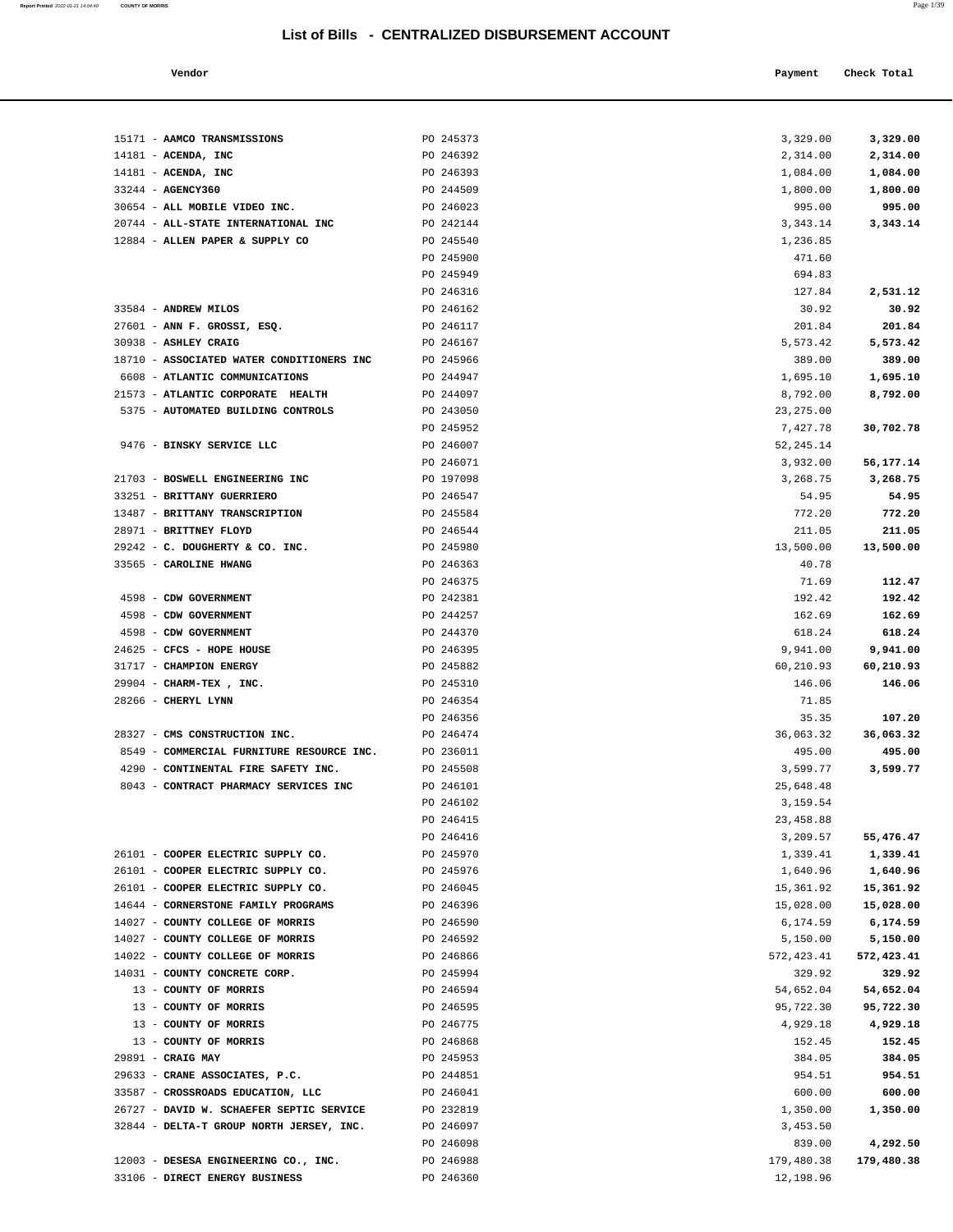| 15171 - AAMCO TRANSMISSIONS                                              | PO 245373              | 3,329.00               | 3,329.00             |
|--------------------------------------------------------------------------|------------------------|------------------------|----------------------|
| $14181$ - ACENDA, INC                                                    | PO 246392              | 2,314.00               | 2,314.00             |
| $14181$ - ACENDA, INC                                                    | PO 246393              | 1,084.00               | 1,084.00             |
| 33244 - AGENCY360                                                        | PO 244509              | 1,800.00               | 1,800.00             |
| 30654 - ALL MOBILE VIDEO INC.                                            | PO 246023              | 995.00                 | 995.00               |
| 20744 - ALL-STATE INTERNATIONAL INC                                      | PO 242144              | 3,343.14               | 3,343.14             |
| 12884 - ALLEN PAPER & SUPPLY CO                                          | PO 245540              | 1,236.85               |                      |
|                                                                          | PO 245900              | 471.60                 |                      |
|                                                                          | PO 245949              | 694.83                 |                      |
|                                                                          | PO 246316              | 127.84                 | 2,531.12             |
| 33584 - ANDREW MILOS                                                     | PO 246162              | 30.92                  | 30.92                |
| 27601 - ANN F. GROSSI, ESQ.                                              | PO 246117              | 201.84                 | 201.84               |
| 30938 - ASHLEY CRAIG                                                     | PO 246167              | 5,573.42               | 5,573.42             |
| 18710 - ASSOCIATED WATER CONDITIONERS INC                                | PO 245966              | 389.00                 | 389.00               |
| 6608 - ATLANTIC COMMUNICATIONS                                           | PO 244947              | 1,695.10               | 1,695.10             |
| 21573 - ATLANTIC CORPORATE HEALTH<br>5375 - AUTOMATED BUILDING CONTROLS  | PO 244097<br>PO 243050 | 8,792.00               | 8,792.00             |
|                                                                          |                        | 23, 275.00             |                      |
| 9476 - BINSKY SERVICE LLC                                                | PO 245952<br>PO 246007 | 7,427.78<br>52, 245.14 | 30,702.78            |
|                                                                          | PO 246071              | 3,932.00               | 56,177.14            |
| 21703 - BOSWELL ENGINEERING INC                                          | PO 197098              | 3,268.75               | 3,268.75             |
| 33251 - BRITTANY GUERRIERO                                               | PO 246547              | 54.95                  | 54.95                |
| 13487 - BRITTANY TRANSCRIPTION                                           | PO 245584              | 772.20                 | 772.20               |
| 28971 - BRITTNEY FLOYD                                                   | PO 246544              | 211.05                 | 211.05               |
| 29242 - C. DOUGHERTY & CO. INC.                                          | PO 245980              | 13,500.00              | 13,500.00            |
| 33565 - CAROLINE HWANG                                                   | PO 246363              | 40.78                  |                      |
|                                                                          | PO 246375              | 71.69                  | 112.47               |
| 4598 - CDW GOVERNMENT                                                    | PO 242381              | 192.42                 | 192.42               |
| 4598 - CDW GOVERNMENT                                                    | PO 244257              | 162.69                 | 162.69               |
| 4598 - CDW GOVERNMENT                                                    | PO 244370              | 618.24                 | 618.24               |
| 24625 - CFCS - HOPE HOUSE                                                | PO 246395              | 9,941.00               | 9,941.00             |
| 31717 - CHAMPION ENERGY                                                  | PO 245882              | 60,210.93              | 60,210.93            |
| 29904 - CHARM-TEX, INC.                                                  | PO 245310              | 146.06                 | 146.06               |
| 28266 - CHERYL LYNN                                                      | PO 246354              | 71.85                  |                      |
|                                                                          | PO 246356              | 35.35                  | 107.20               |
| 28327 - CMS CONSTRUCTION INC.                                            | PO 246474              | 36,063.32              | 36,063.32            |
| 8549 - COMMERCIAL FURNITURE RESOURCE INC.                                | PO 236011              | 495.00                 | 495.00               |
| 4290 - CONTINENTAL FIRE SAFETY INC.                                      | PO 245508              | 3,599.77               | 3,599.77             |
| 8043 - CONTRACT PHARMACY SERVICES INC                                    | PO 246101              | 25,648.48              |                      |
|                                                                          | PO 246102              | 3,159.54               |                      |
|                                                                          | PO 246415              | 23, 458.88             |                      |
|                                                                          | PO 246416              | 3,209.57               | 55,476.47            |
| 26101 - COOPER ELECTRIC SUPPLY CO.<br>26101 - COOPER ELECTRIC SUPPLY CO. | PO 245970<br>PO 245976 | 1,339.41<br>1,640.96   | 1,339.41<br>1,640.96 |
| 26101 - COOPER ELECTRIC SUPPLY CO.                                       | PO 246045              | 15,361.92              | 15,361.92            |
| 14644 - CORNERSTONE FAMILY PROGRAMS                                      | PO 246396              | 15,028.00              | 15,028.00            |
| 14027 - COUNTY COLLEGE OF MORRIS                                         | PO 246590              | 6,174.59               | 6,174.59             |
| 14027 - COUNTY COLLEGE OF MORRIS                                         | PO 246592              | 5,150.00               | 5,150.00             |
| 14022 - COUNTY COLLEGE OF MORRIS                                         | PO 246866              | 572,423.41             | 572,423.41           |
| 14031 - COUNTY CONCRETE CORP.                                            | PO 245994              | 329.92                 | 329.92               |
| 13 - COUNTY OF MORRIS                                                    | PO 246594              | 54,652.04              | 54,652.04            |
| 13 - COUNTY OF MORRIS                                                    | PO 246595              | 95,722.30              | 95,722.30            |
| 13 - COUNTY OF MORRIS                                                    | PO 246775              | 4,929.18               | 4,929.18             |
| 13 - COUNTY OF MORRIS                                                    | PO 246868              | 152.45                 | 152.45               |
| 29891 - CRAIG MAY                                                        | PO 245953              | 384.05                 | 384.05               |
| 29633 - CRANE ASSOCIATES, P.C.                                           | PO 244851              | 954.51                 | 954.51               |
| 33587 - CROSSROADS EDUCATION, LLC                                        | PO 246041              | 600.00                 | 600.00               |
| 26727 - DAVID W. SCHAEFER SEPTIC SERVICE                                 | PO 232819              | 1,350.00               | 1,350.00             |
| 32844 - DELTA-T GROUP NORTH JERSEY, INC.                                 | PO 246097              | 3,453.50               |                      |
|                                                                          | PO 246098              | 839.00                 | 4,292.50             |
| 12003 - DESESA ENGINEERING CO., INC.                                     | PO 246988              | 179,480.38             | 179,480.38           |
| 33106 - DIRECT ENERGY BUSINESS                                           | PO 246360              | 12,198.96              |                      |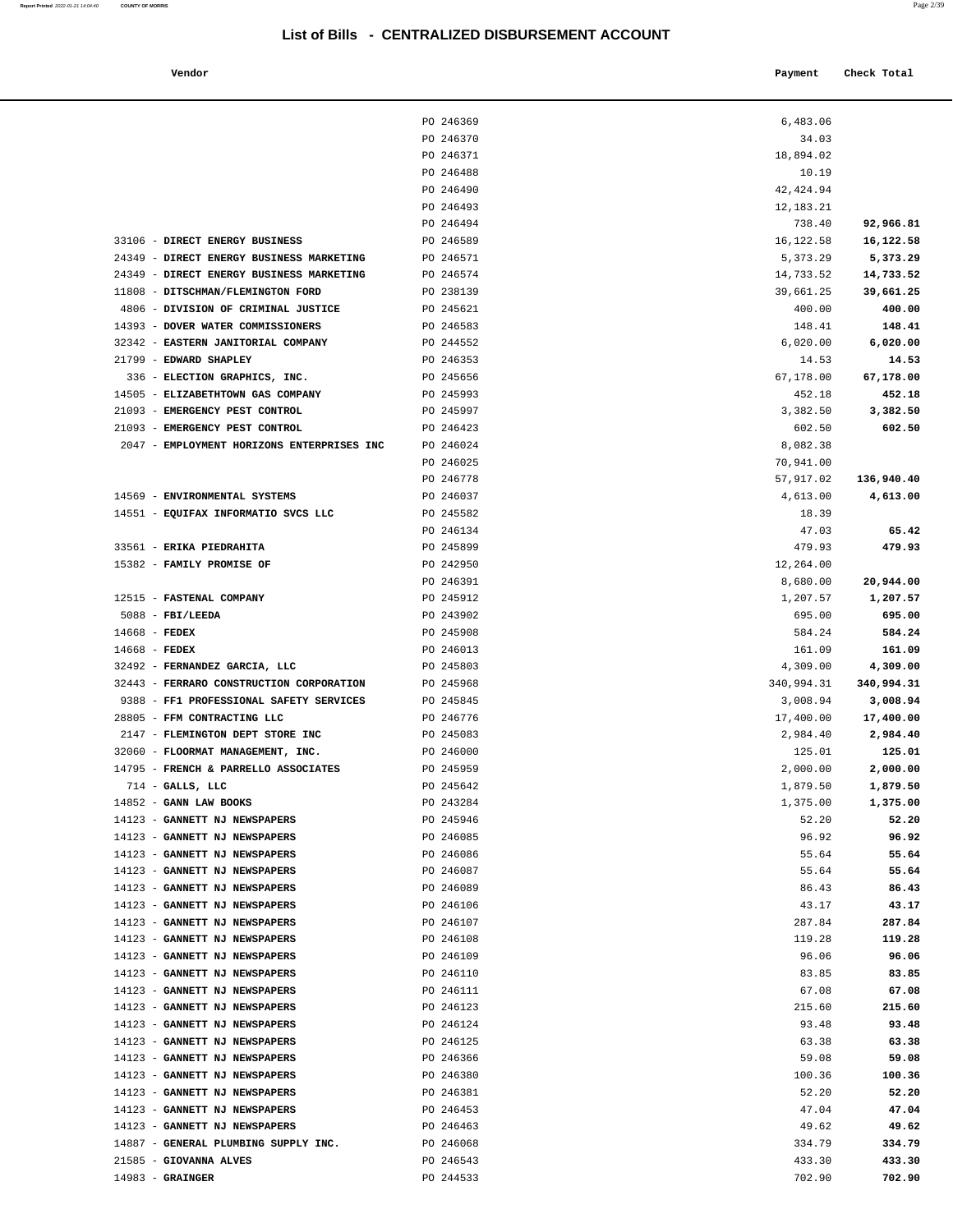| Report Printed 2022-01-21 14:04:40 | <b>COUNTY OF MORRIS</b>                    |                                                  |                        | Page 2/39          |
|------------------------------------|--------------------------------------------|--------------------------------------------------|------------------------|--------------------|
|                                    |                                            | List of Bills - CENTRALIZED DISBURSEMENT ACCOUNT |                        |                    |
|                                    | Vendor                                     |                                                  | Payment                | Check Total        |
|                                    |                                            | PO 246369                                        | 6,483.06               |                    |
|                                    |                                            | PO 246370                                        | 34.03                  |                    |
|                                    |                                            | PO 246371                                        | 18,894.02              |                    |
|                                    |                                            | PO 246488                                        | 10.19                  |                    |
|                                    |                                            | PO 246490                                        | 42, 424.94             |                    |
|                                    |                                            | PO 246493                                        | 12,183.21              |                    |
|                                    |                                            | PO 246494                                        | 738.40                 | 92,966.81          |
|                                    | 33106 - DIRECT ENERGY BUSINESS             | PO 246589                                        | 16,122.58              | 16,122.58          |
|                                    | 24349 - DIRECT ENERGY BUSINESS MARKETING   | PO 246571                                        | 5,373.29               | 5,373.29           |
|                                    | 24349 - DIRECT ENERGY BUSINESS MARKETING   | PO 246574                                        | 14,733.52              | 14,733.52          |
|                                    | 11808 - DITSCHMAN/FLEMINGTON FORD          | PO 238139                                        | 39,661.25              | 39,661.25          |
|                                    | 4806 - DIVISION OF CRIMINAL JUSTICE        | PO 245621                                        | 400.00                 | 400.00             |
|                                    | 14393 - DOVER WATER COMMISSIONERS          | PO 246583                                        | 148.41                 | 148.41             |
|                                    | 32342 - EASTERN JANITORIAL COMPANY         | PO 244552                                        | 6,020.00               | 6,020.00           |
|                                    | 21799 - EDWARD SHAPLEY                     | PO 246353                                        | 14.53                  | 14.53              |
|                                    | 336 - ELECTION GRAPHICS, INC.              | PO 245656                                        | 67,178.00              | 67,178.00          |
|                                    | 14505 - ELIZABETHTOWN GAS COMPANY          | PO 245993                                        | 452.18                 | 452.18             |
|                                    | 21093 - EMERGENCY PEST CONTROL             | PO 245997                                        | 3,382.50               | 3,382.50<br>602.50 |
|                                    | 21093 - EMERGENCY PEST CONTROL             | PO 246423                                        | 602.50                 |                    |
|                                    | 2047 - EMPLOYMENT HORIZONS ENTERPRISES INC | PO 246024<br>PO 246025                           | 8,082.38               |                    |
|                                    |                                            | PO 246778                                        | 70,941.00<br>57,917.02 | 136,940.40         |
|                                    | 14569 - ENVIRONMENTAL SYSTEMS              | PO 246037                                        | 4,613.00               | 4,613.00           |
|                                    | 14551 - EQUIFAX INFORMATIO SVCS LLC        | PO 245582                                        | 18.39                  |                    |
|                                    |                                            | PO 246134                                        | 47.03                  | 65.42              |
|                                    | 33561 - ERIKA PIEDRAHITA                   | PO 245899                                        | 479.93                 | 479.93             |
|                                    | 15382 - FAMILY PROMISE OF                  | PO 242950                                        | 12,264.00              |                    |
|                                    |                                            | PO 246391                                        | 8,680.00               | 20,944.00          |
|                                    | 12515 - FASTENAL COMPANY                   | PO 245912                                        | 1,207.57               | 1,207.57           |
|                                    | $5088$ - FBI/LEEDA                         | PO 243902                                        | 695.00                 | 695.00             |
|                                    | $14668$ - FEDEX                            | PO 245908                                        | 584.24                 | 584.24             |
|                                    | $14668$ - FEDEX                            | PO 246013                                        | 161.09                 | 161.09             |
|                                    | 32492 - FERNANDEZ GARCIA, LLC              | PO 245803                                        | 4,309.00               | 4,309.00           |
|                                    | 32443 - FERRARO CONSTRUCTION CORPORATION   | PO 245968                                        | 340,994.31             | 340,994.31         |
|                                    | 9388 - FF1 PROFESSIONAL SAFETY SERVICES    | PO 245845                                        | 3,008.94               | 3,008.94           |
|                                    | 28805 - FFM CONTRACTING LLC                | PO 246776                                        | 17,400.00              | 17,400.00          |
|                                    | 2147 - FLEMINGTON DEPT STORE INC           | PO 245083                                        | 2,984.40               | 2,984.40           |
|                                    | 32060 - FLOORMAT MANAGEMENT, INC.          | PO 246000                                        | 125.01                 | 125.01             |
|                                    | 14795 - FRENCH & PARRELLO ASSOCIATES       | PO 245959                                        | 2,000.00               | 2,000.00           |
|                                    | $714$ - GALLS, LLC                         | PO 245642                                        | 1,879.50               | 1,879.50           |
|                                    | 14852 - GANN LAW BOOKS                     | PO 243284                                        | 1,375.00               | 1,375.00           |
|                                    | 14123 - GANNETT NJ NEWSPAPERS              | PO 245946                                        | 52.20                  | 52.20              |
|                                    | 14123 - GANNETT NJ NEWSPAPERS              | PO 246085                                        | 96.92                  | 96.92              |
|                                    | 14123 - GANNETT NJ NEWSPAPERS              | PO 246086                                        | 55.64                  | 55.64              |
|                                    | 14123 - GANNETT NJ NEWSPAPERS              | PO 246087                                        | 55.64                  | 55.64              |
|                                    | 14123 - GANNETT NJ NEWSPAPERS              | PO 246089                                        | 86.43                  | 86.43              |
|                                    | 14123 - GANNETT NJ NEWSPAPERS              | PO 246106                                        | 43.17                  | 43.17              |
|                                    | 14123 - GANNETT NJ NEWSPAPERS              | PO 246107                                        | 287.84                 | 287.84             |
|                                    | 14123 - GANNETT NJ NEWSPAPERS              | PO 246108                                        | 119.28                 | 119.28             |

|                                            | PO 246371 | 18,894.02  |            |
|--------------------------------------------|-----------|------------|------------|
|                                            | PO 246488 | 10.19      |            |
|                                            | PO 246490 | 42, 424.94 |            |
|                                            | PO 246493 | 12,183.21  |            |
|                                            | PO 246494 | 738.40     | 92,966.81  |
| 33106 - DIRECT ENERGY BUSINESS             | PO 246589 | 16,122.58  | 16,122.58  |
| 24349 - DIRECT ENERGY BUSINESS MARKETING   | PO 246571 | 5,373.29   | 5,373.29   |
| 24349 - DIRECT ENERGY BUSINESS MARKETING   | PO 246574 | 14,733.52  | 14,733.52  |
| 11808 - DITSCHMAN/FLEMINGTON FORD          | PO 238139 | 39,661.25  | 39,661.25  |
| 4806 - DIVISION OF CRIMINAL JUSTICE        | PO 245621 | 400.00     | 400.00     |
| 14393 - DOVER WATER COMMISSIONERS          | PO 246583 | 148.41     | 148.41     |
| 32342 - EASTERN JANITORIAL COMPANY         | PO 244552 | 6,020.00   | 6,020.00   |
| 21799 - EDWARD SHAPLEY                     | PO 246353 | 14.53      | 14.53      |
| 336 - ELECTION GRAPHICS, INC.              | PO 245656 | 67,178.00  | 67,178.00  |
| 14505 - ELIZABETHTOWN GAS COMPANY          | PO 245993 | 452.18     | 452.18     |
| 21093 - EMERGENCY PEST CONTROL             | PO 245997 | 3,382.50   | 3,382.50   |
| 21093 - EMERGENCY PEST CONTROL             | PO 246423 | 602.50     | 602.50     |
| 2047 - EMPLOYMENT HORIZONS ENTERPRISES INC | PO 246024 | 8,082.38   |            |
|                                            | PO 246025 | 70,941.00  |            |
|                                            | PO 246778 | 57,917.02  | 136,940.40 |
| 14569 - ENVIRONMENTAL SYSTEMS              | PO 246037 | 4,613.00   | 4,613.00   |
| 14551 - EQUIFAX INFORMATIO SVCS LLC        | PO 245582 | 18.39      |            |
|                                            | PO 246134 | 47.03      | 65.42      |
| 33561 - ERIKA PIEDRAHITA                   | PO 245899 | 479.93     | 479.93     |
| 15382 - FAMILY PROMISE OF                  | PO 242950 | 12,264.00  |            |
|                                            | PO 246391 | 8,680.00   | 20,944.00  |
| 12515 - FASTENAL COMPANY                   | PO 245912 | 1,207.57   | 1,207.57   |
| $5088$ - FBI/LEEDA                         | PO 243902 | 695.00     | 695.00     |
| $14668$ - FEDEX                            | PO 245908 | 584.24     | 584.24     |
| $14668$ - FEDEX                            | PO 246013 | 161.09     | 161.09     |
| 32492 - FERNANDEZ GARCIA, LLC              | PO 245803 | 4,309.00   | 4,309.00   |
| 32443 - FERRARO CONSTRUCTION CORPORATION   | PO 245968 | 340,994.31 | 340,994.31 |
| 9388 - FF1 PROFESSIONAL SAFETY SERVICES    | PO 245845 | 3,008.94   | 3,008.94   |
| 28805 - FFM CONTRACTING LLC                | PO 246776 | 17,400.00  | 17,400.00  |
| 2147 - FLEMINGTON DEPT STORE INC           | PO 245083 | 2,984.40   | 2,984.40   |
| 32060 - FLOORMAT MANAGEMENT, INC.          | PO 246000 | 125.01     | 125.01     |
| 14795 - FRENCH & PARRELLO ASSOCIATES       | PO 245959 | 2,000.00   | 2,000.00   |
| $714$ - GALLS, LLC                         | PO 245642 | 1,879.50   | 1,879.50   |
| 14852 - GANN LAW BOOKS                     | PO 243284 | 1,375.00   | 1,375.00   |
| 14123 - GANNETT NJ NEWSPAPERS              | PO 245946 | 52.20      | 52.20      |
| 14123 - GANNETT NJ NEWSPAPERS              | PO 246085 | 96.92      | 96.92      |
| 14123 - GANNETT NJ NEWSPAPERS              | PO 246086 | 55.64      | 55.64      |
| 14123 - GANNETT NJ NEWSPAPERS              | PO 246087 | 55.64      | 55.64      |
| 14123 - GANNETT NJ NEWSPAPERS              | PO 246089 | 86.43      | 86.43      |
| 14123 - GANNETT NJ NEWSPAPERS              | PO 246106 | 43.17      | 43.17      |
| 14123 - GANNETT NJ NEWSPAPERS              | PO 246107 | 287.84     | 287.84     |
| 14123 - GANNETT NJ NEWSPAPERS              | PO 246108 | 119.28     | 119.28     |
| 14123 - GANNETT NJ NEWSPAPERS              | PO 246109 | 96.06      | 96.06      |
| 14123 - GANNETT NJ NEWSPAPERS              | PO 246110 | 83.85      | 83.85      |
| 14123 - GANNETT NJ NEWSPAPERS              | PO 246111 | 67.08      | 67.08      |
| 14123 - GANNETT NJ NEWSPAPERS              | PO 246123 | 215.60     | 215.60     |
| 14123 - GANNETT NJ NEWSPAPERS              | PO 246124 | 93.48      | 93.48      |
| 14123 - GANNETT NJ NEWSPAPERS              | PO 246125 | 63.38      | 63.38      |
| 14123 - GANNETT NJ NEWSPAPERS              | PO 246366 | 59.08      | 59.08      |
| 14123 - GANNETT NJ NEWSPAPERS              | PO 246380 | 100.36     | 100.36     |
| 14123 - GANNETT NJ NEWSPAPERS              | PO 246381 | 52.20      | 52.20      |
| 14123 - GANNETT NJ NEWSPAPERS              | PO 246453 | 47.04      | 47.04      |
| 14123 - GANNETT NJ NEWSPAPERS              | PO 246463 | 49.62      | 49.62      |
| 14887 - GENERAL PLUMBING SUPPLY INC.       | PO 246068 | 334.79     | 334.79     |
| 21585 - GIOVANNA ALVES                     | PO 246543 | 433.30     | 433.30     |
| $14983$ - GRAINGER                         | PO 244533 | 702.90     | 702.90     |
|                                            |           |            |            |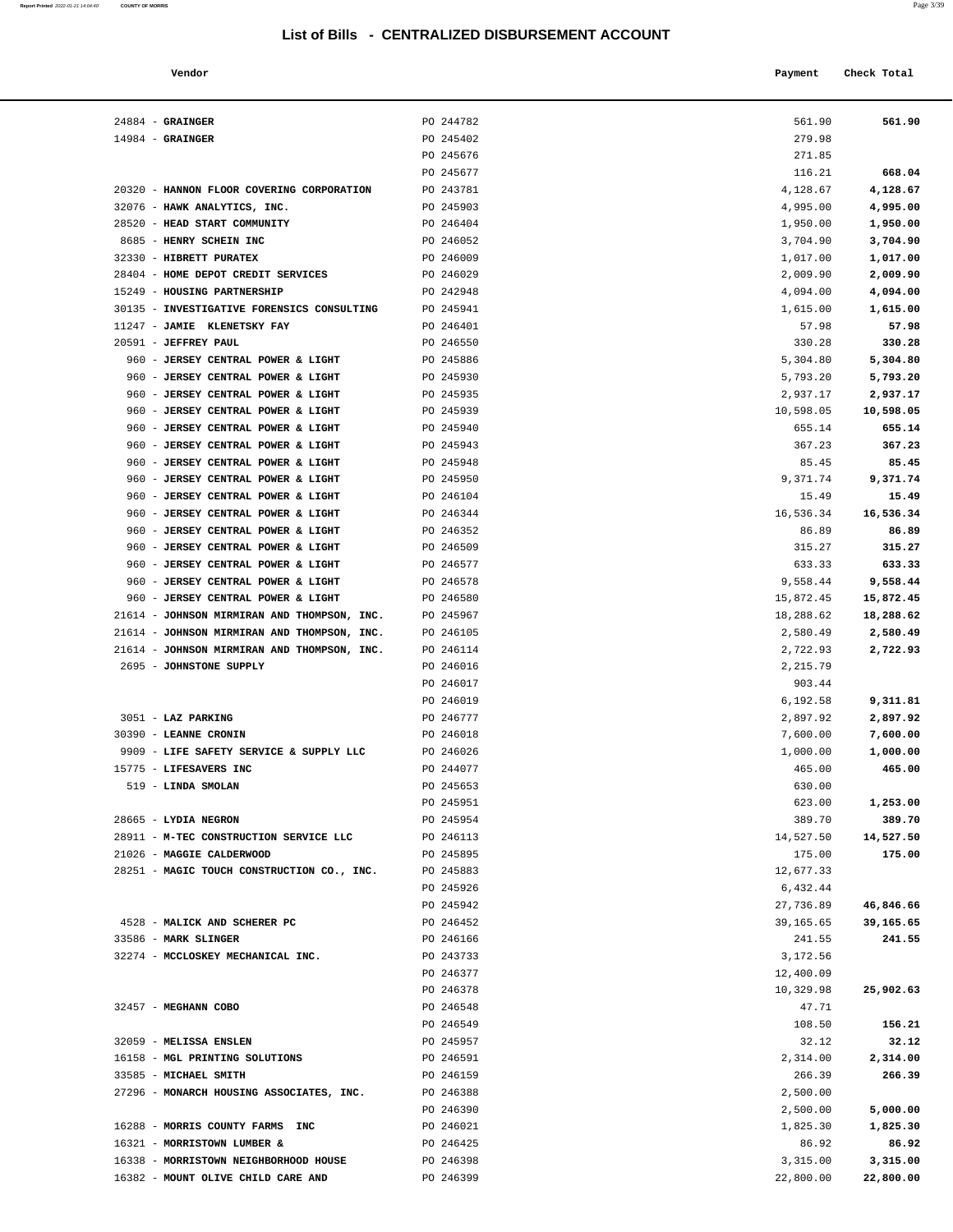24884 - **GRAINGER** PO 244782

| Report Printed 2022-01-21 14:04:40 COUNTY OF MORRIS |  |  | $\sim$ $\sim$<br>Page 3/39 |
|-----------------------------------------------------|--|--|----------------------------|
|                                                     |  |  |                            |

| Vendor                            |           | Payment     | Check Total |
|-----------------------------------|-----------|-------------|-------------|
|                                   |           |             |             |
| <b>GRAINGER</b>                   | PO 244782 | 561.90      | 561.90      |
| <b>GRAINGER</b>                   | PO 245402 | 279.98      |             |
|                                   | PO 245676 | 271.85      |             |
|                                   | PO 245677 | 116.21      | 668.04      |
| HANNON FLOOR COVERING CORPORATION | PO 243781 | 4,128.67    | 4,128.67    |
| HAWK ANALYTICS, INC.              | PO 245903 | 4,995.00    | 4,995.00    |
| HEAD START COMMUNITY              | PO 246404 | 1,950.00    | 1,950.00    |
| HENRY SCHEIN INC                  | PO 246052 | 3,704.90    | 3,704.90    |
| HIBRETT PURATEX                   | PO 246009 | 1,017.00    | 1,017.00    |
| HOME DEPOT CREDIT SERVICES        | PO 246029 | 2,009.90    | 2,009.90    |
| <b>HOUSING PARTNERSHIP</b>        | PO 242948 | 4,094.00    | 4,094.00    |
| THURGETAL BOORNATAS AONAN ENTRA   | DO OAEOA1 | $1.61E$ 0.0 | 1.615.00    |

| $14984$ - GRAINGER                          | PO 245402 | 279.98    |           |
|---------------------------------------------|-----------|-----------|-----------|
|                                             | PO 245676 | 271.85    |           |
|                                             | PO 245677 | 116.21    | 668.04    |
| 20320 - HANNON FLOOR COVERING CORPORATION   | PO 243781 | 4,128.67  | 4,128.67  |
| 32076 - HAWK ANALYTICS, INC.                | PO 245903 | 4,995.00  | 4,995.00  |
| 28520 - HEAD START COMMUNITY                | PO 246404 | 1,950.00  | 1,950.00  |
| 8685 - HENRY SCHEIN INC                     | PO 246052 | 3,704.90  | 3,704.90  |
| 32330 - HIBRETT PURATEX                     | PO 246009 | 1,017.00  | 1,017.00  |
| 28404 - HOME DEPOT CREDIT SERVICES          | PO 246029 | 2,009.90  | 2,009.90  |
| 15249 - HOUSING PARTNERSHIP                 | PO 242948 | 4,094.00  | 4,094.00  |
| 30135 - INVESTIGATIVE FORENSICS CONSULTING  | PO 245941 | 1,615.00  | 1,615.00  |
| 11247 - JAMIE KLENETSKY FAY                 | PO 246401 | 57.98     | 57.98     |
| 20591 - JEFFREY PAUL                        | PO 246550 | 330.28    | 330.28    |
| 960 - JERSEY CENTRAL POWER & LIGHT          | PO 245886 | 5,304.80  | 5,304.80  |
| 960 - JERSEY CENTRAL POWER & LIGHT          | PO 245930 | 5,793.20  | 5,793.20  |
| 960 - JERSEY CENTRAL POWER & LIGHT          | PO 245935 | 2,937.17  | 2,937.17  |
| 960 - JERSEY CENTRAL POWER & LIGHT          | PO 245939 | 10,598.05 | 10,598.05 |
| 960 - JERSEY CENTRAL POWER & LIGHT          | PO 245940 | 655.14    | 655.14    |
| 960 - JERSEY CENTRAL POWER & LIGHT          | PO 245943 | 367.23    | 367.23    |
| 960 - JERSEY CENTRAL POWER & LIGHT          | PO 245948 | 85.45     | 85.45     |
| 960 - JERSEY CENTRAL POWER & LIGHT          | PO 245950 | 9,371.74  | 9,371.74  |
| 960 - JERSEY CENTRAL POWER & LIGHT          | PO 246104 | 15.49     | 15.49     |
| 960 - JERSEY CENTRAL POWER & LIGHT          | PO 246344 | 16,536.34 | 16,536.34 |
| 960 - JERSEY CENTRAL POWER & LIGHT          | PO 246352 | 86.89     | 86.89     |
| 960 - JERSEY CENTRAL POWER & LIGHT          | PO 246509 | 315.27    | 315.27    |
| 960 - JERSEY CENTRAL POWER & LIGHT          | PO 246577 | 633.33    | 633.33    |
| 960 - JERSEY CENTRAL POWER & LIGHT          | PO 246578 | 9,558.44  | 9,558.44  |
| 960 - JERSEY CENTRAL POWER & LIGHT          | PO 246580 | 15,872.45 | 15,872.45 |
| 21614 - JOHNSON MIRMIRAN AND THOMPSON, INC. | PO 245967 | 18,288.62 | 18,288.62 |
| 21614 - JOHNSON MIRMIRAN AND THOMPSON, INC. | PO 246105 | 2,580.49  | 2,580.49  |
| 21614 - JOHNSON MIRMIRAN AND THOMPSON, INC. | PO 246114 | 2,722.93  | 2,722.93  |
| 2695 - JOHNSTONE SUPPLY                     | PO 246016 | 2,215.79  |           |
|                                             | PO 246017 | 903.44    |           |
|                                             | PO 246019 | 6,192.58  | 9,311.81  |
| 3051 - LAZ PARKING                          | PO 246777 | 2,897.92  | 2,897.92  |
| 30390 - LEANNE CRONIN                       | PO 246018 | 7,600.00  | 7,600.00  |
| 9909 - LIFE SAFETY SERVICE & SUPPLY LLC     | PO 246026 | 1,000.00  | 1,000.00  |
| 15775 - LIFESAVERS INC                      | PO 244077 | 465.00    | 465.00    |
| 519 - LINDA SMOLAN                          | PO 245653 | 630.00    |           |
|                                             | PO 245951 | 623.00    | 1,253.00  |
| 28665 - LYDIA NEGRON                        | PO 245954 | 389.70    | 389.70    |
| 28911 - M-TEC CONSTRUCTION SERVICE LLC      | PO 246113 | 14,527.50 | 14,527.50 |
| 21026 - MAGGIE CALDERWOOD                   | PO 245895 | 175.00    | 175.00    |
| 28251 - MAGIC TOUCH CONSTRUCTION CO., INC.  | PO 245883 | 12,677.33 |           |
|                                             | PO 245926 | 6,432.44  |           |
|                                             | PO 245942 | 27,736.89 | 46,846.66 |
| 4528 - MALICK AND SCHERER PC                | PO 246452 | 39,165.65 | 39,165.65 |
| 33586 - MARK SLINGER                        | PO 246166 | 241.55    | 241.55    |
| 32274 - MCCLOSKEY MECHANICAL INC.           | PO 243733 | 3,172.56  |           |
|                                             | PO 246377 | 12,400.09 |           |
|                                             | PO 246378 | 10,329.98 | 25,902.63 |
| 32457 - MEGHANN COBO                        | PO 246548 | 47.71     |           |
|                                             | PO 246549 | 108.50    | 156.21    |
| 32059 - MELISSA ENSLEN                      | PO 245957 | 32.12     | 32.12     |
| 16158 - MGL PRINTING SOLUTIONS              | PO 246591 | 2,314.00  | 2,314.00  |
| 33585 - MICHAEL SMITH                       | PO 246159 | 266.39    | 266.39    |
| 27296 - MONARCH HOUSING ASSOCIATES, INC.    | PO 246388 | 2,500.00  |           |
|                                             | PO 246390 | 2,500.00  | 5,000.00  |
| 16288 - MORRIS COUNTY FARMS INC             | PO 246021 | 1,825.30  | 1,825.30  |
| 16321 - MORRISTOWN LUMBER &                 | PO 246425 | 86.92     | 86.92     |
| 16338 - MORRISTOWN NEIGHBORHOOD HOUSE       | PO 246398 | 3,315.00  | 3,315.00  |
| 16382 - MOUNT OLIVE CHILD CARE AND          | PO 246399 | 22,800.00 | 22,800.00 |
|                                             |           |           |           |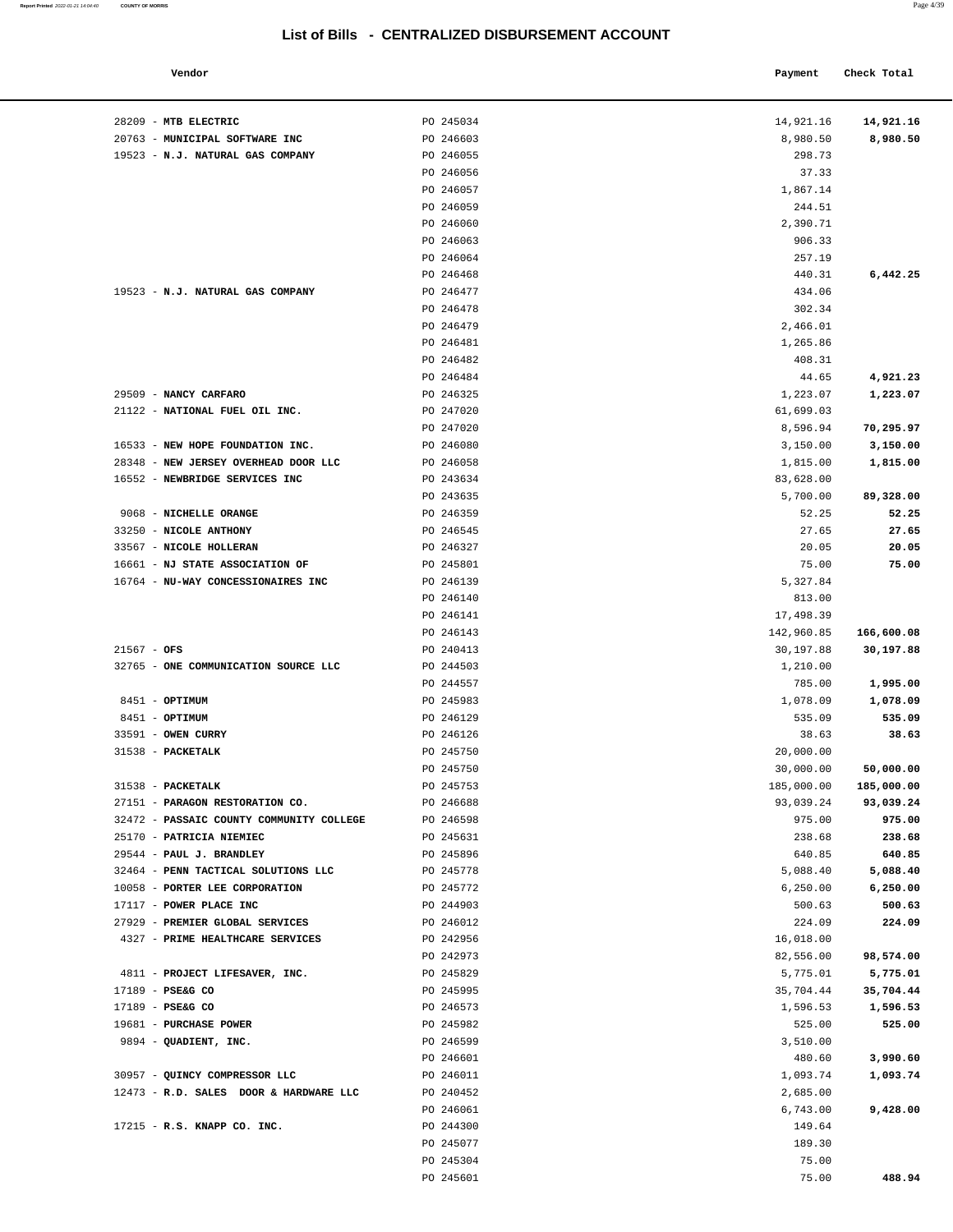#### **Vendor Check Total Payment** Check Total **Payment Check Total Payment**

| PO 245034              | 14,921.16             | 14,921.16             |
|------------------------|-----------------------|-----------------------|
| PO 246603              | 8,980.50              | 8,980.50              |
| PO 246055              | 298.73                |                       |
| PO 246056              | 37.33                 |                       |
| PO 246057              | 1,867.14              |                       |
| PO 246059              | 244.51                |                       |
| PO 246060              | 2,390.71              |                       |
| PO 246063              | 906.33                |                       |
| PO 246064              | 257.19                |                       |
| PO 246468              | 440.31                | 6,442.25              |
| PO 246477              | 434.06                |                       |
| PO 246478              | 302.34                |                       |
| PO 246479              | 2,466.01              |                       |
| PO 246481              | 1,265.86              |                       |
| PO 246482              | 408.31                |                       |
| PO 246484              | 44.65                 | 4,921.23              |
| PO 246325              | 1,223.07              | 1,223.07              |
| PO 247020<br>PO 247020 | 61,699.03<br>8,596.94 |                       |
| PO 246080              | 3,150.00              | 70,295.97<br>3,150.00 |
| PO 246058              | 1,815.00              | 1,815.00              |
| PO 243634              | 83,628.00             |                       |
| PO 243635              | 5,700.00              | 89,328.00             |
| PO 246359              | 52.25                 | 52.25                 |
| PO 246545              | 27.65                 | 27.65                 |
| PO 246327              | 20.05                 | 20.05                 |
| PO 245801              | 75.00                 | 75.00                 |
| PO 246139              | 5,327.84              |                       |
| PO 246140              | 813.00                |                       |
| PO 246141              | 17,498.39             |                       |
| PO 246143              | 142,960.85            | 166,600.08            |
| PO 240413              | 30,197.88             | 30,197.88             |
| PO 244503              | 1,210.00              |                       |
| PO 244557              | 785.00                | 1,995.00              |
| PO 245983              | 1,078.09              | 1,078.09              |
| PO 246129              | 535.09                | 535.09                |
| PO 246126              | 38.63                 | 38.63                 |
| PO 245750              | 20,000.00             |                       |
| PO 245750              | 30,000.00             | 50,000.00             |
| PO 245753              | 185,000.00            | 185,000.00            |
| PO 246688<br>PO 246598 | 93,039.24<br>975.00   | 93,039.24<br>975.00   |
| PO 245631              | 238.68                | 238.68                |
| PO 245896              | 640.85                | 640.85                |
| PO 245778              | 5,088.40              | 5,088.40              |
| PO 245772              | 6, 250.00             | 6,250.00              |
| PO 244903              | 500.63                | 500.63                |
| PO 246012              | 224.09                | 224.09                |
| PO 242956              | 16,018.00             |                       |
| PO 242973              | 82,556.00             | 98,574.00             |
| PO 245829              | 5,775.01              | 5,775.01              |
| PO 245995              | 35,704.44             | 35,704.44             |
| PO 246573              | 1,596.53              | 1,596.53              |
| PO 245982              | 525.00                | 525.00                |
| PO 246599              | 3,510.00              |                       |
| PO 246601              | 480.60                | 3,990.60              |
| PO 246011              | 1,093.74              | 1,093.74              |
| PO 240452              | 2,685.00              |                       |
| PO 246061              | 6,743.00              | 9,428.00              |
| PO 244300              | 149.64                |                       |
| PO 245077              | 189.30                |                       |
| PO 245304<br>PO 245601 | 75.00<br>75.00        | 488.94                |
|                        |                       |                       |

| 28209 - MTB ELECTRIC                     | PO 245034 | 14,921.16  | 14,921.16  |
|------------------------------------------|-----------|------------|------------|
| 20763 - MUNICIPAL SOFTWARE INC           | PO 246603 | 8,980.50   | 8,980.50   |
| 19523 - N.J. NATURAL GAS COMPANY         | PO 246055 | 298.73     |            |
|                                          | PO 246056 | 37.33      |            |
|                                          | PO 246057 | 1,867.14   |            |
|                                          | PO 246059 | 244.51     |            |
|                                          | PO 246060 | 2,390.71   |            |
|                                          | PO 246063 | 906.33     |            |
|                                          | PO 246064 | 257.19     |            |
|                                          | PO 246468 | 440.31     | 6,442.25   |
|                                          |           |            |            |
| 19523 - N.J. NATURAL GAS COMPANY         | PO 246477 | 434.06     |            |
|                                          | PO 246478 | 302.34     |            |
|                                          | PO 246479 | 2,466.01   |            |
|                                          | PO 246481 | 1,265.86   |            |
|                                          | PO 246482 | 408.31     |            |
|                                          | PO 246484 | 44.65      | 4,921.23   |
| 29509 - NANCY CARFARO                    | PO 246325 | 1,223.07   | 1,223.07   |
| 21122 - NATIONAL FUEL OIL INC.           | PO 247020 | 61,699.03  |            |
|                                          | PO 247020 | 8,596.94   | 70,295.97  |
| 16533 - NEW HOPE FOUNDATION INC.         | PO 246080 | 3,150.00   | 3,150.00   |
| 28348 - NEW JERSEY OVERHEAD DOOR LLC     | PO 246058 | 1,815.00   | 1,815.00   |
| 16552 - NEWBRIDGE SERVICES INC           | PO 243634 | 83,628.00  |            |
|                                          | PO 243635 | 5,700.00   | 89,328.00  |
| 9068 - NICHELLE ORANGE                   | PO 246359 | 52.25      | 52.25      |
| 33250 - NICOLE ANTHONY                   | PO 246545 | 27.65      | 27.65      |
| 33567 - NICOLE HOLLERAN                  | PO 246327 | 20.05      | 20.05      |
| 16661 - NJ STATE ASSOCIATION OF          | PO 245801 | 75.00      | 75.00      |
|                                          |           |            |            |
| 16764 - NU-WAY CONCESSIONAIRES INC       | PO 246139 | 5,327.84   |            |
|                                          | PO 246140 | 813.00     |            |
|                                          | PO 246141 | 17,498.39  |            |
|                                          | PO 246143 | 142,960.85 | 166,600.08 |
| $21567 - OFS$                            | PO 240413 | 30,197.88  | 30,197.88  |
| 32765 - ONE COMMUNICATION SOURCE LLC     | PO 244503 | 1,210.00   |            |
|                                          | PO 244557 | 785.00     | 1,995.00   |
| 8451 - OPTIMUM                           | PO 245983 | 1,078.09   | 1,078.09   |
| 8451 - OPTIMUM                           | PO 246129 | 535.09     | 535.09     |
| 33591 - OWEN CURRY                       | PO 246126 | 38.63      | 38.63      |
| 31538 - PACKETALK                        | PO 245750 | 20,000.00  |            |
|                                          | PO 245750 | 30,000.00  | 50,000.00  |
| 31538 - PACKETALK                        | PO 245753 | 185,000.00 | 185,000.00 |
| 27151 - PARAGON RESTORATION CO.          | PO 246688 | 93,039.24  | 93,039.24  |
| 32472 - PASSAIC COUNTY COMMUNITY COLLEGE | PO 246598 | 975.00     | 975.00     |
| 25170 - PATRICIA NIEMIEC                 | PO 245631 | 238.68     | 238.68     |
| 29544 - PAUL J. BRANDLEY                 | PO 245896 | 640.85     | 640.85     |
| 32464 - PENN TACTICAL SOLUTIONS LLC      | PO 245778 | 5,088.40   | 5,088.40   |
| 10058 - PORTER LEE CORPORATION           | PO 245772 | 6, 250.00  | 6,250.00   |
| 17117 - POWER PLACE INC                  | PO 244903 | 500.63     | 500.63     |
| 27929 - PREMIER GLOBAL SERVICES          | PO 246012 | 224.09     | 224.09     |
|                                          | PO 242956 |            |            |
| 4327 - PRIME HEALTHCARE SERVICES         |           | 16,018.00  |            |
|                                          | PO 242973 | 82,556.00  | 98,574.00  |
| 4811 - PROJECT LIFESAVER, INC.           | PO 245829 | 5,775.01   | 5,775.01   |
| 17189 - PSE&G CO                         | PO 245995 | 35,704.44  | 35,704.44  |
| 17189 - PSE&G CO                         | PO 246573 | 1,596.53   | 1,596.53   |
| 19681 - PURCHASE POWER                   | PO 245982 | 525.00     | 525.00     |
| 9894 - QUADIENT, INC.                    | PO 246599 | 3,510.00   |            |
|                                          | PO 246601 | 480.60     | 3,990.60   |
| 30957 - QUINCY COMPRESSOR LLC            | PO 246011 | 1,093.74   | 1,093.74   |
| 12473 - R.D. SALES DOOR & HARDWARE LLC   | PO 240452 | 2,685.00   |            |
|                                          | PO 246061 | 6,743.00   | 9,428.00   |
| 17215 - R.S. KNAPP CO. INC.              | PO 244300 | 149.64     |            |
|                                          | PO 245077 | 189.30     |            |
|                                          | PO 245304 | 75.00      |            |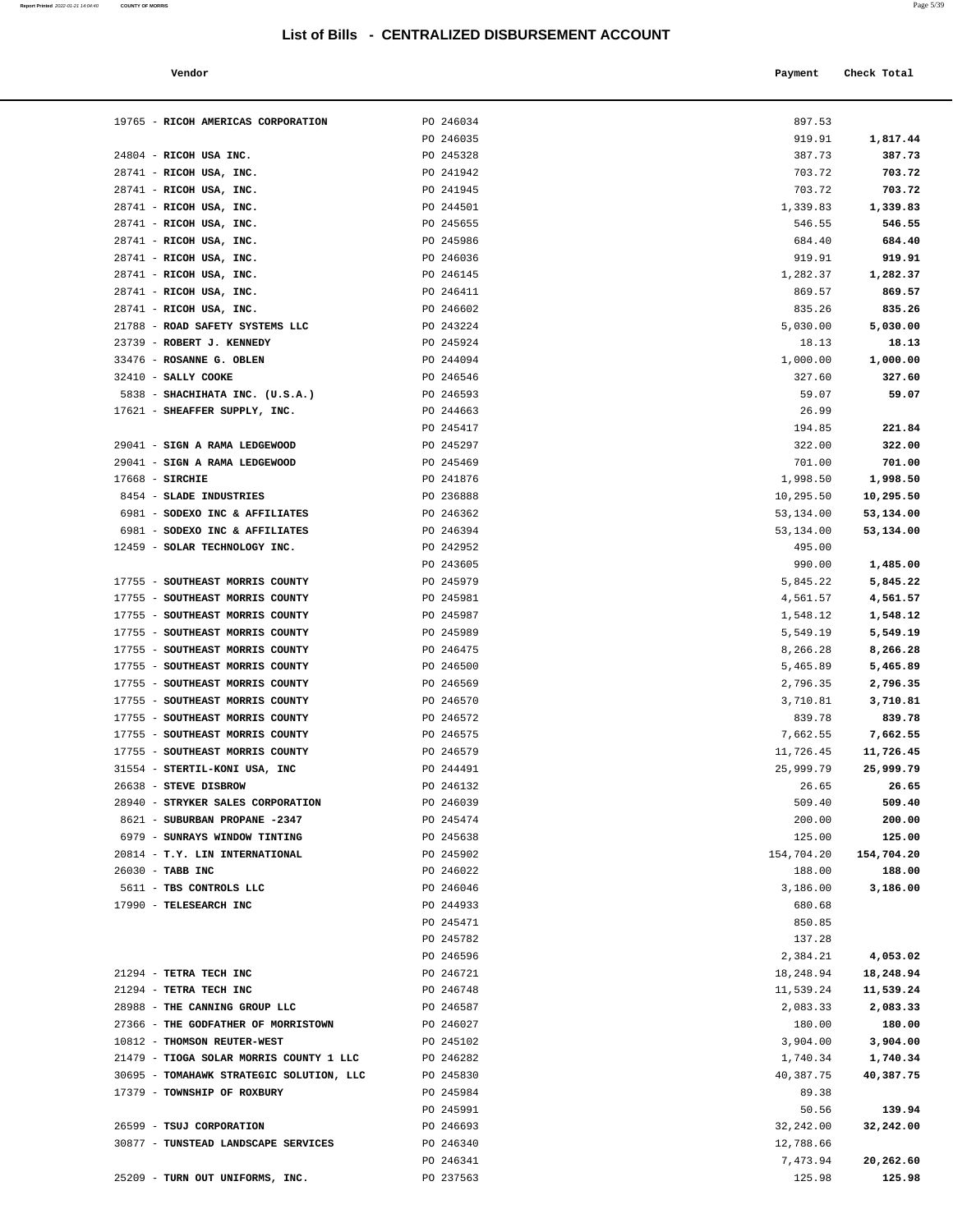#### **Vendor Check Total Payment Check Total**

19765 - **RICOH AMERICAS CORPORATION** PO 246034

**Report Printed** 2022-01-21 14:04:40 **COUNTY OF MORRIS** 

| 897.53<br>919.91      | 1,817.44               |
|-----------------------|------------------------|
| 387.73                | 387.73                 |
| 703.72                | 703.72                 |
| 703.72                | 703.72                 |
| 1,339.83              | 1,339.83               |
| 546.55                | 546.55                 |
| 684.40                | 684.40                 |
| 919.91                | 919.91                 |
| 1,282.37              | 1,282.37               |
| 869.57                | 869.57                 |
| 835.26                | 835.26                 |
| 5,030.00              | 5,030.00               |
| 18.13                 | 18.13                  |
| 1,000.00              | 1,000.00               |
| 327.60                | 327.60                 |
| 59.07<br>26.99        | 59.07                  |
| 194.85                | 221.84                 |
| 322.00                | 322.00                 |
| 701.00                | 701.00                 |
| 1,998.50              | 1,998.50               |
| 10,295.50             | 10,295.50              |
| 53,134.00             | 53,134.00              |
| 53,134.00             | 53,134.00              |
| 495.00                |                        |
| 990.00                | 1,485.00               |
| 5,845.22              | 5,845.22               |
| 4,561.57              | 4,561.57               |
| 1,548.12              | 1,548.12               |
| 5,549.19              | 5,549.19               |
| 8,266.28              | 8,266.28               |
| 5,465.89              | 5,465.89               |
| 2,796.35              | 2,796.35               |
| 3,710.81              | 3,710.81<br>839.78     |
| 839.78<br>7,662.55    | 7,662.55               |
| 11,726.45             | 11,726.45              |
| 25,999.79             | 25,999.79              |
| 26.65                 | 26.65                  |
| 509.40                | 509.40                 |
| 200.00                | 200.00                 |
| 125.00                | 125.00                 |
| 154,704.20            | 154,704.20             |
| 188.00                | 188.00                 |
| 3,186.00              | 3,186.00               |
| 680.68                |                        |
| 850.85                |                        |
| 137.28                |                        |
| 2,384.21              | 4,053.02               |
| 18,248.94             | 18,248.94<br>11,539.24 |
| 11,539.24<br>2,083.33 | 2,083.33               |
| 180.00                | 180.00                 |
| 3,904.00              | 3,904.00               |
| 1,740.34              | 1,740.34               |
| 40,387.75             | 40,387.75              |
| 89.38                 |                        |
| 50.56                 | 139.94                 |
| 32,242.00             | 32,242.00              |
| 12,788.66             |                        |
| 7,473.94              | 20,262.60              |
|                       |                        |
| 125.98                | 125.98                 |

|                                                                    | PO 246035              | 919.91               | 1,817.44             |
|--------------------------------------------------------------------|------------------------|----------------------|----------------------|
| 24804 - RICOH USA INC.                                             | PO 245328              | 387.73               | 387.73               |
| 28741 - RICOH USA, INC.                                            | PO 241942              | 703.72               | 703.72               |
| 28741 - RICOH USA, INC.                                            | PO 241945              | 703.72               | 703.72               |
| 28741 - RICOH USA, INC.                                            | PO 244501              | 1,339.83             | 1,339.83             |
| 28741 - RICOH USA, INC.                                            | PO 245655              | 546.55               | 546.55               |
| 28741 - RICOH USA, INC.                                            | PO 245986              | 684.40               | 684.40               |
| 28741 - RICOH USA, INC.                                            | PO 246036              | 919.91               | 919.91               |
| 28741 - RICOH USA, INC.                                            | PO 246145              | 1,282.37             | 1,282.37             |
| 28741 - RICOH USA, INC.                                            | PO 246411              | 869.57               | 869.57               |
| 28741 - RICOH USA, INC.                                            | PO 246602              | 835.26               | 835.26               |
| 21788 - ROAD SAFETY SYSTEMS LLC                                    | PO 243224              | 5,030.00             | 5,030.00             |
| 23739 - ROBERT J. KENNEDY                                          | PO 245924              | 18.13                | 18.13                |
| 33476 - ROSANNE G. OBLEN                                           | PO 244094              | 1,000.00             | 1,000.00             |
| 32410 - SALLY COOKE                                                | PO 246546              | 327.60               | 327.60               |
| 5838 - SHACHIHATA INC. (U.S.A.)                                    | PO 246593              | 59.07                | 59.07                |
| 17621 - SHEAFFER SUPPLY, INC.                                      | PO 244663              | 26.99                |                      |
|                                                                    | PO 245417              | 194.85               | 221.84               |
| 29041 - SIGN A RAMA LEDGEWOOD                                      | PO 245297              | 322.00               | 322.00               |
| 29041 - SIGN A RAMA LEDGEWOOD                                      | PO 245469              | 701.00               | 701.00               |
| $17668$ - SIRCHIE                                                  | PO 241876              | 1,998.50             | 1,998.50             |
| 8454 - SLADE INDUSTRIES                                            | PO 236888              | 10,295.50            | 10,295.50            |
| 6981 - SODEXO INC & AFFILIATES                                     | PO 246362              | 53,134.00            | 53,134.00            |
| 6981 - SODEXO INC & AFFILIATES                                     | PO 246394              | 53,134.00            | 53,134.00            |
| 12459 - SOLAR TECHNOLOGY INC.                                      | PO 242952              | 495.00               |                      |
|                                                                    | PO 243605              | 990.00               | 1,485.00             |
| 17755 - SOUTHEAST MORRIS COUNTY                                    | PO 245979              | 5,845.22             | 5,845.22             |
| 17755 - SOUTHEAST MORRIS COUNTY                                    | PO 245981              | 4,561.57             | 4,561.57             |
| 17755 - SOUTHEAST MORRIS COUNTY<br>17755 - SOUTHEAST MORRIS COUNTY | PO 245987<br>PO 245989 | 1,548.12<br>5,549.19 | 1,548.12<br>5,549.19 |
| 17755 - SOUTHEAST MORRIS COUNTY                                    | PO 246475              | 8,266.28             | 8,266.28             |
| 17755 - SOUTHEAST MORRIS COUNTY                                    | PO 246500              | 5,465.89             | 5,465.89             |
| 17755 - SOUTHEAST MORRIS COUNTY                                    | PO 246569              | 2,796.35             | 2,796.35             |
| 17755 - SOUTHEAST MORRIS COUNTY                                    | PO 246570              | 3,710.81             | 3,710.81             |
| 17755 - SOUTHEAST MORRIS COUNTY                                    | PO 246572              | 839.78               | 839.78               |
| 17755 - SOUTHEAST MORRIS COUNTY                                    | PO 246575              | 7,662.55             | 7,662.55             |
| 17755 - SOUTHEAST MORRIS COUNTY                                    | PO 246579              | 11,726.45            | 11,726.45            |
| 31554 - STERTIL-KONI USA, INC                                      | PO 244491              | 25,999.79            | 25,999.79            |
| 26638 - STEVE DISBROW                                              | PO 246132              | 26.65                | 26.65                |
| 28940 - STRYKER SALES CORPORATION                                  | PO 246039              | 509.40               | 509.40               |
| 8621 - SUBURBAN PROPANE -2347                                      | PO 245474              | 200.00               | 200.00               |
| 6979 - SUNRAYS WINDOW TINTING                                      | PO 245638              | 125.00               | 125.00               |
| 20814 - T.Y. LIN INTERNATIONAL                                     | PO 245902              | 154,704.20           | 154,704.20           |
| 26030 - TABB INC                                                   | PO 246022              | 188.00               | 188.00               |
| 5611 - TBS CONTROLS LLC                                            | PO 246046              | 3,186.00             | 3,186.00             |
| 17990 - TELESEARCH INC                                             | PO 244933              | 680.68               |                      |
|                                                                    | PO 245471              | 850.85               |                      |
|                                                                    | PO 245782              | 137.28               |                      |
|                                                                    | PO 246596              | 2,384.21             | 4,053.02             |
| 21294 - TETRA TECH INC                                             | PO 246721              | 18,248.94            | 18,248.94            |
| 21294 - TETRA TECH INC                                             | PO 246748              | 11,539.24            | 11,539.24            |
| 28988 - THE CANNING GROUP LLC                                      | PO 246587              | 2,083.33             | 2,083.33             |
| 27366 - THE GODFATHER OF MORRISTOWN                                | PO 246027              | 180.00               | 180.00               |
| 10812 - THOMSON REUTER-WEST                                        | PO 245102              | 3,904.00             | 3,904.00             |
| 21479 - TIOGA SOLAR MORRIS COUNTY 1 LLC                            | PO 246282              | 1,740.34             | 1,740.34             |
| 30695 - TOMAHAWK STRATEGIC SOLUTION, LLC                           | PO 245830              | 40,387.75            | 40,387.75            |
| 17379 - TOWNSHIP OF ROXBURY                                        | PO 245984              | 89.38                |                      |
|                                                                    | PO 245991              | 50.56                | 139.94               |
| 26599 - TSUJ CORPORATION                                           | PO 246693              | 32,242.00            | 32,242.00            |
| 30877 - TUNSTEAD LANDSCAPE SERVICES                                | PO 246340              | 12,788.66            |                      |
|                                                                    | PO 246341              | 7,473.94             | 20,262.60            |
| 25209 - TURN OUT UNIFORMS, INC.                                    | PO 237563              | 125.98               | 125.98               |
|                                                                    |                        |                      |                      |
|                                                                    |                        |                      |                      |
|                                                                    |                        |                      |                      |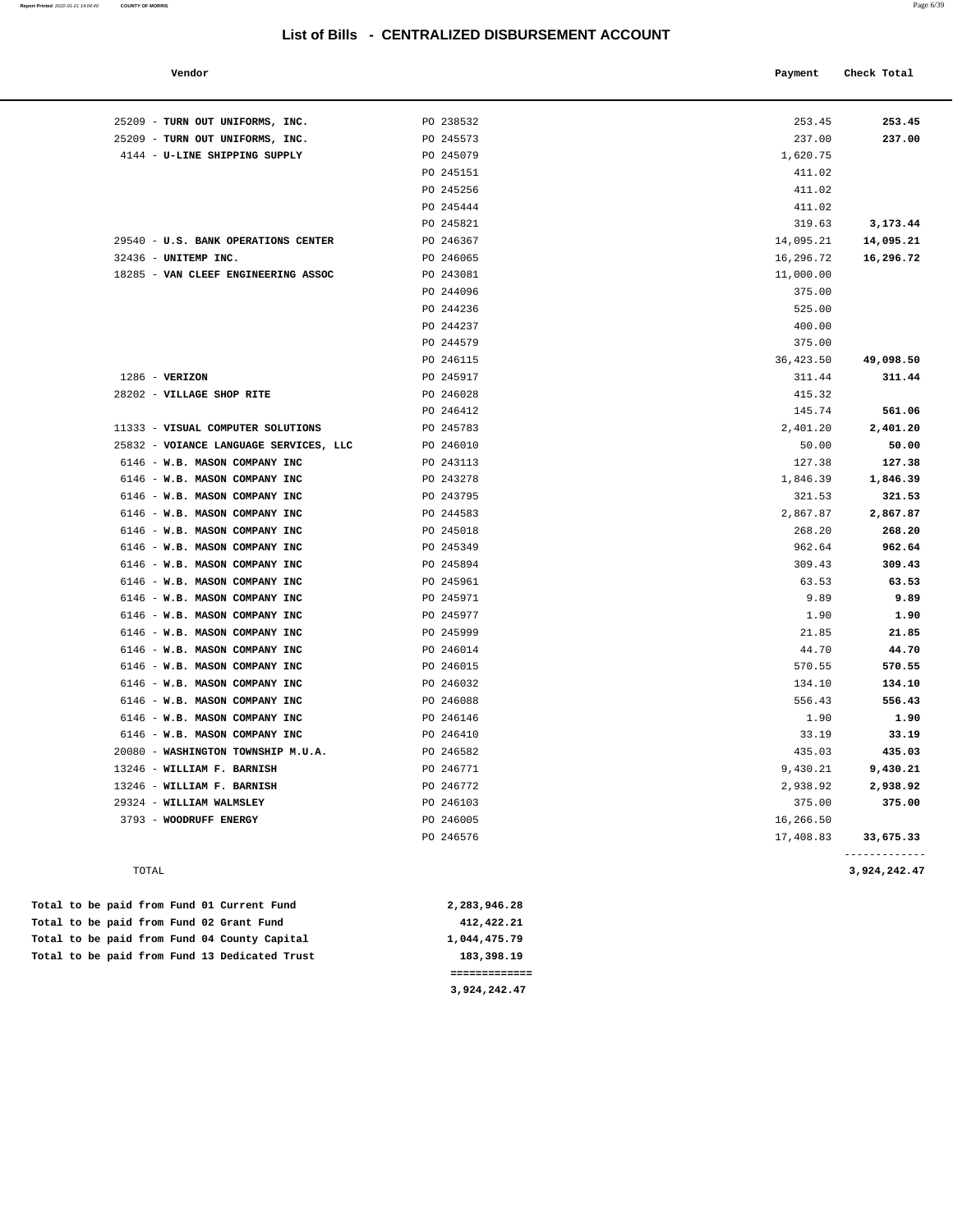| Vendor                                 |           | Payment   | Check Total |
|----------------------------------------|-----------|-----------|-------------|
|                                        |           |           |             |
| 25209 - TURN OUT UNIFORMS, INC.        | PO 238532 | 253.45    | 253.45      |
| 25209 - TURN OUT UNIFORMS, INC.        | PO 245573 | 237.00    | 237.00      |
| 4144 - U-LINE SHIPPING SUPPLY          | PO 245079 | 1,620.75  |             |
|                                        | PO 245151 | 411.02    |             |
|                                        | PO 245256 | 411.02    |             |
|                                        | PO 245444 | 411.02    |             |
|                                        | PO 245821 | 319.63    | 3,173.44    |
| 29540 - U.S. BANK OPERATIONS CENTER    | PO 246367 | 14,095.21 | 14,095.21   |
| 32436 - UNITEMP INC.                   | PO 246065 | 16,296.72 | 16,296.72   |
| 18285 - VAN CLEEF ENGINEERING ASSOC    | PO 243081 | 11,000.00 |             |
|                                        | PO 244096 | 375.00    |             |
|                                        | PO 244236 | 525.00    |             |
|                                        | PO 244237 | 400.00    |             |
|                                        | PO 244579 | 375.00    |             |
|                                        | PO 246115 | 36,423.50 | 49,098.50   |
| $1286$ - VERIZON                       | PO 245917 | 311.44    | 311.44      |
| 28202 - VILLAGE SHOP RITE              | PO 246028 | 415.32    |             |
|                                        | PO 246412 | 145.74    | 561.06      |
| 11333 - VISUAL COMPUTER SOLUTIONS      | PO 245783 | 2,401.20  | 2,401.20    |
| 25832 - VOIANCE LANGUAGE SERVICES, LLC | PO 246010 | 50.00     | 50.00       |
| 6146 - W.B. MASON COMPANY INC          | PO 243113 | 127.38    | 127.38      |
| 6146 - W.B. MASON COMPANY INC          | PO 243278 | 1,846.39  | 1,846.39    |
| 6146 - W.B. MASON COMPANY INC          | PO 243795 | 321.53    | 321.53      |
| 6146 - W.B. MASON COMPANY INC          | PO 244583 | 2,867.87  | 2,867.87    |
| 6146 - W.B. MASON COMPANY INC          | PO 245018 | 268.20    | 268.20      |
| 6146 - W.B. MASON COMPANY INC          | PO 245349 | 962.64    | 962.64      |
| 6146 - W.B. MASON COMPANY INC          | PO 245894 | 309.43    | 309.43      |
| 6146 - W.B. MASON COMPANY INC          | PO 245961 | 63.53     | 63.53       |
| 6146 - W.B. MASON COMPANY INC          | PO 245971 | 9.89      | 9.89        |
| 6146 - W.B. MASON COMPANY INC          | PO 245977 | 1.90      | 1.90        |
| 6146 - W.B. MASON COMPANY INC          | PO 245999 | 21.85     | 21.85       |
| 6146 - W.B. MASON COMPANY INC          | PO 246014 | 44.70     | 44.70       |
| 6146 - W.B. MASON COMPANY INC          | PO 246015 | 570.55    | 570.55      |
| 6146 - W.B. MASON COMPANY INC          | PO 246032 | 134.10    | 134.10      |
| 6146 - W.B. MASON COMPANY INC          | PO 246088 | 556.43    | 556.43      |
| 6146 - W.B. MASON COMPANY INC          | PO 246146 | 1.90      | 1.90        |
| 6146 - W.B. MASON COMPANY INC          | PO 246410 | 33.19     | 33.19       |
| 20080 - WASHINGTON TOWNSHIP M.U.A.     | PO 246582 | 435.03    | 435.03      |
| 13246 - WILLIAM F. BARNISH             | PO 246771 | 9,430.21  | 9,430.21    |
| 13246 - WILLIAM F. BARNISH             | PO 246772 | 2,938.92  | 2,938.92    |
| 29324 - WILLIAM WALMSLEY               | PO 246103 | 375.00    | 375.00      |
| 3793 - WOODRUFF ENERGY                 | PO 246005 | 16,266.50 |             |
|                                        | PO 246576 | 17,408.83 | 33,675.33   |
|                                        |           |           |             |

TOTAL **3,924,242.47**

|  |  |  |  | Total to be paid from Fund 01 Current Fund    | 2,283,946.28 |
|--|--|--|--|-----------------------------------------------|--------------|
|  |  |  |  | Total to be paid from Fund 02 Grant Fund      | 412, 422. 21 |
|  |  |  |  | Total to be paid from Fund 04 County Capital  | 1,044,475.79 |
|  |  |  |  | Total to be paid from Fund 13 Dedicated Trust | 183,398.19   |
|  |  |  |  |                                               |              |

 **============= 3,924,242.47** 

**Report Printed** 2022-01-21 14:04:40 **COUNTY OF MORRIS** Page 6/39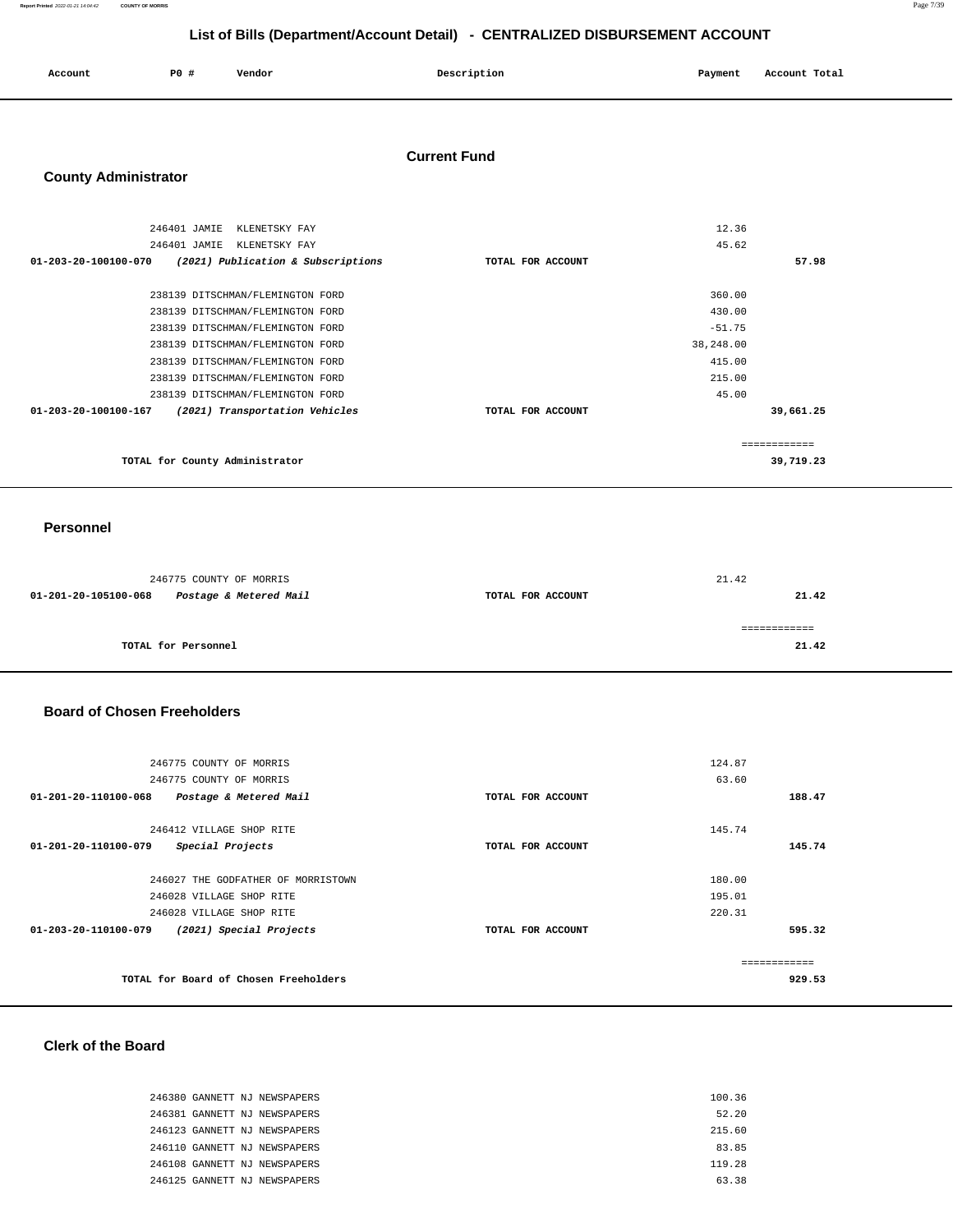**Report Printed** 2022-01-21 14:04:42 **COUNTY OF MORRIS** Page 7/39

### **List of Bills (Department/Account Detail) - CENTRALIZED DISBURSEMENT ACCOUNT**

| Account | PO# | Vendor | Description | Payment | Account Total |
|---------|-----|--------|-------------|---------|---------------|
|         |     |        |             |         |               |

#### **Current Fund**

### **County Administrator**

| 246401 JAMIE<br>KLENETSKY FAY                                        |                   | 12.36         |           |
|----------------------------------------------------------------------|-------------------|---------------|-----------|
| 246401 JAMIE<br>KLENETSKY FAY                                        |                   | 45.62         |           |
| (2021) Publication & Subscriptions<br>$01 - 203 - 20 - 100100 - 070$ | TOTAL FOR ACCOUNT |               | 57.98     |
|                                                                      |                   |               |           |
| 238139 DITSCHMAN/FLEMINGTON FORD                                     |                   | 360.00        |           |
| 238139 DITSCHMAN/FLEMINGTON FORD                                     |                   | 430.00        |           |
| 238139 DITSCHMAN/FLEMINGTON FORD                                     |                   | $-51.75$      |           |
| 238139 DITSCHMAN/FLEMINGTON FORD                                     |                   | 38,248.00     |           |
| 238139 DITSCHMAN/FLEMINGTON FORD                                     |                   | 415.00        |           |
| 238139 DITSCHMAN/FLEMINGTON FORD                                     |                   | 215.00        |           |
| 238139 DITSCHMAN/FLEMINGTON FORD                                     |                   | 45.00         |           |
| $01 - 203 - 20 - 100100 - 167$<br>(2021) Transportation Vehicles     | TOTAL FOR ACCOUNT |               | 39,661.25 |
|                                                                      |                   |               |           |
|                                                                      |                   | ------------- |           |
| TOTAL for County Administrator                                       |                   |               | 39,719.23 |
|                                                                      |                   |               |           |

#### **Personnel**

|                      | 246775 COUNTY OF MORRIS |                   | 21.42 |
|----------------------|-------------------------|-------------------|-------|
| 01-201-20-105100-068 | Postage & Metered Mail  | TOTAL FOR ACCOUNT | 21.42 |
|                      | TOTAL for Personnel     |                   | 21.42 |

#### **Board of Chosen Freeholders**

| 246775 COUNTY OF MORRIS                         |                   | 124.87 |               |
|-------------------------------------------------|-------------------|--------|---------------|
| 246775 COUNTY OF MORRIS                         |                   | 63.60  |               |
| 01-201-20-110100-068<br>Postage & Metered Mail  | TOTAL FOR ACCOUNT |        | 188.47        |
|                                                 |                   |        |               |
| 246412 VILLAGE SHOP RITE                        |                   | 145.74 |               |
| Special Projects<br>01-201-20-110100-079        | TOTAL FOR ACCOUNT |        | 145.74        |
|                                                 |                   |        |               |
| 246027 THE GODFATHER OF MORRISTOWN              |                   | 180.00 |               |
| 246028 VILLAGE SHOP RITE                        |                   | 195.01 |               |
| 246028 VILLAGE SHOP RITE                        |                   | 220.31 |               |
| (2021) Special Projects<br>01-203-20-110100-079 | TOTAL FOR ACCOUNT |        | 595.32        |
|                                                 |                   |        |               |
|                                                 |                   |        | ------------- |
| TOTAL for Board of Chosen Freeholders           |                   |        | 929.53        |
|                                                 |                   |        |               |

### **Clerk of the Board**

| 246380 GANNETT NJ NEWSPAPERS | 100.36 |
|------------------------------|--------|
| 246381 GANNETT NJ NEWSPAPERS | 52.20  |
| 246123 GANNETT NJ NEWSPAPERS | 215.60 |
| 246110 GANNETT NJ NEWSPAPERS | 83.85  |
| 246108 GANNETT NJ NEWSPAPERS | 119.28 |
| 246125 GANNETT NJ NEWSPAPERS | 63.38  |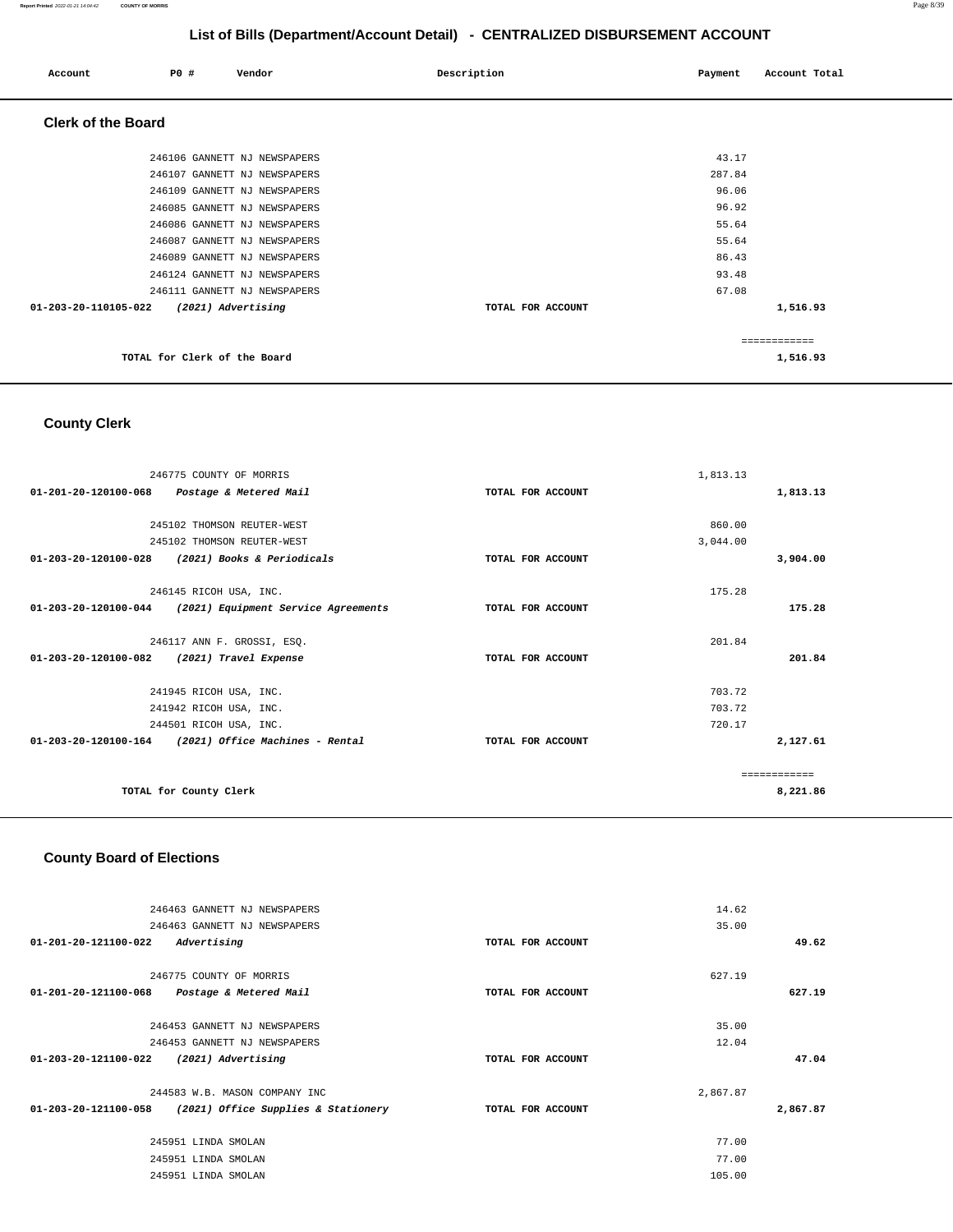| Account                   | <b>PO #</b>                  | Vendor                       | Description       | Payment | Account Total |
|---------------------------|------------------------------|------------------------------|-------------------|---------|---------------|
| <b>Clerk of the Board</b> |                              |                              |                   |         |               |
|                           |                              | 246106 GANNETT NJ NEWSPAPERS |                   | 43.17   |               |
|                           |                              | 246107 GANNETT NJ NEWSPAPERS |                   | 287.84  |               |
|                           |                              | 246109 GANNETT NJ NEWSPAPERS |                   | 96.06   |               |
|                           |                              | 246085 GANNETT NJ NEWSPAPERS |                   | 96.92   |               |
|                           |                              | 246086 GANNETT NJ NEWSPAPERS |                   | 55.64   |               |
|                           |                              | 246087 GANNETT NJ NEWSPAPERS |                   | 55.64   |               |
|                           |                              | 246089 GANNETT NJ NEWSPAPERS |                   | 86.43   |               |
|                           |                              | 246124 GANNETT NJ NEWSPAPERS |                   | 93.48   |               |
|                           |                              | 246111 GANNETT NJ NEWSPAPERS |                   | 67.08   |               |
| 01-203-20-110105-022      | (2021) Advertising           |                              | TOTAL FOR ACCOUNT |         | 1,516.93      |
|                           |                              |                              |                   |         | ------------  |
|                           | TOTAL for Clerk of the Board |                              |                   |         | 1,516.93      |

# **County Clerk**

|                                | 246775 COUNTY OF MORRIS             |                   | 1,813.13 |              |
|--------------------------------|-------------------------------------|-------------------|----------|--------------|
| 01-201-20-120100-068           | Postage & Metered Mail              | TOTAL FOR ACCOUNT |          | 1,813.13     |
|                                |                                     |                   |          |              |
|                                | 245102 THOMSON REUTER-WEST          |                   | 860.00   |              |
|                                | 245102 THOMSON REUTER-WEST          |                   | 3,044.00 |              |
| $01 - 203 - 20 - 120100 - 028$ | (2021) Books & Periodicals          | TOTAL FOR ACCOUNT |          | 3,904.00     |
|                                |                                     |                   |          |              |
|                                | 246145 RICOH USA, INC.              |                   | 175.28   |              |
| 01-203-20-120100-044           | (2021) Equipment Service Agreements | TOTAL FOR ACCOUNT |          | 175.28       |
|                                |                                     |                   |          |              |
|                                | 246117 ANN F. GROSSI, ESQ.          |                   | 201.84   |              |
| 01-203-20-120100-082           | (2021) Travel Expense               | TOTAL FOR ACCOUNT |          | 201.84       |
|                                |                                     |                   |          |              |
|                                | 241945 RICOH USA, INC.              |                   | 703.72   |              |
|                                | 241942 RICOH USA, INC.              |                   | 703.72   |              |
|                                | 244501 RICOH USA, INC.              |                   | 720.17   |              |
| 01-203-20-120100-164           | (2021) Office Machines - Rental     | TOTAL FOR ACCOUNT |          | 2,127.61     |
|                                |                                     |                   |          |              |
|                                |                                     |                   |          | ============ |
|                                | TOTAL for County Clerk              |                   |          | 8,221.86     |
|                                |                                     |                   |          |              |

### **County Board of Elections**

| 246463 GANNETT NJ NEWSPAPERS                                |                   | 14.62    |          |
|-------------------------------------------------------------|-------------------|----------|----------|
| 246463 GANNETT NJ NEWSPAPERS                                |                   | 35.00    |          |
| Advertising<br>01-201-20-121100-022                         | TOTAL FOR ACCOUNT |          | 49.62    |
| 246775 COUNTY OF MORRIS                                     |                   | 627.19   |          |
| 01-201-20-121100-068<br>Postage & Metered Mail              | TOTAL FOR ACCOUNT |          | 627.19   |
| 246453 GANNETT NJ NEWSPAPERS                                |                   | 35.00    |          |
| 246453 GANNETT NJ NEWSPAPERS                                |                   | 12.04    |          |
| 01-203-20-121100-022<br>(2021) Advertising                  | TOTAL FOR ACCOUNT |          | 47.04    |
| 244583 W.B. MASON COMPANY INC                               |                   | 2,867.87 |          |
| 01-203-20-121100-058<br>(2021) Office Supplies & Stationery | TOTAL FOR ACCOUNT |          | 2,867.87 |
| 245951 LINDA SMOLAN                                         |                   | 77.00    |          |
| 245951 LINDA SMOLAN                                         |                   | 77.00    |          |
| 245951 LINDA SMOLAN                                         |                   | 105.00   |          |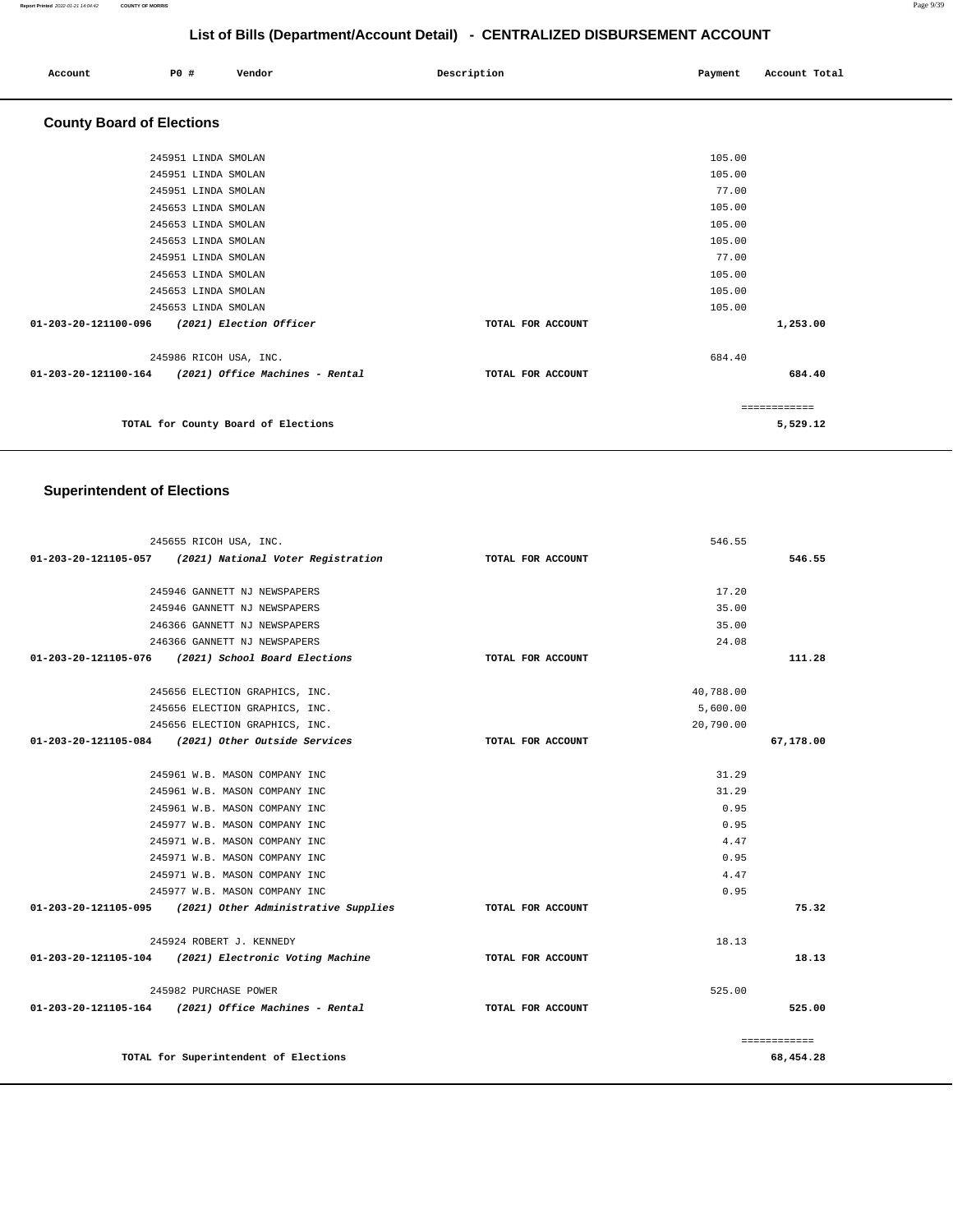|                                  | LIST OF DIIIS (Department/Account Detail) - CENTRALIZED DISBURSEMENT ACCOUNT |                                     |                   |         |               |  |
|----------------------------------|------------------------------------------------------------------------------|-------------------------------------|-------------------|---------|---------------|--|
| Account                          | P0 #                                                                         | Vendor                              | Description       | Payment | Account Total |  |
| <b>County Board of Elections</b> |                                                                              |                                     |                   |         |               |  |
|                                  | 245951 LINDA SMOLAN                                                          |                                     |                   | 105.00  |               |  |
|                                  | 245951 LINDA SMOLAN                                                          |                                     |                   | 105.00  |               |  |
|                                  | 245951 LINDA SMOLAN                                                          |                                     |                   | 77.00   |               |  |
|                                  | 245653 LINDA SMOLAN                                                          |                                     |                   | 105.00  |               |  |
|                                  | 245653 LINDA SMOLAN                                                          |                                     |                   | 105.00  |               |  |
|                                  | 245653 LINDA SMOLAN                                                          |                                     |                   | 105.00  |               |  |
|                                  | 245951 LINDA SMOLAN                                                          |                                     |                   | 77.00   |               |  |
|                                  | 245653 LINDA SMOLAN                                                          |                                     |                   | 105.00  |               |  |
|                                  | 245653 LINDA SMOLAN                                                          |                                     |                   | 105.00  |               |  |
|                                  | 245653 LINDA SMOLAN                                                          |                                     |                   | 105.00  |               |  |
| 01-203-20-121100-096             |                                                                              | (2021) Election Officer             | TOTAL FOR ACCOUNT |         | 1,253.00      |  |
|                                  | 245986 RICOH USA, INC.                                                       |                                     |                   | 684.40  |               |  |
| 01-203-20-121100-164             |                                                                              | (2021) Office Machines - Rental     | TOTAL FOR ACCOUNT |         | 684.40        |  |
|                                  |                                                                              |                                     |                   |         | ============  |  |
|                                  |                                                                              | TOTAL for County Board of Elections |                   |         | 5,529.12      |  |

### **Superintendent of Elections**

| 245655 RICOH USA, INC.                                      |                   | 546.55    |              |
|-------------------------------------------------------------|-------------------|-----------|--------------|
| 01-203-20-121105-057 (2021) National Voter Registration     | TOTAL FOR ACCOUNT |           | 546.55       |
| 245946 GANNETT NJ NEWSPAPERS                                |                   | 17.20     |              |
| 245946 GANNETT NJ NEWSPAPERS                                |                   | 35.00     |              |
| 246366 GANNETT NJ NEWSPAPERS                                |                   | 35.00     |              |
| 246366 GANNETT NJ NEWSPAPERS                                |                   | 24.08     |              |
| 01-203-20-121105-076 (2021) School Board Elections          | TOTAL FOR ACCOUNT |           | 111.28       |
|                                                             |                   |           |              |
| 245656 ELECTION GRAPHICS, INC.                              |                   | 40,788.00 |              |
| 245656 ELECTION GRAPHICS, INC.                              |                   | 5,600.00  |              |
| 245656 ELECTION GRAPHICS, INC.                              |                   | 20,790.00 |              |
| 01-203-20-121105-084 (2021) Other Outside Services          | TOTAL FOR ACCOUNT |           | 67,178.00    |
|                                                             |                   |           |              |
| 245961 W.B. MASON COMPANY INC                               |                   | 31.29     |              |
| 245961 W.B. MASON COMPANY INC                               |                   | 31.29     |              |
| 245961 W.B. MASON COMPANY INC                               |                   | 0.95      |              |
| 245977 W.B. MASON COMPANY INC                               |                   | 0.95      |              |
| 245971 W.B. MASON COMPANY INC                               |                   | 4.47      |              |
| 245971 W.B. MASON COMPANY INC                               |                   | 0.95      |              |
| 245971 W.B. MASON COMPANY INC                               |                   | 4.47      |              |
| 245977 W.B. MASON COMPANY INC                               |                   | 0.95      |              |
| $01-203-20-121105-095$ (2021) Other Administrative Supplies | TOTAL FOR ACCOUNT |           | 75.32        |
| 245924 ROBERT J. KENNEDY                                    |                   | 18.13     |              |
| 01-203-20-121105-104 (2021) Electronic Voting Machine       | TOTAL FOR ACCOUNT |           | 18.13        |
| 245982 PURCHASE POWER                                       |                   | 525.00    |              |
| $01-203-20-121105-164$ (2021) Office Machines - Rental      | TOTAL FOR ACCOUNT |           | 525.00       |
|                                                             |                   |           | ============ |
| TOTAL for Superintendent of Elections                       |                   | 68,454.28 |              |

**Report Printed** 2022-01-21 14:04:42 **COUNTY OF MORRIS** Page 9/39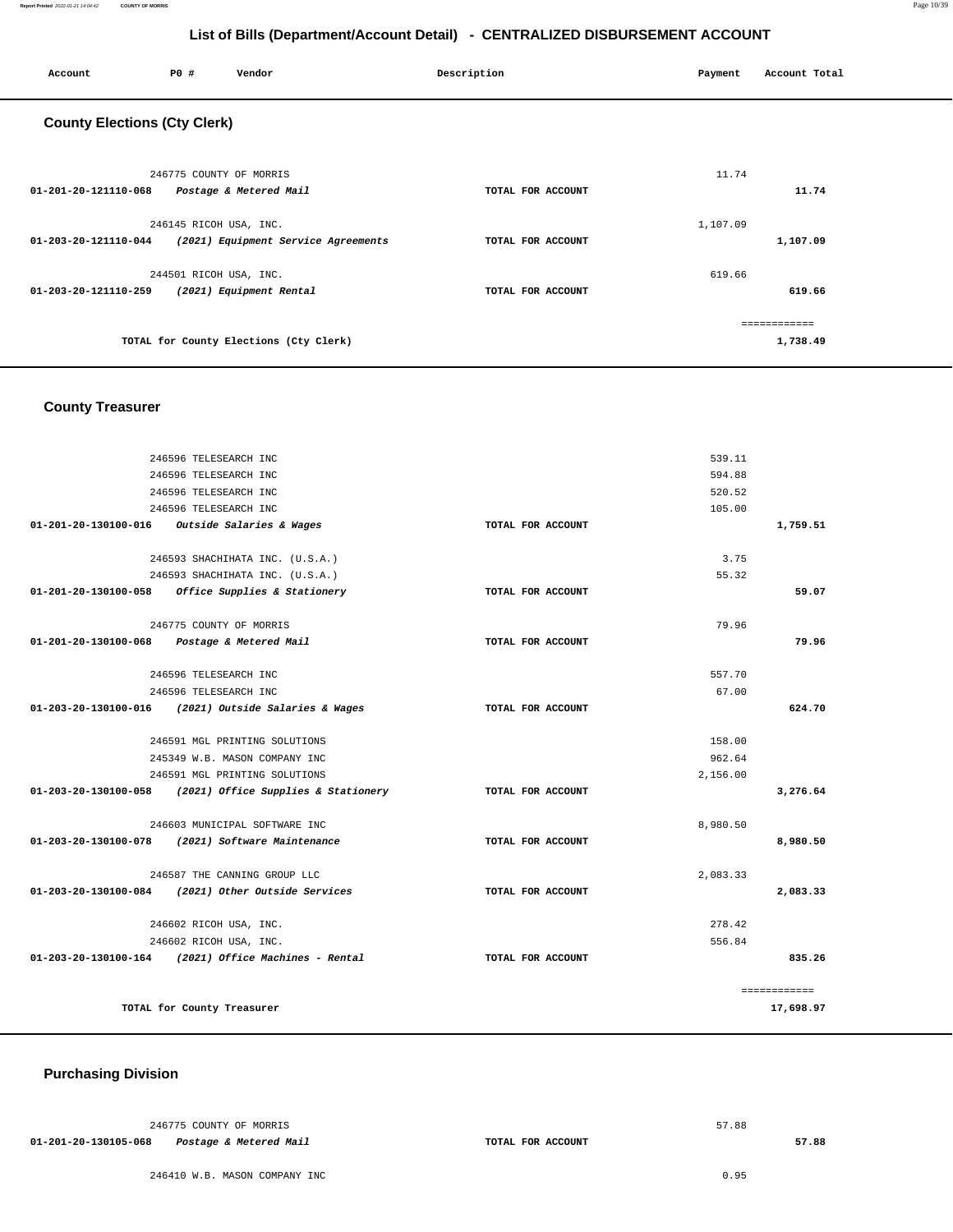| Account                             | P0 #                    | Vendor                                 | Description       | Payment  | Account Total |
|-------------------------------------|-------------------------|----------------------------------------|-------------------|----------|---------------|
| <b>County Elections (Cty Clerk)</b> |                         |                                        |                   |          |               |
|                                     | 246775 COUNTY OF MORRIS |                                        |                   | 11.74    |               |
| 01-201-20-121110-068                |                         | Postage & Metered Mail                 | TOTAL FOR ACCOUNT |          | 11.74         |
|                                     | 246145 RICOH USA, INC.  |                                        |                   | 1,107.09 |               |
| 01-203-20-121110-044                |                         | (2021) Equipment Service Agreements    | TOTAL FOR ACCOUNT |          | 1,107.09      |
|                                     | 244501 RICOH USA, INC.  |                                        |                   | 619.66   |               |
| 01-203-20-121110-259                |                         | (2021) Equipment Rental                | TOTAL FOR ACCOUNT |          | 619.66        |
|                                     |                         |                                        |                   |          | ============  |
|                                     |                         | TOTAL for County Elections (Cty Clerk) |                   |          | 1,738.49      |
|                                     |                         |                                        |                   |          |               |

### **County Treasurer**

| 246596 TELESEARCH INC                                    |                   | 539.11   |              |
|----------------------------------------------------------|-------------------|----------|--------------|
| 246596 TELESEARCH INC                                    |                   | 594.88   |              |
| 246596 TELESEARCH INC                                    |                   | 520.52   |              |
| 246596 TELESEARCH INC                                    |                   | 105.00   |              |
| 01-201-20-130100-016 Outside Salaries & Wages            | TOTAL FOR ACCOUNT |          | 1,759.51     |
|                                                          |                   |          |              |
| 246593 SHACHIHATA INC. (U.S.A.)                          |                   | 3.75     |              |
| 246593 SHACHIHATA INC. (U.S.A.)                          |                   | 55.32    |              |
| 01-201-20-130100-058 Office Supplies & Stationery        | TOTAL FOR ACCOUNT |          | 59.07        |
| 246775 COUNTY OF MORRIS                                  |                   | 79.96    |              |
| 01-201-20-130100-068 Postage & Metered Mail              | TOTAL FOR ACCOUNT |          | 79.96        |
| 246596 TELESEARCH INC                                    |                   | 557.70   |              |
| 246596 TELESEARCH INC                                    |                   | 67.00    |              |
| 01-203-20-130100-016 (2021) Outside Salaries & Wages     | TOTAL FOR ACCOUNT |          | 624.70       |
|                                                          |                   |          |              |
| 246591 MGL PRINTING SOLUTIONS                            |                   | 158.00   |              |
| 245349 W.B. MASON COMPANY INC                            |                   | 962.64   |              |
| 246591 MGL PRINTING SOLUTIONS                            |                   | 2,156,00 |              |
| 01-203-20-130100-058 (2021) Office Supplies & Stationery | TOTAL FOR ACCOUNT |          | 3,276.64     |
| 246603 MUNICIPAL SOFTWARE INC                            |                   | 8,980.50 |              |
| 01-203-20-130100-078 (2021) Software Maintenance         | TOTAL FOR ACCOUNT |          | 8,980.50     |
| 246587 THE CANNING GROUP LLC                             |                   | 2,083.33 |              |
| 01-203-20-130100-084 (2021) Other Outside Services       | TOTAL FOR ACCOUNT |          | 2,083.33     |
| 246602 RICOH USA, INC.                                   |                   | 278.42   |              |
| 246602 RICOH USA, INC.                                   |                   | 556.84   |              |
| $01-203-20-130100-164$ (2021) Office Machines - Rental   | TOTAL FOR ACCOUNT |          | 835.26       |
|                                                          |                   |          | ============ |
| TOTAL for County Treasurer                               |                   |          | 17,698.97    |
|                                                          |                   |          |              |

### **Purchasing Division**

| 01-201-20-130105-068 | Postage & Metered Mail  | TOTAL FOR ACCOUNT |       |
|----------------------|-------------------------|-------------------|-------|
|                      | 246775 COUNTY OF MORRIS |                   | 57.88 |

**57.88**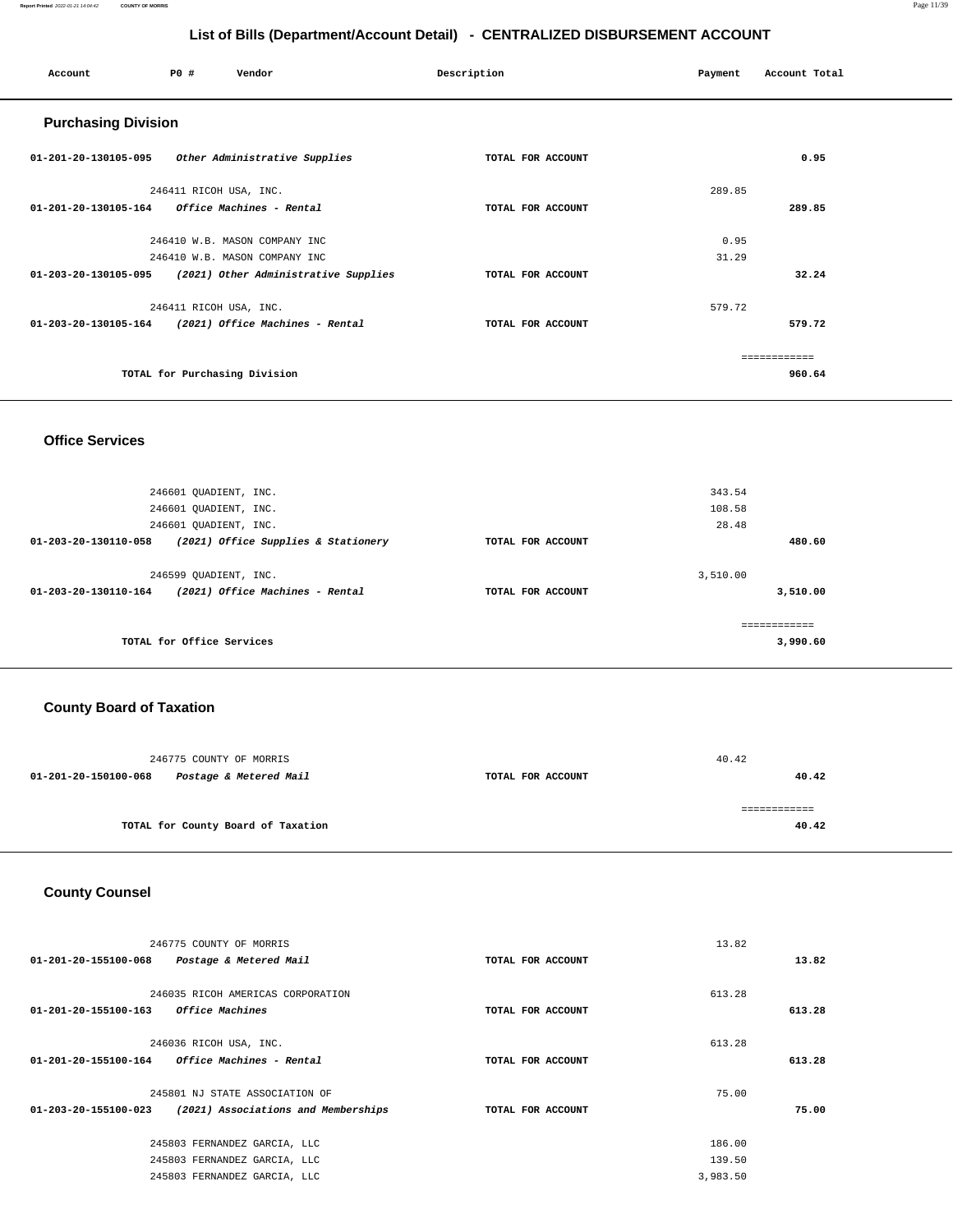#### **Report Printed** 2022-01-21 14:04:42 **COUNTY OF MORRIS** Page 11/39

### **List of Bills (Department/Account Detail) - CENTRALIZED DISBURSEMENT ACCOUNT**

| Account                        | PO#                    | Vendor                               | Description       | Payment | Account Total |
|--------------------------------|------------------------|--------------------------------------|-------------------|---------|---------------|
| <b>Purchasing Division</b>     |                        |                                      |                   |         |               |
| 01-201-20-130105-095           |                        | Other Administrative Supplies        | TOTAL FOR ACCOUNT |         | 0.95          |
|                                | 246411 RICOH USA, INC. |                                      |                   | 289.85  |               |
| 01-201-20-130105-164           |                        | Office Machines - Rental             | TOTAL FOR ACCOUNT |         | 289.85        |
|                                |                        | 246410 W.B. MASON COMPANY INC        |                   | 0.95    |               |
|                                |                        | 246410 W.B. MASON COMPANY INC        |                   | 31.29   |               |
| 01-203-20-130105-095           |                        | (2021) Other Administrative Supplies | TOTAL FOR ACCOUNT |         | 32.24         |
|                                | 246411 RICOH USA, INC. |                                      |                   | 579.72  |               |
| $01 - 203 - 20 - 130105 - 164$ |                        | (2021) Office Machines - Rental      | TOTAL FOR ACCOUNT |         | 579.72        |
|                                |                        |                                      |                   |         | ------------- |
|                                |                        | TOTAL for Purchasing Division        |                   |         | 960.64        |

#### **Office Services**

|                                | 246601 QUADIENT, INC.               |                   | 343.54    |
|--------------------------------|-------------------------------------|-------------------|-----------|
|                                | 246601 QUADIENT, INC.               |                   | 108.58    |
|                                | 246601 QUADIENT, INC.               |                   | 28.48     |
| $01 - 203 - 20 - 130110 - 058$ | (2021) Office Supplies & Stationery | TOTAL FOR ACCOUNT | 480.60    |
|                                |                                     |                   |           |
|                                | 246599 OUADIENT, INC.               |                   | 3,510.00  |
| $01 - 203 - 20 - 130110 - 164$ | (2021) Office Machines - Rental     | TOTAL FOR ACCOUNT | 3,510.00  |
|                                |                                     |                   |           |
|                                |                                     |                   | --------- |
|                                | TOTAL for Office Services           |                   | 3,990.60  |
|                                |                                     |                   |           |

## **County Board of Taxation**

|                      | 246775 COUNTY OF MORRIS            |                   | 40.42 |       |
|----------------------|------------------------------------|-------------------|-------|-------|
| 01-201-20-150100-068 | Postage & Metered Mail             | TOTAL FOR ACCOUNT |       | 40.42 |
|                      |                                    |                   |       |       |
|                      | TOTAL for County Board of Taxation |                   |       | 40.42 |
|                      |                                    |                   |       |       |

## **County Counsel**

|                                | 246775 COUNTY OF MORRIS             |                   | 13.82    |        |
|--------------------------------|-------------------------------------|-------------------|----------|--------|
| $01 - 201 - 20 - 155100 - 068$ | Postage & Metered Mail              | TOTAL FOR ACCOUNT |          | 13.82  |
|                                |                                     |                   |          |        |
|                                | 246035 RICOH AMERICAS CORPORATION   |                   | 613.28   |        |
| 01-201-20-155100-163           | <i><b>Office Machines</b></i>       | TOTAL FOR ACCOUNT |          | 613.28 |
|                                |                                     |                   |          |        |
|                                | 246036 RICOH USA, INC.              |                   | 613.28   |        |
| $01 - 201 - 20 - 155100 - 164$ | Office Machines - Rental            | TOTAL FOR ACCOUNT |          | 613.28 |
|                                |                                     |                   |          |        |
|                                | 245801 NJ STATE ASSOCIATION OF      |                   | 75.00    |        |
| $01 - 203 - 20 - 155100 - 023$ | (2021) Associations and Memberships | TOTAL FOR ACCOUNT |          | 75.00  |
|                                |                                     |                   |          |        |
|                                | 245803 FERNANDEZ GARCIA, LLC        |                   | 186.00   |        |
|                                | 245803 FERNANDEZ GARCIA, LLC        |                   | 139.50   |        |
|                                | 245803 FERNANDEZ GARCIA, LLC        |                   | 3,983.50 |        |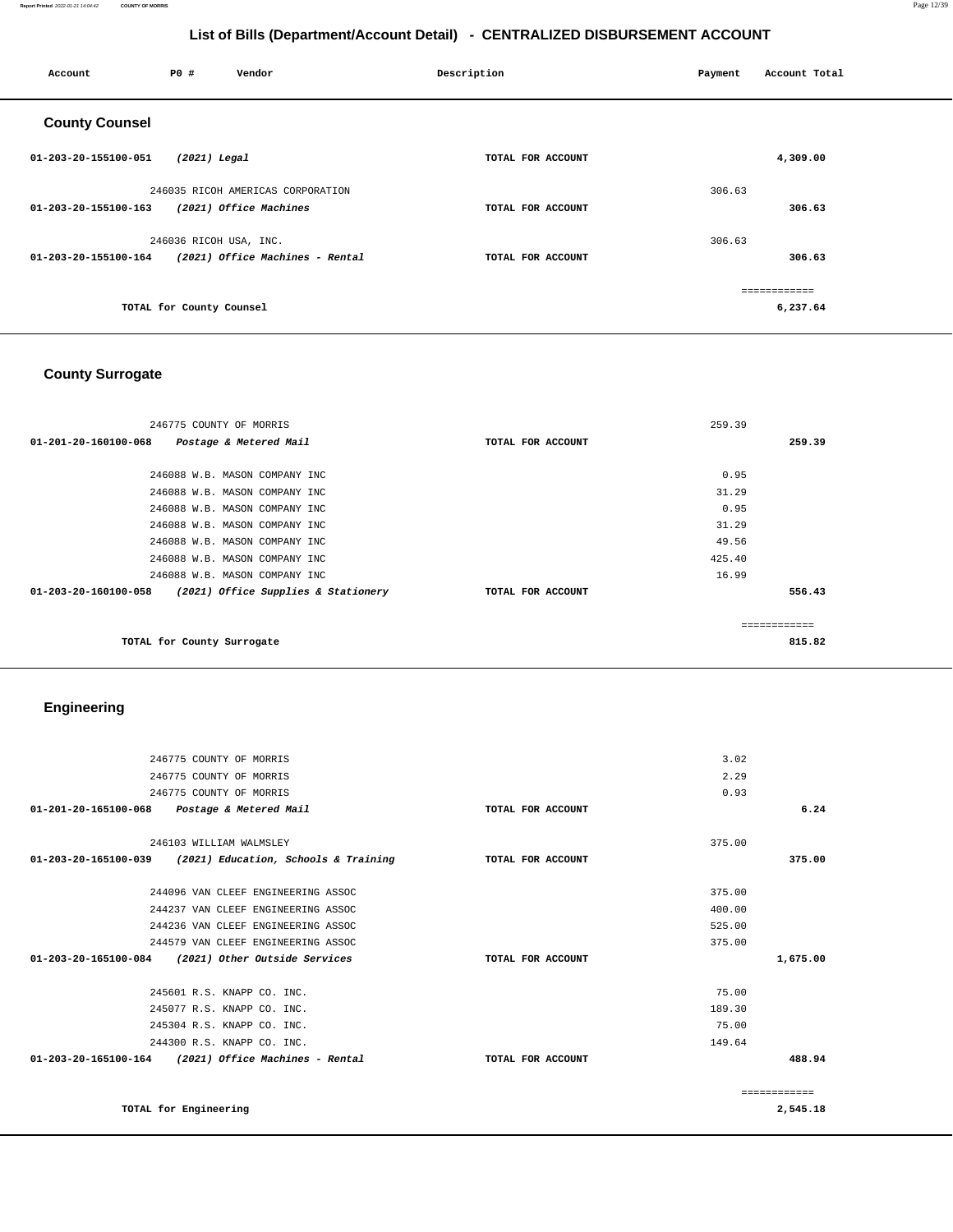#### **Report Printed** 2022-01-21 14:04:42 **COUNTY OF MORRIS** Page 12/39

## **List of Bills (Department/Account Detail) - CENTRALIZED DISBURSEMENT ACCOUNT**

| Account               | P0 #<br>Vendor                    | Description       | Account Total<br>Payment |
|-----------------------|-----------------------------------|-------------------|--------------------------|
| <b>County Counsel</b> |                                   |                   |                          |
| 01-203-20-155100-051  | (2021) Legal                      | TOTAL FOR ACCOUNT | 4,309.00                 |
|                       | 246035 RICOH AMERICAS CORPORATION |                   | 306.63                   |
| 01-203-20-155100-163  | (2021) Office Machines            | TOTAL FOR ACCOUNT | 306.63                   |
|                       | 246036 RICOH USA, INC.            |                   | 306.63                   |
| 01-203-20-155100-164  | (2021) Office Machines - Rental   | TOTAL FOR ACCOUNT | 306.63                   |
|                       |                                   |                   | ============             |
|                       | TOTAL for County Counsel          |                   | 6,237.64                 |
|                       |                                   |                   |                          |

## **County Surrogate**

| 246775 COUNTY OF MORRIS                                               |                   | 259.39 |        |
|-----------------------------------------------------------------------|-------------------|--------|--------|
| 01-201-20-160100-068<br>Postage & Metered Mail                        | TOTAL FOR ACCOUNT |        | 259.39 |
|                                                                       |                   |        |        |
| 246088 W.B. MASON COMPANY INC                                         |                   | 0.95   |        |
| 246088 W.B. MASON COMPANY INC                                         |                   | 31.29  |        |
| 246088 W.B. MASON COMPANY INC                                         |                   | 0.95   |        |
| 246088 W.B. MASON COMPANY INC                                         |                   | 31.29  |        |
| 246088 W.B. MASON COMPANY INC                                         |                   | 49.56  |        |
| 246088 W.B. MASON COMPANY INC                                         |                   | 425.40 |        |
| 246088 W.B. MASON COMPANY INC                                         |                   | 16.99  |        |
| $01 - 203 - 20 - 160100 - 058$<br>(2021) Office Supplies & Stationery | TOTAL FOR ACCOUNT |        | 556.43 |
|                                                                       |                   |        |        |
|                                                                       |                   |        |        |
| TOTAL for County Surrogate                                            |                   |        | 815.82 |

## **Engineering**

| 246775 COUNTY OF MORRIS                                   |                   | 3.02          |
|-----------------------------------------------------------|-------------------|---------------|
| 246775 COUNTY OF MORRIS                                   |                   | 2.29          |
| 246775 COUNTY OF MORRIS                                   |                   | 0.93          |
| 01-201-20-165100-068 Postage & Metered Mail               | TOTAL FOR ACCOUNT | 6.24          |
| 246103 WILLIAM WALMSLEY                                   |                   | 375.00        |
| 01-203-20-165100-039 (2021) Education, Schools & Training | TOTAL FOR ACCOUNT | 375.00        |
| 244096 VAN CLEEF ENGINEERING ASSOC                        |                   | 375.00        |
| 244237 VAN CLEEF ENGINEERING ASSOC                        |                   | 400.00        |
| 244236 VAN CLEEF ENGINEERING ASSOC                        |                   | 525.00        |
| 244579 VAN CLEEF ENGINEERING ASSOC                        |                   | 375.00        |
| 01-203-20-165100-084 (2021) Other Outside Services        | TOTAL FOR ACCOUNT | 1,675.00      |
| 245601 R.S. KNAPP CO. INC.                                |                   | 75.00         |
| 245077 R.S. KNAPP CO. INC.                                |                   | 189.30        |
| 245304 R.S. KNAPP CO. INC.                                |                   | 75.00         |
| 244300 R.S. KNAPP CO. INC.                                |                   | 149.64        |
| $01-203-20-165100-164$ (2021) Office Machines - Rental    | TOTAL FOR ACCOUNT | 488.94        |
|                                                           |                   | ------------- |
| TOTAL for Engineering                                     |                   | 2,545.18      |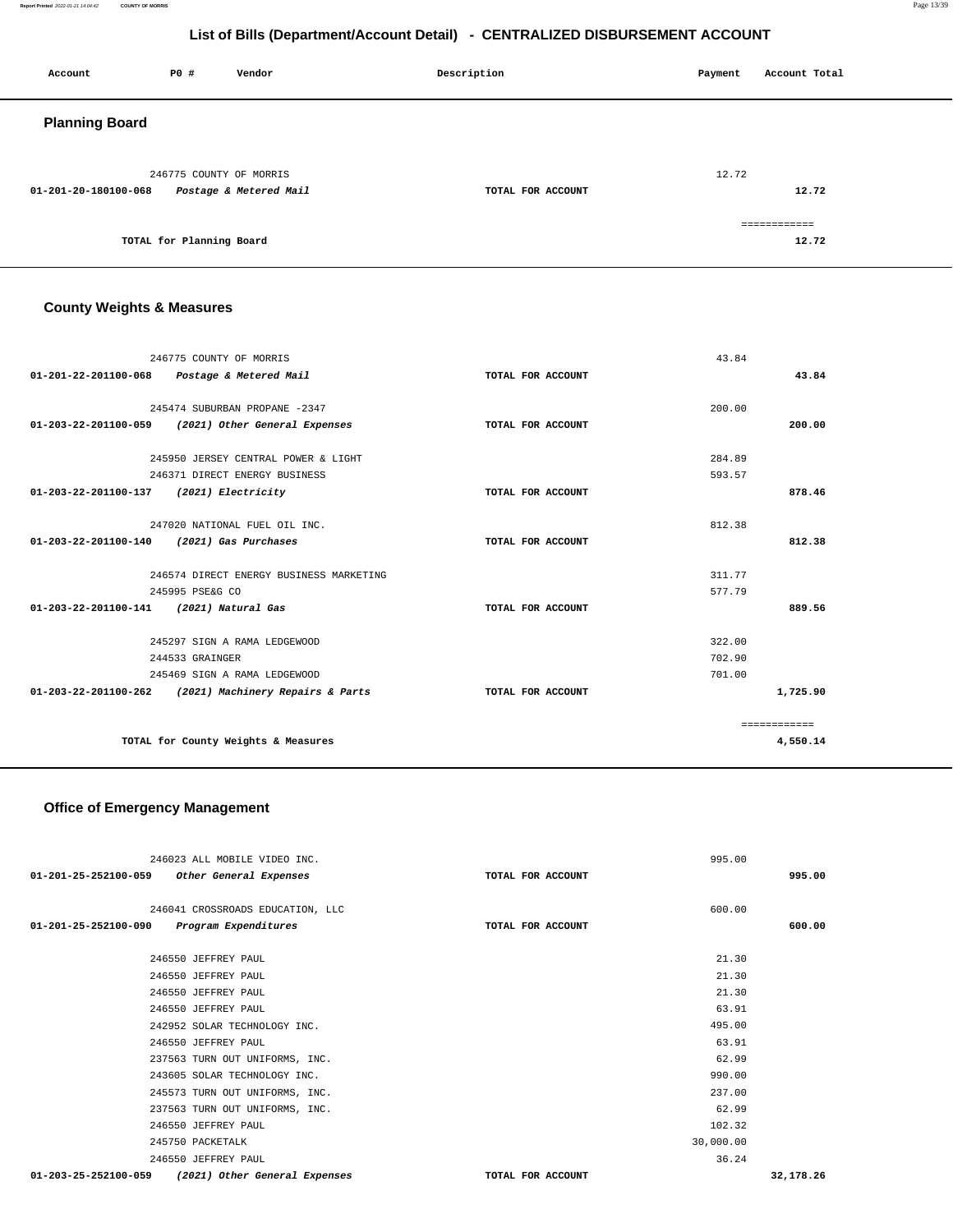| Account               | P0 #                     | Vendor                                            | Description       | Payment | Account Total         |
|-----------------------|--------------------------|---------------------------------------------------|-------------------|---------|-----------------------|
| <b>Planning Board</b> |                          |                                                   |                   |         |                       |
| 01-201-20-180100-068  |                          | 246775 COUNTY OF MORRIS<br>Postage & Metered Mail | TOTAL FOR ACCOUNT | 12.72   | 12.72                 |
|                       | TOTAL for Planning Board |                                                   |                   |         | ============<br>12.72 |

### **County Weights & Measures**

|                                           | 246775 COUNTY OF MORRIS                               |                   | 43.84  |              |
|-------------------------------------------|-------------------------------------------------------|-------------------|--------|--------------|
| 01-201-22-201100-068                      | Postage & Metered Mail                                | TOTAL FOR ACCOUNT |        | 43.84        |
|                                           |                                                       |                   |        |              |
|                                           | 245474 SUBURBAN PROPANE -2347                         |                   | 200.00 |              |
|                                           | 01-203-22-201100-059 (2021) Other General Expenses    | TOTAL FOR ACCOUNT |        | 200.00       |
|                                           |                                                       |                   |        |              |
|                                           | 245950 JERSEY CENTRAL POWER & LIGHT                   |                   | 284.89 |              |
|                                           | 246371 DIRECT ENERGY BUSINESS                         |                   | 593.57 |              |
| 01-203-22-201100-137 (2021) Electricity   |                                                       | TOTAL FOR ACCOUNT |        | 878.46       |
|                                           |                                                       |                   |        |              |
|                                           | 247020 NATIONAL FUEL OIL INC.                         |                   | 812.38 |              |
| 01-203-22-201100-140 (2021) Gas Purchases |                                                       | TOTAL FOR ACCOUNT |        | 812.38       |
|                                           |                                                       |                   |        |              |
|                                           | 246574 DIRECT ENERGY BUSINESS MARKETING               |                   | 311.77 |              |
|                                           | 245995 PSE&G CO                                       |                   | 577.79 |              |
| 01-203-22-201100-141 (2021) Natural Gas   |                                                       | TOTAL FOR ACCOUNT |        | 889.56       |
|                                           |                                                       |                   |        |              |
|                                           | 245297 SIGN A RAMA LEDGEWOOD                          |                   | 322.00 |              |
|                                           | 244533 GRAINGER                                       |                   | 702.90 |              |
|                                           | 245469 SIGN A RAMA LEDGEWOOD                          |                   | 701.00 |              |
|                                           | 01-203-22-201100-262 (2021) Machinery Repairs & Parts | TOTAL FOR ACCOUNT |        | 1,725.90     |
|                                           |                                                       |                   |        |              |
|                                           |                                                       |                   |        | ============ |
|                                           | TOTAL for County Weights & Measures                   |                   |        | 4,550.14     |

# **Office of Emergency Management**

| 246023 ALL MOBILE VIDEO INC.                          |                   | 995.00    |           |
|-------------------------------------------------------|-------------------|-----------|-----------|
| 01-201-25-252100-059 Other General Expenses           | TOTAL FOR ACCOUNT |           | 995.00    |
|                                                       |                   |           |           |
| 246041 CROSSROADS EDUCATION, LLC                      |                   | 600.00    |           |
| 01-201-25-252100-090 Program Expenditures             | TOTAL FOR ACCOUNT |           | 600.00    |
|                                                       |                   |           |           |
| 246550 JEFFREY PAUL                                   |                   | 21.30     |           |
| 246550 JEFFREY PAUL                                   |                   | 21.30     |           |
| 246550 JEFFREY PAUL                                   |                   | 21.30     |           |
| 246550 JEFFREY PAUL                                   |                   | 63.91     |           |
| 242952 SOLAR TECHNOLOGY INC.                          |                   | 495.00    |           |
| 246550 JEFFREY PAUL                                   |                   | 63.91     |           |
| 237563 TURN OUT UNIFORMS, INC.                        |                   | 62.99     |           |
| 243605 SOLAR TECHNOLOGY INC.                          |                   | 990.00    |           |
| 245573 TURN OUT UNIFORMS, INC.                        |                   | 237.00    |           |
| 237563 TURN OUT UNIFORMS, INC.                        |                   | 62.99     |           |
| 246550 JEFFREY PAUL                                   |                   | 102.32    |           |
| 245750 PACKETALK                                      |                   | 30,000,00 |           |
| 246550 JEFFREY PAUL                                   |                   | 36.24     |           |
| 01-203-25-252100-059<br>(2021) Other General Expenses | TOTAL FOR ACCOUNT |           | 32,178.26 |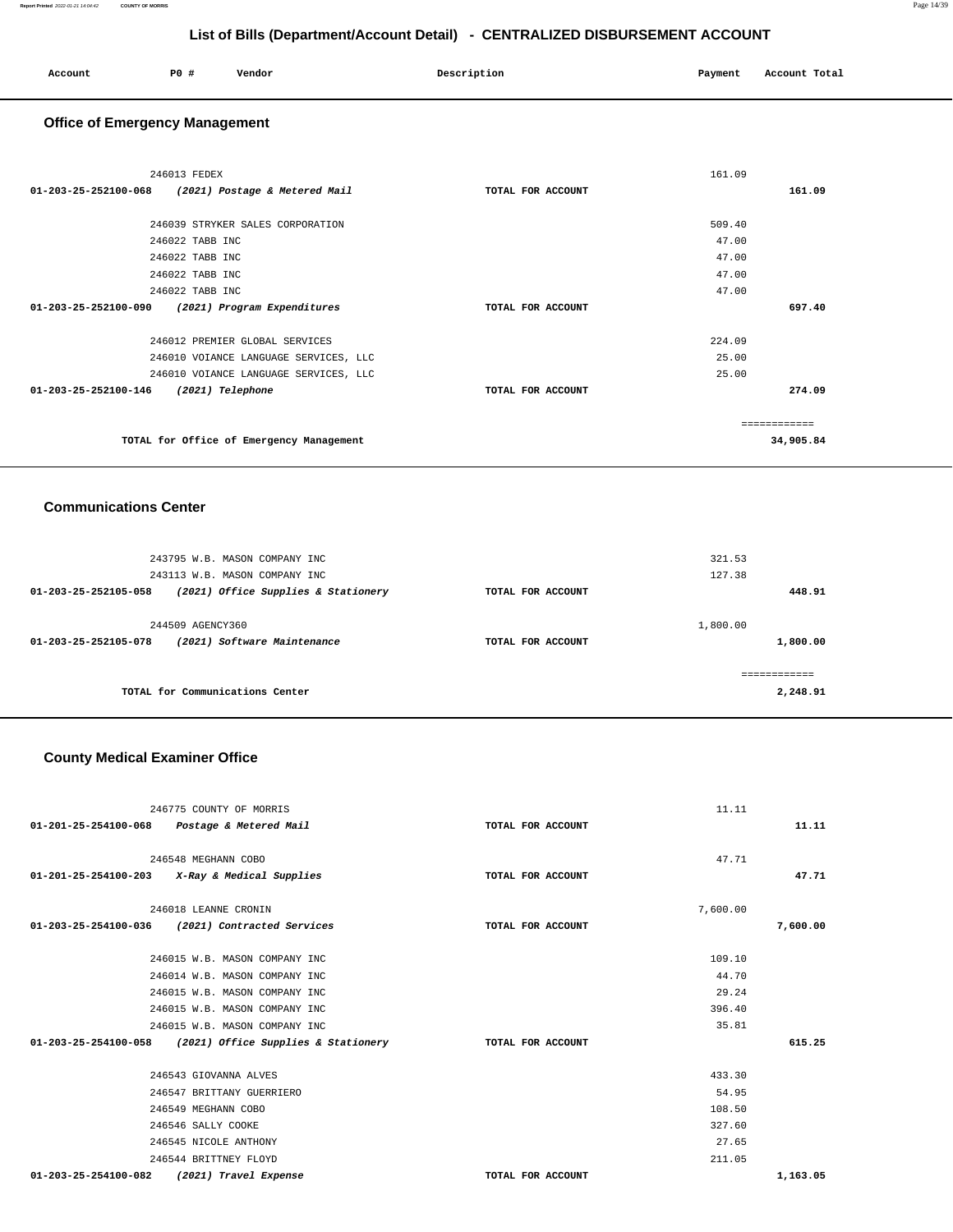| Account<br>. | PO# | Vendor | Description | Payment | Account Total<br>.<br>. |
|--------------|-----|--------|-------------|---------|-------------------------|
|              |     |        |             |         |                         |

## **Office of Emergency Management**

|                      | 246013 FEDEX                                     |                   | 161.09 |           |
|----------------------|--------------------------------------------------|-------------------|--------|-----------|
| 01-203-25-252100-068 | (2021) Postage & Metered Mail                    | TOTAL FOR ACCOUNT |        | 161.09    |
|                      | 246039 STRYKER SALES CORPORATION                 |                   | 509.40 |           |
|                      | 246022 TABB INC                                  |                   | 47.00  |           |
|                      | 246022 TABB INC                                  |                   | 47.00  |           |
|                      | 246022 TABB INC                                  |                   | 47.00  |           |
|                      | 246022 TABB INC                                  |                   | 47.00  |           |
|                      | 01-203-25-252100-090 (2021) Program Expenditures | TOTAL FOR ACCOUNT |        | 697.40    |
|                      | 246012 PREMIER GLOBAL SERVICES                   |                   | 224.09 |           |
|                      | 246010 VOIANCE LANGUAGE SERVICES, LLC            |                   | 25.00  |           |
|                      | 246010 VOIANCE LANGUAGE SERVICES, LLC            |                   | 25.00  |           |
| 01-203-25-252100-146 | (2021) Telephone                                 | TOTAL FOR ACCOUNT |        | 274.09    |
|                      |                                                  |                   |        |           |
|                      | TOTAL for Office of Emergency Management         |                   |        | 34,905.84 |

#### **Communications Center**

|                      | 243795 W.B. MASON COMPANY INC<br>243113 W.B. MASON COMPANY INC |                                     |                   | 321.53<br>127.38 |          |
|----------------------|----------------------------------------------------------------|-------------------------------------|-------------------|------------------|----------|
| 01-203-25-252105-058 |                                                                | (2021) Office Supplies & Stationery | TOTAL FOR ACCOUNT |                  | 448.91   |
|                      | 244509 AGENCY360                                               |                                     |                   | 1,800.00         |          |
| 01-203-25-252105-078 |                                                                | (2021) Software Maintenance         | TOTAL FOR ACCOUNT |                  | 1,800.00 |
|                      |                                                                |                                     |                   |                  |          |
|                      | TOTAL for Communications Center                                |                                     |                   |                  | 2,248.91 |

### **County Medical Examiner Office**

| 246775 COUNTY OF MORRIS                                  |                   | 11.11    |          |
|----------------------------------------------------------|-------------------|----------|----------|
| 01-201-25-254100-068 Postage & Metered Mail              | TOTAL FOR ACCOUNT |          | 11.11    |
| 246548 MEGHANN COBO                                      |                   | 47.71    |          |
| $01-201-25-254100-203$ X-Ray & Medical Supplies          | TOTAL FOR ACCOUNT |          | 47.71    |
|                                                          |                   |          |          |
| 246018 LEANNE CRONIN                                     |                   | 7,600.00 |          |
| 01-203-25-254100-036 (2021) Contracted Services          | TOTAL FOR ACCOUNT |          | 7,600.00 |
| 246015 W.B. MASON COMPANY INC                            |                   | 109.10   |          |
| 246014 W.B. MASON COMPANY INC                            |                   | 44.70    |          |
| 246015 W.B. MASON COMPANY INC                            |                   | 29.24    |          |
| 246015 W.B. MASON COMPANY INC                            |                   | 396.40   |          |
| 246015 W.B. MASON COMPANY INC                            |                   | 35.81    |          |
| 01-203-25-254100-058 (2021) Office Supplies & Stationery | TOTAL FOR ACCOUNT |          | 615.25   |
| 246543 GIOVANNA ALVES                                    |                   | 433.30   |          |
| 246547 BRITTANY GUERRIERO                                |                   | 54.95    |          |
| 246549 MEGHANN COBO                                      |                   | 108.50   |          |
| 246546 SALLY COOKE                                       |                   | 327.60   |          |
| 246545 NICOLE ANTHONY                                    |                   | 27.65    |          |
| 246544 BRITTNEY FLOYD                                    |                   | 211.05   |          |
| 01-203-25-254100-082<br>(2021) Travel Expense            | TOTAL FOR ACCOUNT |          | 1,163.05 |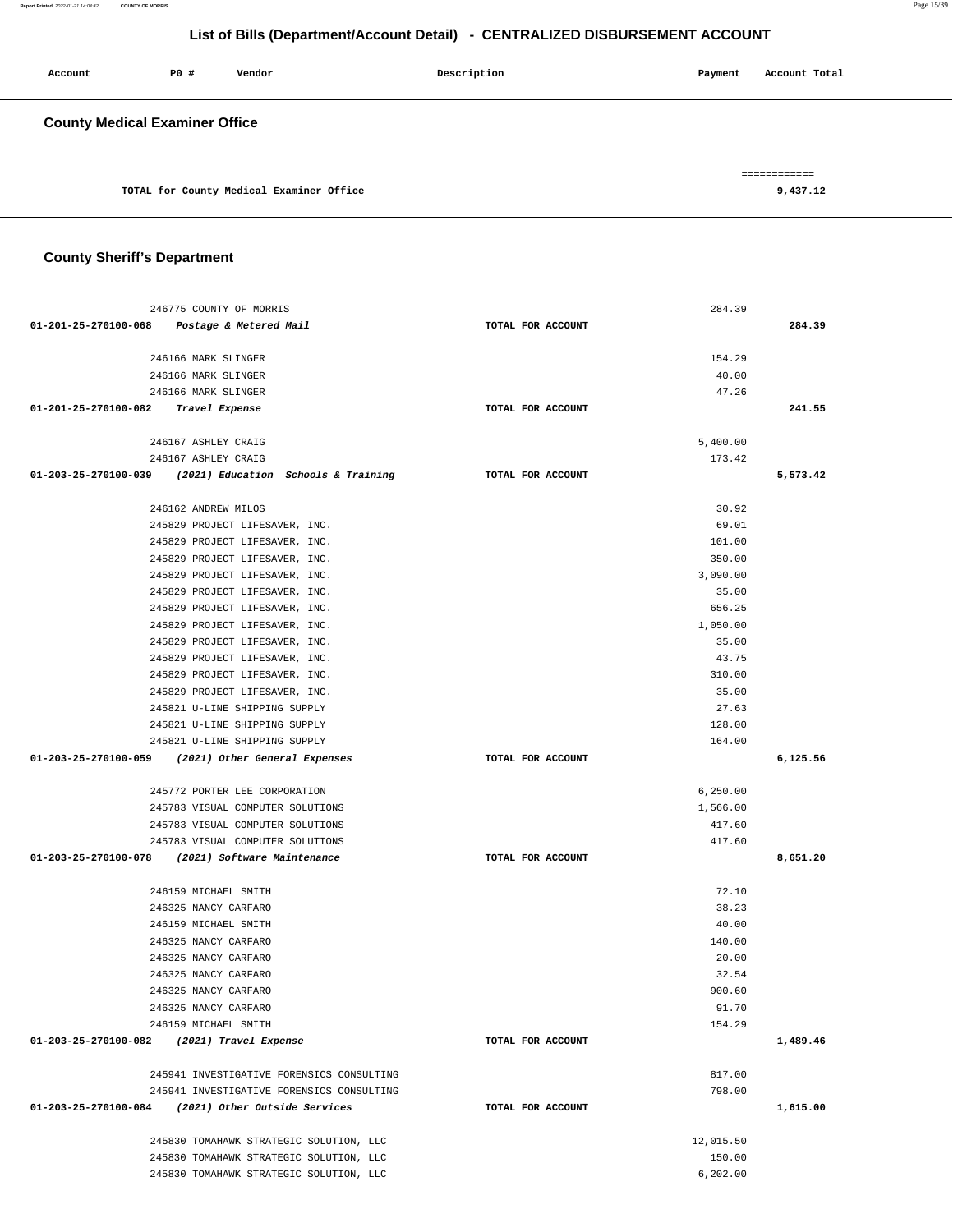**Report Printed** 2022-01-21 14:04:42 **COUNTY OF MORRIS** Page 15/39

### **List of Bills (Department/Account Detail) - CENTRALIZED DISBURSEMENT ACCOUNT**

| Account                               | P0# | Vendor                                   | Description | Payment | Account Total            |
|---------------------------------------|-----|------------------------------------------|-------------|---------|--------------------------|
| <b>County Medical Examiner Office</b> |     |                                          |             |         |                          |
|                                       |     | TOTAL for County Medical Examiner Office |             |         | ============<br>9,437.12 |

### **County Sheriff's Department**

| 246775 COUNTY OF MORRIS                                                            |                   | 284.39              |          |
|------------------------------------------------------------------------------------|-------------------|---------------------|----------|
| 01-201-25-270100-068 Postage & Metered Mail                                        | TOTAL FOR ACCOUNT |                     | 284.39   |
|                                                                                    |                   |                     |          |
| 246166 MARK SLINGER                                                                |                   | 154.29              |          |
| 246166 MARK SLINGER                                                                |                   | 40.00               |          |
| 246166 MARK SLINGER                                                                |                   | 47.26               |          |
| 01-201-25-270100-082 Travel Expense                                                | TOTAL FOR ACCOUNT |                     | 241.55   |
| 246167 ASHLEY CRAIG                                                                |                   |                     |          |
| 246167 ASHLEY CRAIG                                                                |                   | 5,400.00<br>173.42  |          |
| 01-203-25-270100-039 (2021) Education Schools & Training                           | TOTAL FOR ACCOUNT |                     | 5,573.42 |
|                                                                                    |                   |                     |          |
| 246162 ANDREW MILOS                                                                |                   | 30.92               |          |
| 245829 PROJECT LIFESAVER, INC.                                                     |                   | 69.01               |          |
| 245829 PROJECT LIFESAVER, INC.                                                     |                   | 101.00              |          |
| 245829 PROJECT LIFESAVER, INC.                                                     |                   | 350.00              |          |
| 245829 PROJECT LIFESAVER, INC.                                                     |                   | 3,090.00            |          |
| 245829 PROJECT LIFESAVER, INC.                                                     |                   | 35.00               |          |
| 245829 PROJECT LIFESAVER, INC.                                                     |                   | 656.25              |          |
| 245829 PROJECT LIFESAVER, INC.                                                     |                   | 1,050.00            |          |
| 245829 PROJECT LIFESAVER, INC.                                                     |                   | 35.00               |          |
| 245829 PROJECT LIFESAVER, INC.                                                     |                   | 43.75               |          |
| 245829 PROJECT LIFESAVER, INC.                                                     |                   | 310.00              |          |
| 245829 PROJECT LIFESAVER, INC.                                                     |                   | 35.00               |          |
| 245821 U-LINE SHIPPING SUPPLY                                                      |                   | 27.63               |          |
| 245821 U-LINE SHIPPING SUPPLY                                                      |                   | 128.00              |          |
| 245821 U-LINE SHIPPING SUPPLY                                                      |                   | 164.00              |          |
| 01-203-25-270100-059 (2021) Other General Expenses                                 | TOTAL FOR ACCOUNT |                     | 6,125.56 |
| 245772 PORTER LEE CORPORATION                                                      |                   | 6, 250.00           |          |
| 245783 VISUAL COMPUTER SOLUTIONS                                                   |                   | 1,566.00            |          |
| 245783 VISUAL COMPUTER SOLUTIONS                                                   |                   | 417.60              |          |
| 245783 VISUAL COMPUTER SOLUTIONS                                                   |                   | 417.60              |          |
| 01-203-25-270100-078 (2021) Software Maintenance                                   | TOTAL FOR ACCOUNT |                     | 8,651.20 |
|                                                                                    |                   |                     |          |
| 246159 MICHAEL SMITH                                                               |                   | 72.10               |          |
| 246325 NANCY CARFARO                                                               |                   | 38.23               |          |
| 246159 MICHAEL SMITH                                                               |                   | 40.00               |          |
| 246325 NANCY CARFARO                                                               |                   | 140.00              |          |
| 246325 NANCY CARFARO                                                               |                   | 20.00               |          |
| 246325 NANCY CARFARO                                                               |                   | 32.54               |          |
| 246325 NANCY CARFARO                                                               |                   | 900.60              |          |
| 246325 NANCY CARFARO                                                               |                   | 91.70               |          |
| 246159 MICHAEL SMITH                                                               |                   | 154.29              |          |
| 01-203-25-270100-082<br>(2021) Travel Expense                                      | TOTAL FOR ACCOUNT |                     | 1,489.46 |
|                                                                                    |                   |                     |          |
| 245941 INVESTIGATIVE FORENSICS CONSULTING                                          |                   | 817.00<br>798.00    |          |
| 245941 INVESTIGATIVE FORENSICS CONSULTING                                          |                   |                     |          |
|                                                                                    |                   |                     |          |
| 01-203-25-270100-084 (2021) Other Outside Services                                 | TOTAL FOR ACCOUNT |                     | 1,615.00 |
|                                                                                    |                   |                     |          |
| 245830 TOMAHAWK STRATEGIC SOLUTION, LLC<br>245830 TOMAHAWK STRATEGIC SOLUTION, LLC |                   | 12,015.50<br>150.00 |          |

245830 TOMAHAWK STRATEGIC SOLUTION, LLC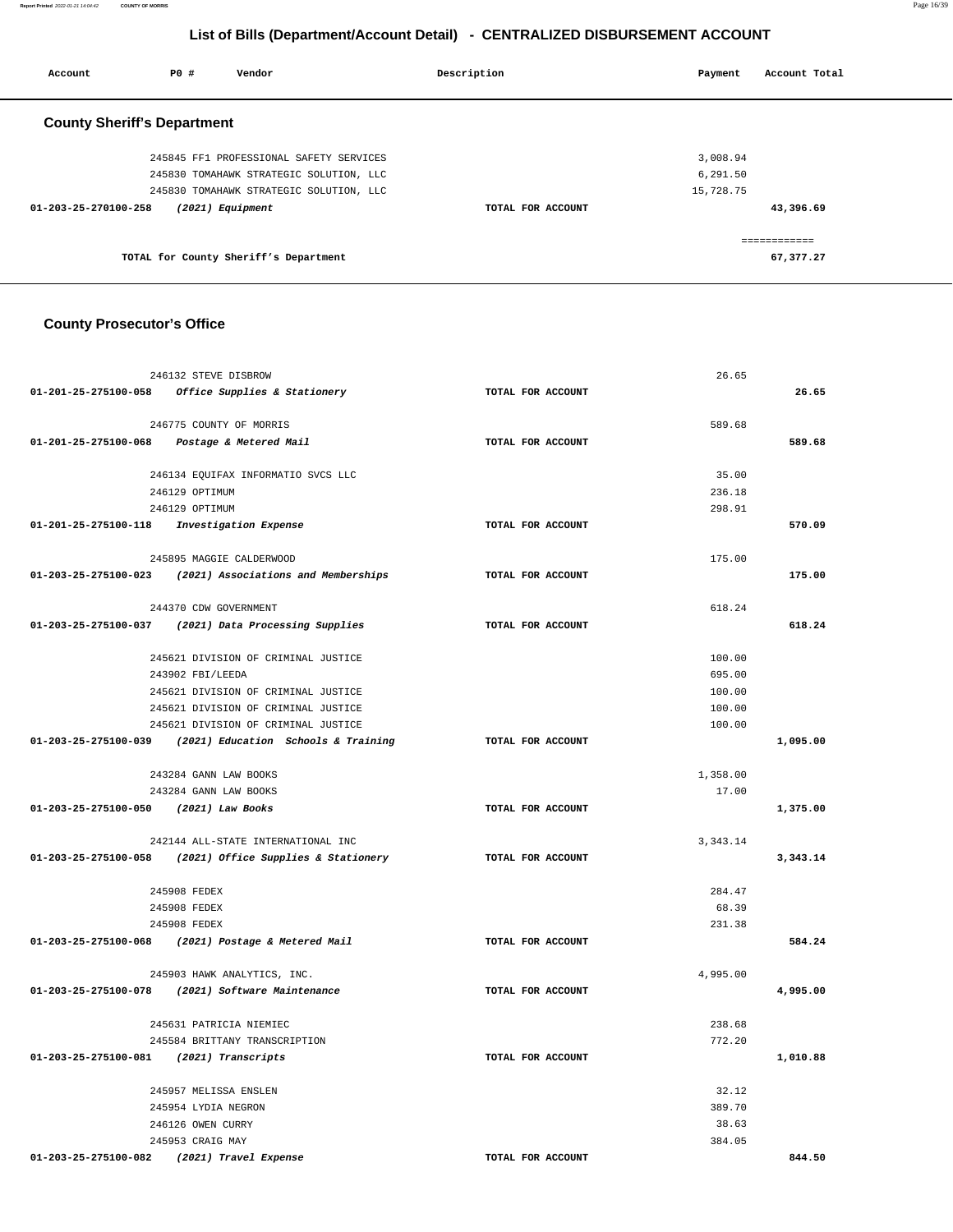**Report Printed** 2022-01-21 14:04:42 **COUNTY OF MORRIS** Page 16/39

## **List of Bills (Department/Account Detail) - CENTRALIZED DISBURSEMENT ACCOUNT**

| Account                            | P0 # | Vendor                                  | Description       | Payment   | Account Total |
|------------------------------------|------|-----------------------------------------|-------------------|-----------|---------------|
| <b>County Sheriff's Department</b> |      |                                         |                   |           |               |
|                                    |      | 245845 FF1 PROFESSIONAL SAFETY SERVICES |                   | 3,008.94  |               |
|                                    |      | 245830 TOMAHAWK STRATEGIC SOLUTION, LLC |                   | 6,291.50  |               |
|                                    |      | 245830 TOMAHAWK STRATEGIC SOLUTION, LLC |                   | 15,728.75 |               |
| 01-203-25-270100-258               |      | $(2021)$ Equipment                      | TOTAL FOR ACCOUNT |           | 43,396.69     |
|                                    |      |                                         |                   |           | ============  |
|                                    |      | TOTAL for County Sheriff's Department   |                   |           | 67,377.27     |

## **County Prosecutor's Office**

|                                         | 246132 STEVE DISBROW                                     |                   | 26.65    |          |
|-----------------------------------------|----------------------------------------------------------|-------------------|----------|----------|
|                                         | 01-201-25-275100-058 Office Supplies & Stationery        | TOTAL FOR ACCOUNT |          | 26.65    |
|                                         |                                                          |                   |          |          |
|                                         | 246775 COUNTY OF MORRIS                                  |                   | 589.68   |          |
|                                         | 01-201-25-275100-068 Postage & Metered Mail              | TOTAL FOR ACCOUNT |          | 589.68   |
|                                         |                                                          |                   |          |          |
|                                         | 246134 EQUIFAX INFORMATIO SVCS LLC                       |                   | 35.00    |          |
|                                         | 246129 OPTIMUM                                           |                   | 236.18   |          |
|                                         | 246129 OPTIMUM                                           |                   | 298.91   |          |
|                                         | 01-201-25-275100-118 Investigation Expense               | TOTAL FOR ACCOUNT |          | 570.09   |
|                                         | 245895 MAGGIE CALDERWOOD                                 |                   | 175.00   |          |
|                                         | 01-203-25-275100-023 (2021) Associations and Memberships | TOTAL FOR ACCOUNT |          | 175.00   |
|                                         |                                                          |                   |          |          |
|                                         | 244370 CDW GOVERNMENT                                    |                   | 618.24   |          |
|                                         | 01-203-25-275100-037 (2021) Data Processing Supplies     | TOTAL FOR ACCOUNT |          | 618.24   |
|                                         |                                                          |                   |          |          |
|                                         | 245621 DIVISION OF CRIMINAL JUSTICE                      |                   | 100.00   |          |
|                                         | 243902 FBI/LEEDA                                         |                   | 695.00   |          |
|                                         | 245621 DIVISION OF CRIMINAL JUSTICE                      |                   | 100.00   |          |
|                                         | 245621 DIVISION OF CRIMINAL JUSTICE                      |                   | 100.00   |          |
|                                         | 245621 DIVISION OF CRIMINAL JUSTICE                      |                   | 100.00   |          |
|                                         | 01-203-25-275100-039 (2021) Education Schools & Training | TOTAL FOR ACCOUNT |          | 1,095.00 |
|                                         | 243284 GANN LAW BOOKS                                    |                   | 1,358.00 |          |
|                                         | 243284 GANN LAW BOOKS                                    |                   | 17.00    |          |
| 01-203-25-275100-050 (2021) Law Books   |                                                          | TOTAL FOR ACCOUNT |          | 1,375.00 |
|                                         |                                                          |                   |          |          |
|                                         | 242144 ALL-STATE INTERNATIONAL INC                       |                   | 3,343.14 |          |
|                                         | 01-203-25-275100-058 (2021) Office Supplies & Stationery | TOTAL FOR ACCOUNT |          | 3,343.14 |
|                                         | 245908 FEDEX                                             |                   | 284.47   |          |
|                                         | 245908 FEDEX                                             |                   | 68.39    |          |
|                                         | 245908 FEDEX                                             |                   | 231.38   |          |
|                                         | 01-203-25-275100-068 (2021) Postage & Metered Mail       | TOTAL FOR ACCOUNT |          | 584.24   |
|                                         |                                                          |                   |          |          |
|                                         | 245903 HAWK ANALYTICS, INC.                              |                   | 4,995.00 |          |
|                                         | 01-203-25-275100-078 (2021) Software Maintenance         | TOTAL FOR ACCOUNT |          | 4,995.00 |
|                                         | 245631 PATRICIA NIEMIEC                                  |                   | 238.68   |          |
|                                         | 245584 BRITTANY TRANSCRIPTION                            |                   | 772.20   |          |
| 01-203-25-275100-081 (2021) Transcripts |                                                          | TOTAL FOR ACCOUNT |          | 1,010.88 |
|                                         |                                                          |                   |          |          |
|                                         | 245957 MELISSA ENSLEN                                    |                   | 32.12    |          |
|                                         | 245954 LYDIA NEGRON                                      |                   | 389.70   |          |
|                                         | 246126 OWEN CURRY                                        |                   | 38.63    |          |
|                                         | 245953 CRAIG MAY                                         |                   | 384.05   |          |
|                                         | 01-203-25-275100-082 (2021) Travel Expense               | TOTAL FOR ACCOUNT |          | 844.50   |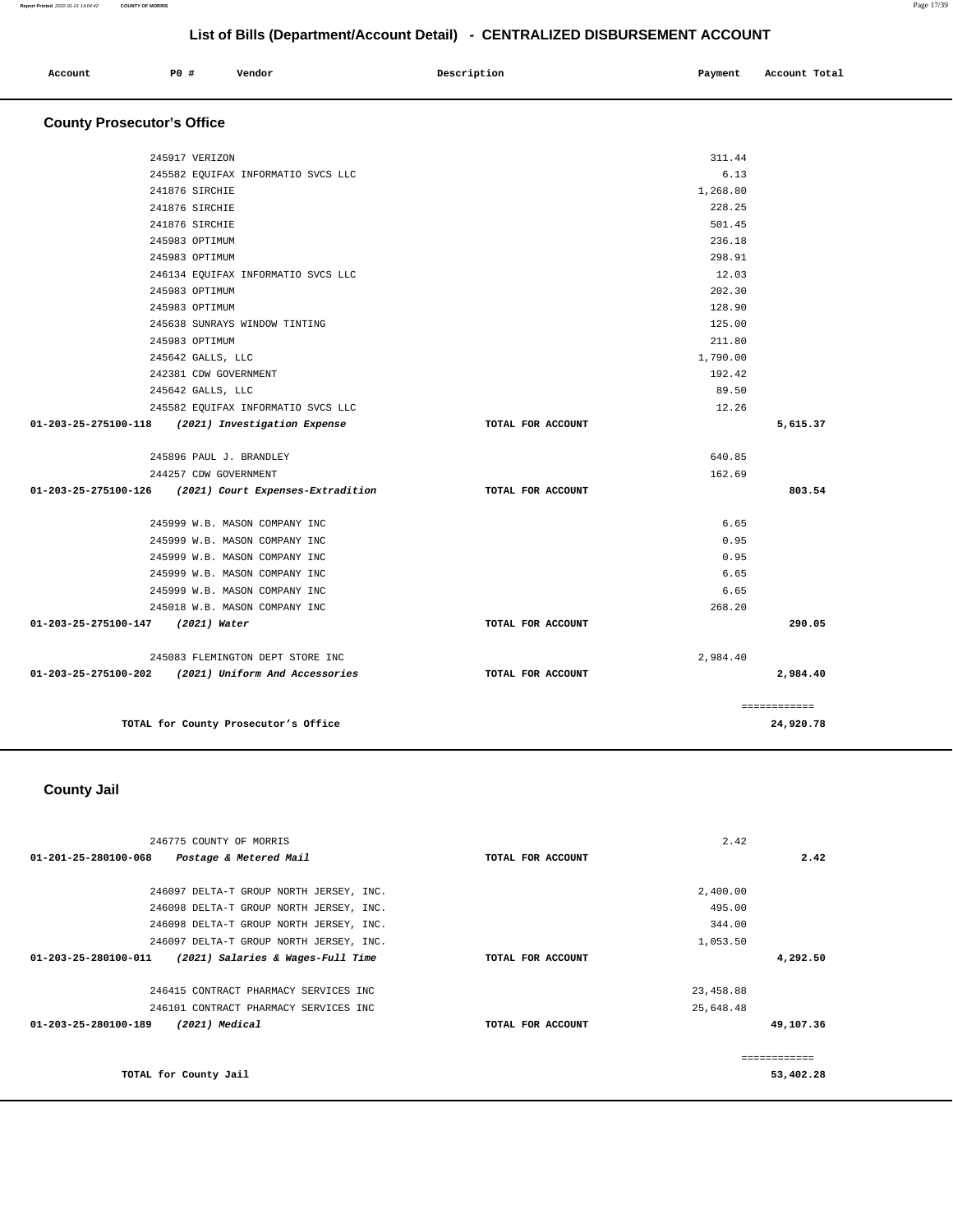| Account<br>. | P0 # | Vendor | Description | Payment<br>$\sim$ $\sim$ | Account Total |
|--------------|------|--------|-------------|--------------------------|---------------|
|              |      |        |             |                          |               |

## **County Prosecutor's Office**

| $01-203-25-275100-126$ (2021) Court Expenses-Extradition<br>245999 W.B. MASON COMPANY INC<br>245999 W.B. MASON COMPANY INC<br>245999 W.B. MASON COMPANY INC<br>245999 W.B. MASON COMPANY INC<br>245999 W.B. MASON COMPANY INC<br>245018 W.B. MASON COMPANY INC<br>01-203-25-275100-147 (2021) Water<br>245083 FLEMINGTON DEPT STORE INC<br>01-203-25-275100-202 (2021) Uniform And Accessories | TOTAL FOR ACCOUNT<br>TOTAL FOR ACCOUNT<br>TOTAL FOR ACCOUNT                                              | 6.65<br>0.95<br>0.95<br>6.65<br>6.65<br>268.20<br>2,984.40 | 803.54<br>290.05<br>2,984.40<br>============ |
|------------------------------------------------------------------------------------------------------------------------------------------------------------------------------------------------------------------------------------------------------------------------------------------------------------------------------------------------------------------------------------------------|----------------------------------------------------------------------------------------------------------|------------------------------------------------------------|----------------------------------------------|
|                                                                                                                                                                                                                                                                                                                                                                                                |                                                                                                          |                                                            |                                              |
|                                                                                                                                                                                                                                                                                                                                                                                                |                                                                                                          |                                                            |                                              |
|                                                                                                                                                                                                                                                                                                                                                                                                |                                                                                                          |                                                            |                                              |
|                                                                                                                                                                                                                                                                                                                                                                                                |                                                                                                          |                                                            |                                              |
|                                                                                                                                                                                                                                                                                                                                                                                                |                                                                                                          |                                                            |                                              |
|                                                                                                                                                                                                                                                                                                                                                                                                |                                                                                                          |                                                            |                                              |
|                                                                                                                                                                                                                                                                                                                                                                                                |                                                                                                          |                                                            |                                              |
|                                                                                                                                                                                                                                                                                                                                                                                                |                                                                                                          |                                                            |                                              |
|                                                                                                                                                                                                                                                                                                                                                                                                |                                                                                                          |                                                            |                                              |
|                                                                                                                                                                                                                                                                                                                                                                                                |                                                                                                          |                                                            |                                              |
|                                                                                                                                                                                                                                                                                                                                                                                                |                                                                                                          |                                                            |                                              |
|                                                                                                                                                                                                                                                                                                                                                                                                |                                                                                                          |                                                            |                                              |
|                                                                                                                                                                                                                                                                                                                                                                                                |                                                                                                          |                                                            |                                              |
|                                                                                                                                                                                                                                                                                                                                                                                                |                                                                                                          |                                                            |                                              |
| 01-203-25-275100-118 (2021) Investigation Expense                                                                                                                                                                                                                                                                                                                                              | TOTAL FOR ACCOUNT                                                                                        |                                                            | 5,615.37                                     |
| 245582 EQUIFAX INFORMATIO SVCS LLC                                                                                                                                                                                                                                                                                                                                                             |                                                                                                          | 12.26                                                      |                                              |
| 245642 GALLS, LLC                                                                                                                                                                                                                                                                                                                                                                              |                                                                                                          | 89.50                                                      |                                              |
| 242381 CDW GOVERNMENT                                                                                                                                                                                                                                                                                                                                                                          |                                                                                                          | 192.42                                                     |                                              |
| 245642 GALLS, LLC                                                                                                                                                                                                                                                                                                                                                                              |                                                                                                          | 1,790.00                                                   |                                              |
| 245983 OPTIMUM                                                                                                                                                                                                                                                                                                                                                                                 |                                                                                                          | 211.80                                                     |                                              |
| 245638 SUNRAYS WINDOW TINTING                                                                                                                                                                                                                                                                                                                                                                  |                                                                                                          | 125.00                                                     |                                              |
| 245983 OPTIMUM                                                                                                                                                                                                                                                                                                                                                                                 |                                                                                                          | 128.90                                                     |                                              |
| 245983 OPTIMUM                                                                                                                                                                                                                                                                                                                                                                                 |                                                                                                          | 202.30                                                     |                                              |
| 246134 EQUIFAX INFORMATIO SVCS LLC                                                                                                                                                                                                                                                                                                                                                             |                                                                                                          | 12.03                                                      |                                              |
| 245983 OPTIMUM                                                                                                                                                                                                                                                                                                                                                                                 |                                                                                                          | 298.91                                                     |                                              |
| 245983 OPTIMUM                                                                                                                                                                                                                                                                                                                                                                                 |                                                                                                          | 236.18                                                     |                                              |
| 241876 SIRCHIE                                                                                                                                                                                                                                                                                                                                                                                 |                                                                                                          | 501.45                                                     |                                              |
| 241876 SIRCHIE                                                                                                                                                                                                                                                                                                                                                                                 |                                                                                                          | 228.25                                                     |                                              |
| 241876 SIRCHIE                                                                                                                                                                                                                                                                                                                                                                                 |                                                                                                          | 1,268.80                                                   |                                              |
|                                                                                                                                                                                                                                                                                                                                                                                                |                                                                                                          | 6.13                                                       |                                              |
|                                                                                                                                                                                                                                                                                                                                                                                                | 245917 VERIZON<br>245582 EQUIFAX INFORMATIO SVCS LLC<br>245896 PAUL J. BRANDLEY<br>244257 CDW GOVERNMENT |                                                            | 311.44<br>640.85<br>162.69                   |

## **County Jail**

| 246775 COUNTY OF MORRIS                                   | 2.42              |           |
|-----------------------------------------------------------|-------------------|-----------|
| 01-201-25-280100-068<br>Postage & Metered Mail            | TOTAL FOR ACCOUNT | 2.42      |
|                                                           |                   |           |
| 246097 DELTA-T GROUP NORTH JERSEY, INC.                   | 2,400.00          |           |
| 246098 DELTA-T GROUP NORTH JERSEY, INC.                   | 495.00            |           |
| 246098 DELTA-T GROUP NORTH JERSEY, INC.                   | 344.00            |           |
| 246097 DELTA-T GROUP NORTH JERSEY, INC.                   | 1,053.50          |           |
| (2021) Salaries & Wages-Full Time<br>01-203-25-280100-011 | TOTAL FOR ACCOUNT | 4,292.50  |
|                                                           |                   |           |
| 246415 CONTRACT PHARMACY SERVICES INC                     | 23, 458.88        |           |
| 246101 CONTRACT PHARMACY SERVICES INC                     | 25,648.48         |           |
| (2021) Medical<br>01-203-25-280100-189                    | TOTAL FOR ACCOUNT | 49,107.36 |
|                                                           |                   |           |
| TOTAL for County Jail                                     |                   | 53,402.28 |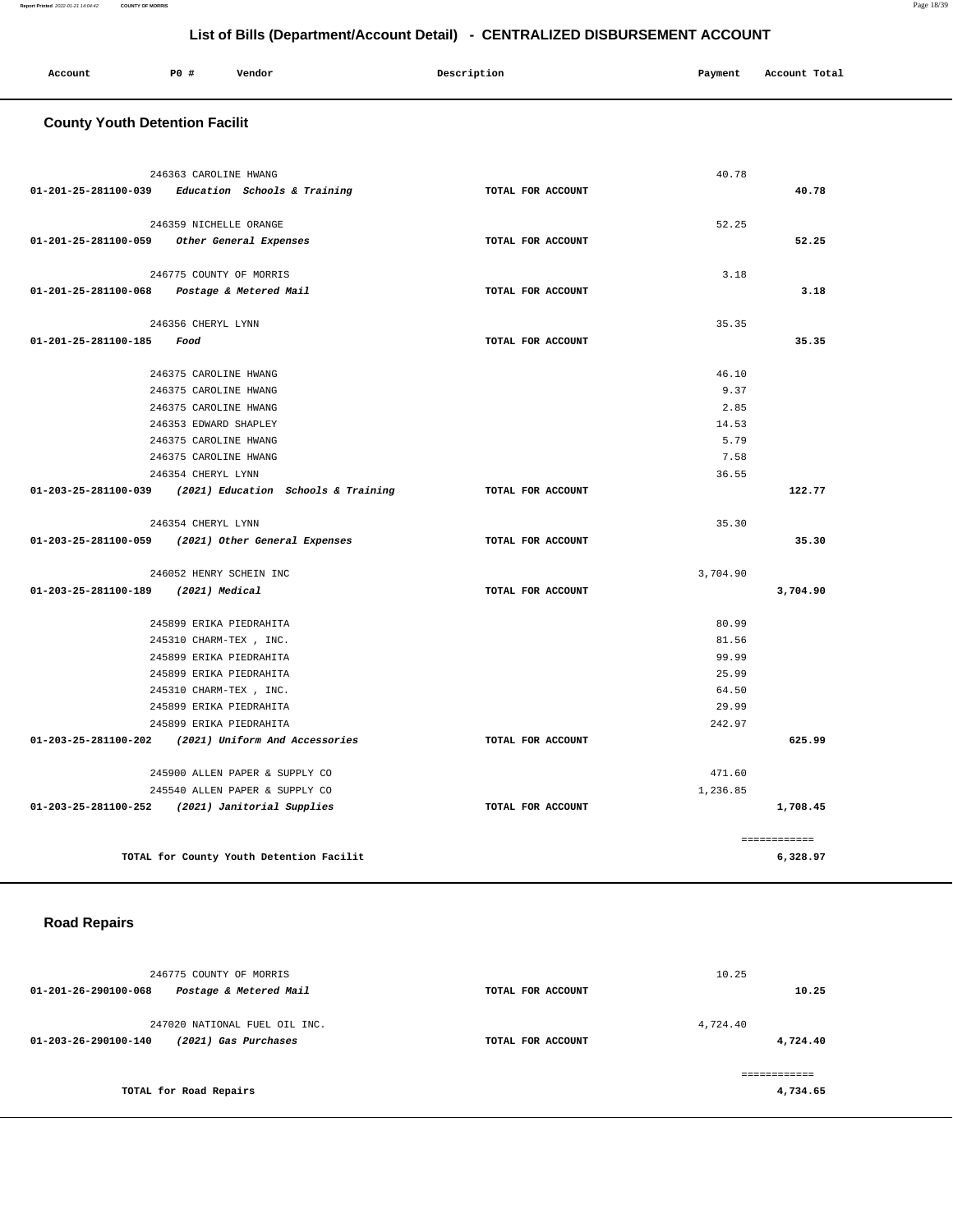| Account | <b>PO #</b> | Vendor | Description | Payment | Account Total |
|---------|-------------|--------|-------------|---------|---------------|
|         |             |        |             |         |               |

## **County Youth Detention Facilit**

| 246363 CAROLINE HWANG                                    |                   | 40.78        |          |
|----------------------------------------------------------|-------------------|--------------|----------|
| 01-201-25-281100-039 Education Schools & Training        | TOTAL FOR ACCOUNT |              | 40.78    |
|                                                          |                   |              |          |
| 246359 NICHELLE ORANGE                                   |                   | 52.25        |          |
| 01-201-25-281100-059 Other General Expenses              | TOTAL FOR ACCOUNT |              | 52.25    |
| 246775 COUNTY OF MORRIS                                  |                   | 3.18         |          |
| 01-201-25-281100-068 Postage & Metered Mail              | TOTAL FOR ACCOUNT |              | 3.18     |
|                                                          |                   |              |          |
| 246356 CHERYL LYNN                                       |                   | 35.35        |          |
| $01 - 201 - 25 - 281100 - 185$ Food                      | TOTAL FOR ACCOUNT |              | 35.35    |
|                                                          |                   |              |          |
| 246375 CAROLINE HWANG                                    |                   | 46.10        |          |
| 246375 CAROLINE HWANG                                    |                   | 9.37         |          |
| 246375 CAROLINE HWANG                                    |                   | 2.85         |          |
| 246353 EDWARD SHAPLEY                                    |                   | 14.53        |          |
| 246375 CAROLINE HWANG                                    |                   | 5.79         |          |
| 246375 CAROLINE HWANG                                    |                   | 7.58         |          |
| 246354 CHERYL LYNN                                       |                   | 36.55        |          |
| 01-203-25-281100-039 (2021) Education Schools & Training | TOTAL FOR ACCOUNT |              | 122.77   |
|                                                          |                   |              |          |
| 246354 CHERYL LYNN                                       |                   | 35.30        |          |
| 01-203-25-281100-059 (2021) Other General Expenses       | TOTAL FOR ACCOUNT |              | 35.30    |
| 246052 HENRY SCHEIN INC                                  |                   | 3,704.90     |          |
| 01-203-25-281100-189 (2021) Medical                      | TOTAL FOR ACCOUNT |              | 3,704.90 |
|                                                          |                   |              |          |
| 245899 ERIKA PIEDRAHITA                                  |                   | 80.99        |          |
| 245310 CHARM-TEX, INC.                                   |                   | 81.56        |          |
| 245899 ERIKA PIEDRAHITA                                  |                   | 99.99        |          |
| 245899 ERIKA PIEDRAHITA                                  |                   | 25.99        |          |
| 245310 CHARM-TEX , INC.                                  |                   | 64.50        |          |
| 245899 ERIKA PIEDRAHITA                                  |                   | 29.99        |          |
| 245899 ERIKA PIEDRAHITA                                  |                   | 242.97       |          |
| 01-203-25-281100-202 (2021) Uniform And Accessories      | TOTAL FOR ACCOUNT |              | 625.99   |
| 245900 ALLEN PAPER & SUPPLY CO                           |                   | 471.60       |          |
| 245540 ALLEN PAPER & SUPPLY CO                           |                   | 1,236.85     |          |
| 01-203-25-281100-252 (2021) Janitorial Supplies          | TOTAL FOR ACCOUNT |              | 1,708.45 |
|                                                          |                   |              |          |
|                                                          |                   | ============ |          |
| TOTAL for County Youth Detention Facilit                 |                   |              | 6,328.97 |

## **Road Repairs**

| 246775 COUNTY OF MORRIS                        |                   | 10.25    |
|------------------------------------------------|-------------------|----------|
| Postage & Metered Mail<br>01-201-26-290100-068 | TOTAL FOR ACCOUNT | 10.25    |
| 247020 NATIONAL FUEL OIL INC.                  |                   | 4,724.40 |
| (2021) Gas Purchases<br>01-203-26-290100-140   | TOTAL FOR ACCOUNT | 4,724.40 |
|                                                |                   |          |
| TOTAL for Road Repairs                         |                   | 4,734.65 |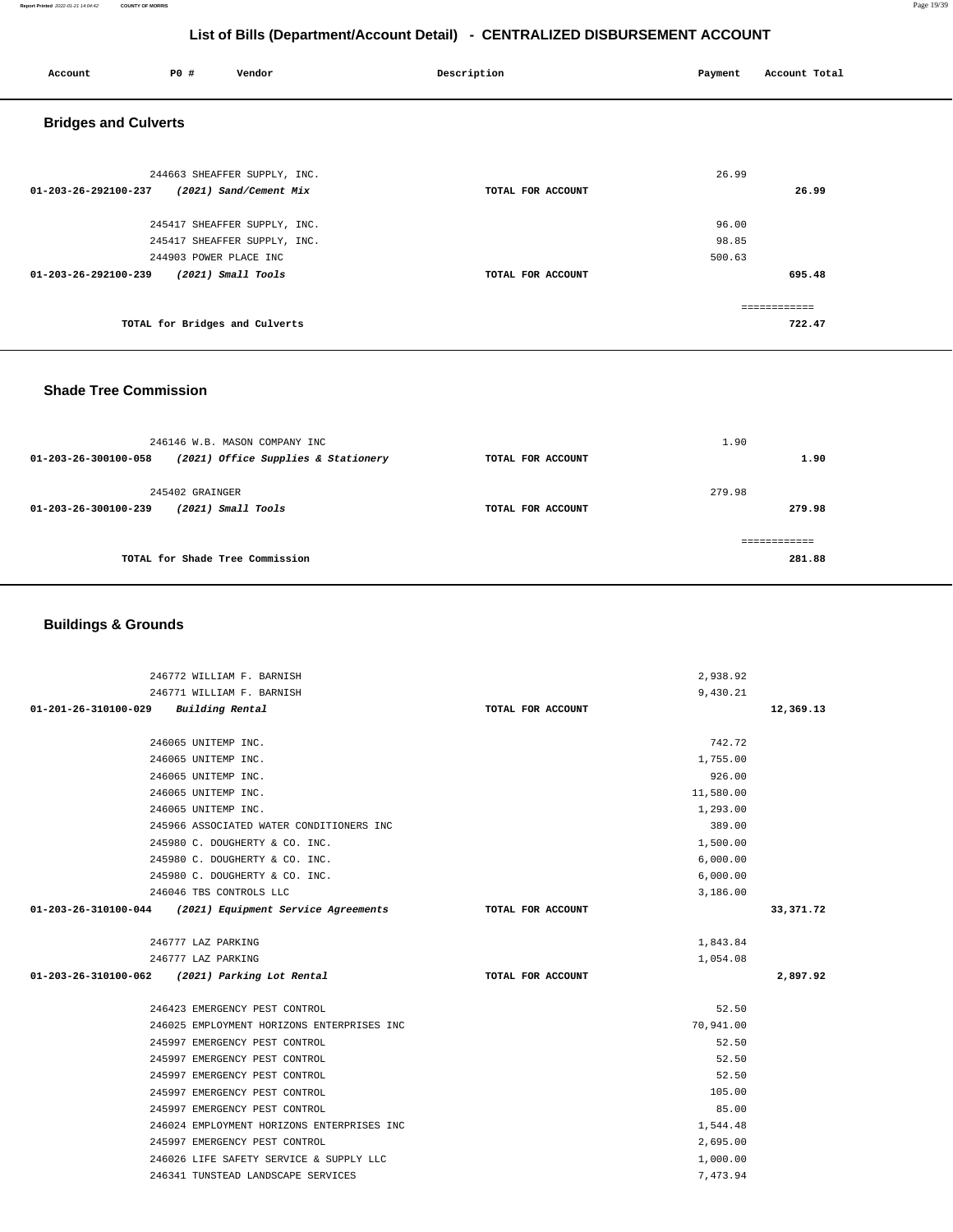#### **Report Printed** 2022-01-21 14:04:42 **COUNTY OF MORRIS** Page 19/39

### **List of Bills (Department/Account Detail) - CENTRALIZED DISBURSEMENT ACCOUNT**

| Account                     | <b>PO #</b>            | Vendor                         | Description       | Payment | Account Total |
|-----------------------------|------------------------|--------------------------------|-------------------|---------|---------------|
| <b>Bridges and Culverts</b> |                        |                                |                   |         |               |
|                             |                        | 244663 SHEAFFER SUPPLY, INC.   |                   | 26.99   |               |
| 01-203-26-292100-237        |                        | (2021) Sand/Cement Mix         | TOTAL FOR ACCOUNT |         | 26.99         |
|                             |                        | 245417 SHEAFFER SUPPLY, INC.   |                   | 96.00   |               |
|                             |                        | 245417 SHEAFFER SUPPLY, INC.   |                   | 98.85   |               |
|                             | 244903 POWER PLACE INC |                                |                   | 500.63  |               |
| 01-203-26-292100-239        | (2021) Small Tools     |                                | TOTAL FOR ACCOUNT |         | 695.48        |
|                             |                        |                                |                   |         | ------------- |
|                             |                        | TOTAL for Bridges and Culverts |                   |         | 722.47        |

#### **Shade Tree Commission**

| 246146 W.B. MASON COMPANY INC<br>(2021) Office Supplies & Stationery<br>01-203-26-300100-058 | TOTAL FOR ACCOUNT | 1.90<br>1.90           |
|----------------------------------------------------------------------------------------------|-------------------|------------------------|
| 245402 GRAINGER<br>(2021) Small Tools<br>01-203-26-300100-239                                | TOTAL FOR ACCOUNT | 279.98<br>279.98       |
| TOTAL for Shade Tree Commission                                                              |                   | ============<br>281.88 |

### **Buildings & Grounds**

| 246772 WILLIAM F. BARNISH                                |                   | 2,938.92  |           |
|----------------------------------------------------------|-------------------|-----------|-----------|
| 246771 WILLIAM F. BARNISH                                |                   | 9,430.21  |           |
| 01-201-26-310100-029 Building Rental                     | TOTAL FOR ACCOUNT |           | 12,369.13 |
|                                                          |                   |           |           |
| 246065 UNITEMP INC.                                      |                   | 742.72    |           |
| 246065 UNITEMP INC.                                      |                   | 1,755.00  |           |
| 246065 UNITEMP INC.                                      |                   | 926.00    |           |
| 246065 UNITEMP INC.                                      |                   | 11,580.00 |           |
| 246065 UNITEMP INC.                                      |                   | 1,293.00  |           |
| 245966 ASSOCIATED WATER CONDITIONERS INC                 |                   | 389.00    |           |
| 245980 C. DOUGHERTY & CO. INC.                           |                   | 1,500.00  |           |
| 245980 C. DOUGHERTY & CO. INC.                           |                   | 6,000.00  |           |
| 245980 C. DOUGHERTY & CO. INC.                           |                   | 6,000.00  |           |
| 246046 TBS CONTROLS LLC                                  |                   | 3,186.00  |           |
| 01-203-26-310100-044 (2021) Equipment Service Agreements | TOTAL FOR ACCOUNT |           | 33,371.72 |
|                                                          |                   |           |           |
| 246777 LAZ PARKING                                       |                   | 1,843.84  |           |
| 246777 LAZ PARKING                                       |                   | 1,054.08  |           |
| 01-203-26-310100-062 (2021) Parking Lot Rental           | TOTAL FOR ACCOUNT |           | 2,897.92  |
|                                                          |                   |           |           |
| 246423 EMERGENCY PEST CONTROL                            |                   | 52.50     |           |
| 246025 EMPLOYMENT HORIZONS ENTERPRISES INC               |                   | 70,941.00 |           |
| 245997 EMERGENCY PEST CONTROL                            |                   | 52.50     |           |
| 245997 EMERGENCY PEST CONTROL                            |                   | 52.50     |           |
| 245997 EMERGENCY PEST CONTROL                            |                   | 52.50     |           |
| 245997 EMERGENCY PEST CONTROL                            |                   | 105.00    |           |
| 245997 EMERGENCY PEST CONTROL                            |                   | 85.00     |           |
| 246024 EMPLOYMENT HORIZONS ENTERPRISES INC               |                   | 1,544.48  |           |
| 245997 EMERGENCY PEST CONTROL                            |                   | 2,695.00  |           |
| 246026 LIFE SAFETY SERVICE & SUPPLY LLC                  |                   | 1,000.00  |           |
|                                                          |                   |           |           |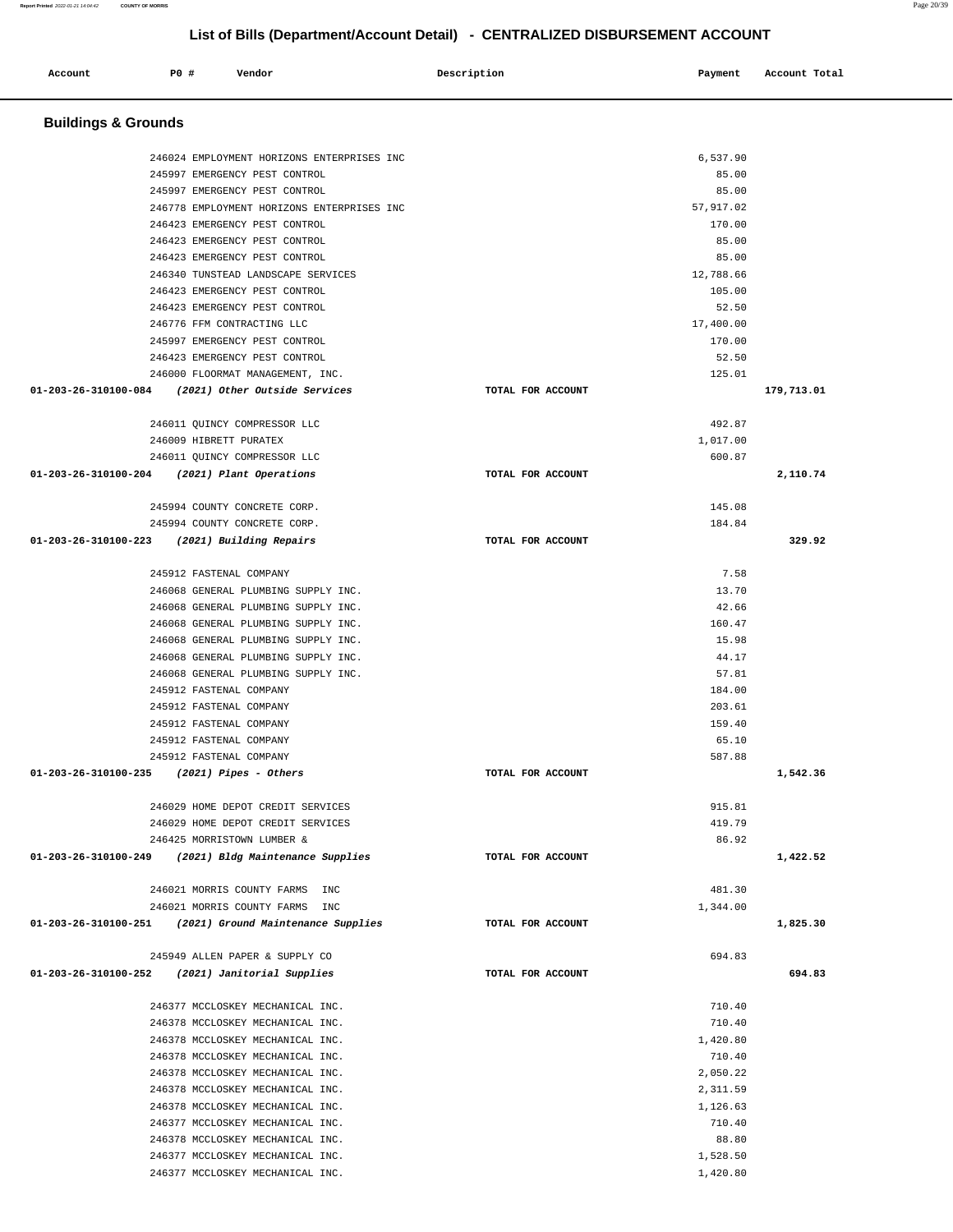| <b>Buildings &amp; Grounds</b>                                             |                    |            |
|----------------------------------------------------------------------------|--------------------|------------|
| 246024 EMPLOYMENT HORIZONS ENTERPRISES INC                                 | 6,537.90           |            |
| 245997 EMERGENCY PEST CONTROL                                              | 85.00              |            |
| 245997 EMERGENCY PEST CONTROL                                              | 85.00              |            |
| 246778 EMPLOYMENT HORIZONS ENTERPRISES INC                                 | 57,917.02          |            |
| 246423 EMERGENCY PEST CONTROL                                              | 170.00             |            |
| 246423 EMERGENCY PEST CONTROL                                              | 85.00              |            |
| 246423 EMERGENCY PEST CONTROL                                              | 85.00              |            |
| 246340 TUNSTEAD LANDSCAPE SERVICES                                         | 12,788.66          |            |
| 246423 EMERGENCY PEST CONTROL                                              | 105.00             |            |
| 246423 EMERGENCY PEST CONTROL                                              | 52.50              |            |
| 246776 FFM CONTRACTING LLC                                                 | 17,400.00          |            |
| 245997 EMERGENCY PEST CONTROL                                              | 170.00             |            |
| 246423 EMERGENCY PEST CONTROL                                              | 52.50              |            |
| 246000 FLOORMAT MANAGEMENT, INC.                                           | 125.01             |            |
| (2021) Other Outside Services<br>01-203-26-310100-084                      | TOTAL FOR ACCOUNT  | 179,713.01 |
| 246011 QUINCY COMPRESSOR LLC                                               | 492.87             |            |
| 246009 HIBRETT PURATEX                                                     | 1,017.00           |            |
| 246011 QUINCY COMPRESSOR LLC                                               | 600.87             |            |
| 01-203-26-310100-204<br>(2021) Plant Operations                            | TOTAL FOR ACCOUNT  | 2,110.74   |
| 245994 COUNTY CONCRETE CORP.<br>245994 COUNTY CONCRETE CORP.               | 145.08<br>184.84   |            |
| 01-203-26-310100-223<br>(2021) Building Repairs                            | TOTAL FOR ACCOUNT  | 329.92     |
| 245912 FASTENAL COMPANY                                                    |                    | 7.58       |
| 246068 GENERAL PLUMBING SUPPLY INC.                                        | 13.70              |            |
| 246068 GENERAL PLUMBING SUPPLY INC.                                        | 42.66<br>160.47    |            |
| 246068 GENERAL PLUMBING SUPPLY INC.<br>246068 GENERAL PLUMBING SUPPLY INC. | 15.98              |            |
| 246068 GENERAL PLUMBING SUPPLY INC.                                        | 44.17              |            |
| 246068 GENERAL PLUMBING SUPPLY INC.                                        | 57.81              |            |
| 245912 FASTENAL COMPANY                                                    | 184.00             |            |
| 245912 FASTENAL COMPANY                                                    | 203.61             |            |
| 245912 FASTENAL COMPANY                                                    | 159.40             |            |
| 245912 FASTENAL COMPANY                                                    | 65.10              |            |
| 245912 FASTENAL COMPANY                                                    | 587.88             |            |
| $(2021)$ Pipes - Others<br>01-203-26-310100-235                            | TOTAL FOR ACCOUNT  | 1,542.36   |
| 246029 HOME DEPOT CREDIT SERVICES                                          | 915.81             |            |
| 246029 HOME DEPOT CREDIT SERVICES                                          | 419.79             |            |
| 246425 MORRISTOWN LUMBER &                                                 | 86.92              |            |
| 01-203-26-310100-249<br>(2021) Bldg Maintenance Supplies                   | TOTAL FOR ACCOUNT  | 1,422.52   |
| 246021 MORRIS COUNTY FARMS INC<br>246021 MORRIS COUNTY FARMS INC           | 481.30<br>1,344.00 |            |
| $01-203-26-310100-251$ (2021) Ground Maintenance Supplies                  | TOTAL FOR ACCOUNT  | 1,825.30   |
| 245949 ALLEN PAPER & SUPPLY CO                                             | 694.83             |            |
| 01-203-26-310100-252 (2021) Janitorial Supplies                            | TOTAL FOR ACCOUNT  | 694.83     |
| 246377 MCCLOSKEY MECHANICAL INC.                                           | 710.40             |            |
| 246378 MCCLOSKEY MECHANICAL INC.                                           | 710.40             |            |
| 246378 MCCLOSKEY MECHANICAL INC.                                           | 1,420.80           |            |
| 246378 MCCLOSKEY MECHANICAL INC.                                           | 710.40             |            |
| 246378 MCCLOSKEY MECHANICAL INC.                                           | 2,050.22           |            |
| 246378 MCCLOSKEY MECHANICAL INC.                                           | 2,311.59           |            |
| 246378 MCCLOSKEY MECHANICAL INC.                                           | 1,126.63           |            |
| 246377 MCCLOSKEY MECHANICAL INC.                                           | 710.40             |            |
| 246378 MCCLOSKEY MECHANICAL INC.                                           | 88.80              |            |
| 246377 MCCLOSKEY MECHANICAL INC.                                           | 1,528.50           |            |
| 246377 MCCLOSKEY MECHANICAL INC.                                           | 1,420.80           |            |

Account 20 **P** Pomdor Payment Recount Potal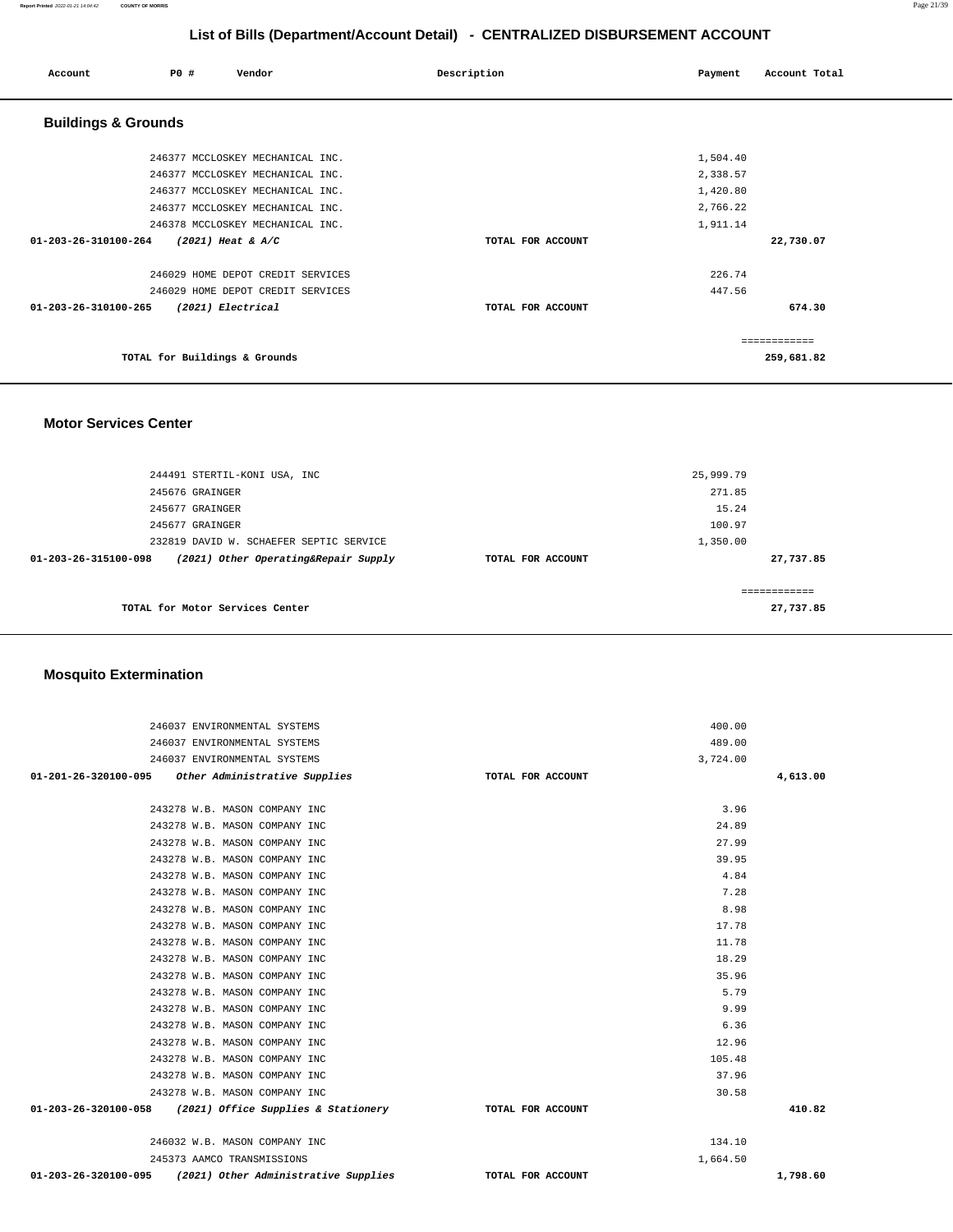| Account                        | PO#                           | Vendor                            | Description       | Payment  | Account Total |
|--------------------------------|-------------------------------|-----------------------------------|-------------------|----------|---------------|
| <b>Buildings &amp; Grounds</b> |                               |                                   |                   |          |               |
|                                |                               | 246377 MCCLOSKEY MECHANICAL INC.  |                   | 1,504.40 |               |
|                                |                               | 246377 MCCLOSKEY MECHANICAL INC.  |                   | 2,338.57 |               |
|                                |                               | 246377 MCCLOSKEY MECHANICAL INC.  |                   | 1,420.80 |               |
|                                |                               | 246377 MCCLOSKEY MECHANICAL INC.  |                   | 2,766.22 |               |
|                                |                               | 246378 MCCLOSKEY MECHANICAL INC.  |                   | 1,911.14 |               |
| 01-203-26-310100-264           | $(2021)$ Heat & A/C           |                                   | TOTAL FOR ACCOUNT |          | 22,730.07     |
|                                |                               | 246029 HOME DEPOT CREDIT SERVICES |                   | 226.74   |               |
|                                |                               | 246029 HOME DEPOT CREDIT SERVICES |                   | 447.56   |               |
| $01 - 203 - 26 - 310100 - 265$ | (2021) Electrical             |                                   | TOTAL FOR ACCOUNT |          | 674.30        |
|                                |                               |                                   |                   |          | ============  |
|                                | TOTAL for Buildings & Grounds |                                   |                   |          | 259,681.82    |

#### **Motor Services Center**

| 244491 STERTIL-KONI USA, INC                                           |                   | 25,999.79    |
|------------------------------------------------------------------------|-------------------|--------------|
| 245676 GRAINGER                                                        |                   | 271.85       |
| 245677 GRAINGER                                                        |                   | 15.24        |
| 245677 GRAINGER                                                        |                   | 100.97       |
| 232819 DAVID W. SCHAEFER SEPTIC SERVICE                                |                   | 1,350.00     |
| (2021) Other Operating&Repair Supply<br>$01 - 203 - 26 - 315100 - 098$ | TOTAL FOR ACCOUNT | 27,737.85    |
|                                                                        |                   |              |
|                                                                        |                   | ------------ |
| TOTAL for Motor Services Center                                        |                   | 27,737.85    |
|                                                                        |                   |              |

### **Mosquito Extermination**

|                                                          | 243278 W.B. MASON COMPANY INC        |                   | 11.78    |          |
|----------------------------------------------------------|--------------------------------------|-------------------|----------|----------|
|                                                          |                                      |                   |          |          |
|                                                          | 243278 W.B. MASON COMPANY INC        |                   | 18.29    |          |
|                                                          | 243278 W.B. MASON COMPANY INC        |                   | 35.96    |          |
|                                                          | 243278 W.B. MASON COMPANY INC        |                   | 5.79     |          |
|                                                          | 243278 W.B. MASON COMPANY INC        |                   | 9.99     |          |
|                                                          | 243278 W.B. MASON COMPANY INC        |                   | 6.36     |          |
|                                                          |                                      |                   |          |          |
|                                                          | 243278 W.B. MASON COMPANY INC        |                   | 12.96    |          |
|                                                          | 243278 W.B. MASON COMPANY INC        |                   | 105.48   |          |
|                                                          | 243278 W.B. MASON COMPANY INC        |                   | 37.96    |          |
|                                                          | 243278 W.B. MASON COMPANY INC        |                   | 30.58    |          |
| 01-203-26-320100-058 (2021) Office Supplies & Stationery |                                      | TOTAL FOR ACCOUNT |          | 410.82   |
|                                                          |                                      |                   |          |          |
|                                                          | 246032 W.B. MASON COMPANY INC        |                   | 134.10   |          |
|                                                          | 245373 AAMCO TRANSMISSIONS           |                   | 1,664.50 |          |
| 01-203-26-320100-095                                     | (2021) Other Administrative Supplies | TOTAL FOR ACCOUNT |          | 1,798.60 |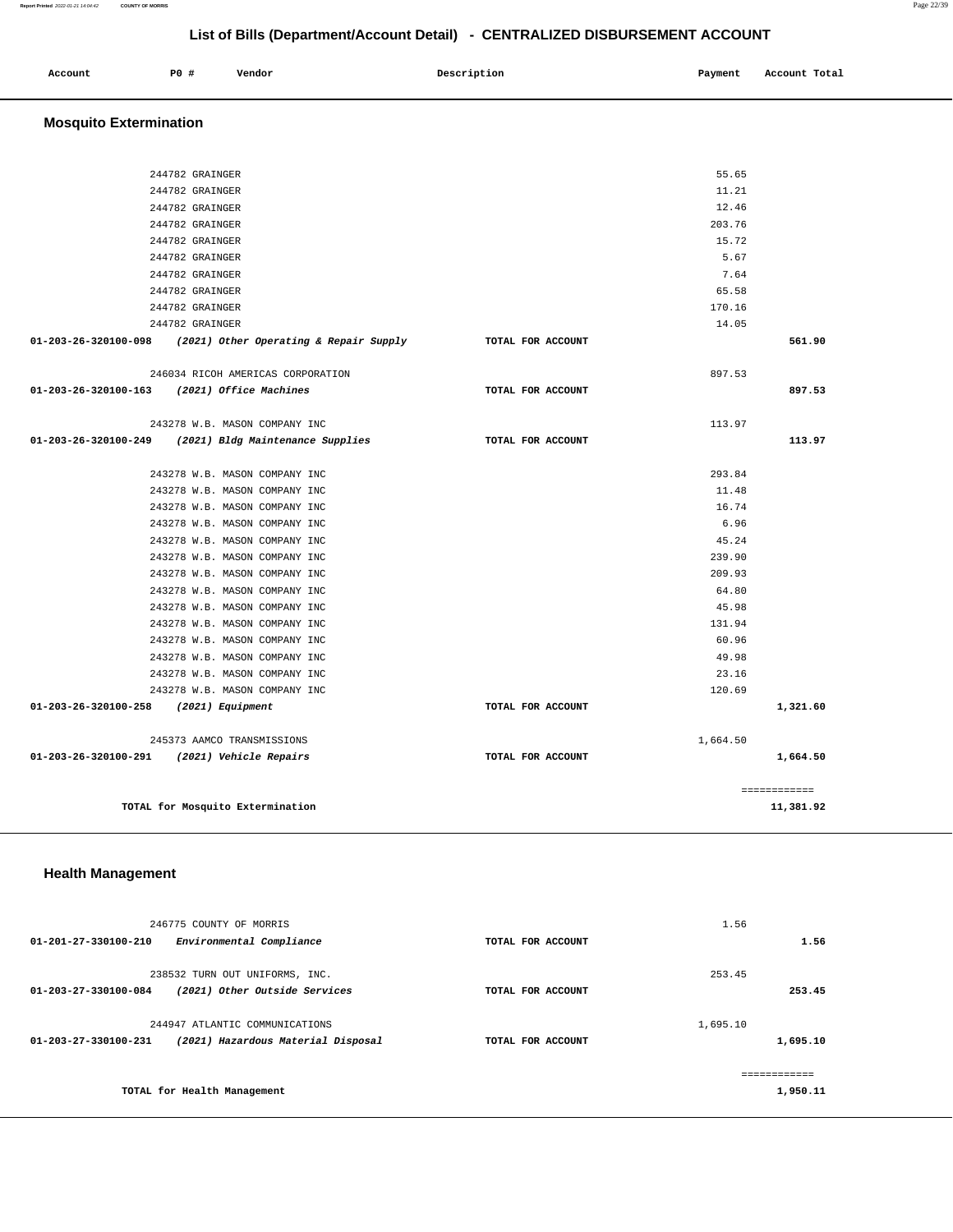| .<br>. | Account | PO # | Vendor | Description | Payment | Account Total |
|--------|---------|------|--------|-------------|---------|---------------|
|        |         |      |        |             |         |               |

## **Mosquito Extermination**

|                                             | 244782 GRAINGER                                             |                   | 55.65    |                           |
|---------------------------------------------|-------------------------------------------------------------|-------------------|----------|---------------------------|
|                                             | 244782 GRAINGER                                             |                   | 11.21    |                           |
|                                             | 244782 GRAINGER                                             |                   | 12.46    |                           |
|                                             | 244782 GRAINGER                                             |                   | 203.76   |                           |
|                                             | 244782 GRAINGER                                             |                   | 15.72    |                           |
|                                             | 244782 GRAINGER                                             |                   | 5.67     |                           |
|                                             | 244782 GRAINGER                                             |                   | 7.64     |                           |
|                                             | 244782 GRAINGER                                             |                   | 65.58    |                           |
|                                             | 244782 GRAINGER                                             |                   | 170.16   |                           |
|                                             | 244782 GRAINGER                                             |                   | 14.05    |                           |
|                                             | 01-203-26-320100-098 (2021) Other Operating & Repair Supply | TOTAL FOR ACCOUNT |          | 561.90                    |
|                                             | 246034 RICOH AMERICAS CORPORATION                           |                   | 897.53   |                           |
| 01-203-26-320100-163 (2021) Office Machines |                                                             | TOTAL FOR ACCOUNT |          | 897.53                    |
|                                             | 243278 W.B. MASON COMPANY INC                               |                   | 113.97   |                           |
| 01-203-26-320100-249                        | (2021) Bldg Maintenance Supplies                            | TOTAL FOR ACCOUNT |          | 113.97                    |
|                                             | 243278 W.B. MASON COMPANY INC                               |                   | 293.84   |                           |
|                                             | 243278 W.B. MASON COMPANY INC                               |                   | 11.48    |                           |
|                                             | 243278 W.B. MASON COMPANY INC                               |                   | 16.74    |                           |
|                                             | 243278 W.B. MASON COMPANY INC                               |                   | 6.96     |                           |
|                                             | 243278 W.B. MASON COMPANY INC                               |                   | 45.24    |                           |
|                                             | 243278 W.B. MASON COMPANY INC                               |                   | 239.90   |                           |
|                                             | 243278 W.B. MASON COMPANY INC                               |                   | 209.93   |                           |
|                                             | 243278 W.B. MASON COMPANY INC                               |                   | 64.80    |                           |
|                                             | 243278 W.B. MASON COMPANY INC                               |                   | 45.98    |                           |
|                                             | 243278 W.B. MASON COMPANY INC                               |                   | 131.94   |                           |
|                                             | 243278 W.B. MASON COMPANY INC                               |                   | 60.96    |                           |
|                                             | 243278 W.B. MASON COMPANY INC                               |                   | 49.98    |                           |
|                                             | 243278 W.B. MASON COMPANY INC                               |                   | 23.16    |                           |
|                                             | 243278 W.B. MASON COMPANY INC                               |                   | 120.69   |                           |
| 01-203-26-320100-258 (2021) Equipment       |                                                             | TOTAL FOR ACCOUNT |          | 1,321.60                  |
|                                             | 245373 AAMCO TRANSMISSIONS                                  |                   | 1,664.50 |                           |
| 01-203-26-320100-291 (2021) Vehicle Repairs |                                                             | TOTAL FOR ACCOUNT |          | 1,664.50                  |
|                                             | TOTAL for Mosquito Extermination                            |                   |          | ============<br>11,381.92 |

### **Health Management**

| 246775 COUNTY OF MORRIS<br>01-201-27-330100-210<br>Environmental Compliance                            | TOTAL FOR ACCOUNT | 1.56<br>1.56         |
|--------------------------------------------------------------------------------------------------------|-------------------|----------------------|
| 238532 TURN OUT UNIFORMS, INC.<br>(2021) Other Outside Services<br>01-203-27-330100-084                | TOTAL FOR ACCOUNT | 253.45<br>253.45     |
| 244947 ATLANTIC COMMUNICATIONS<br>(2021) Hazardous Material Disposal<br>$01 - 203 - 27 - 330100 - 231$ | TOTAL FOR ACCOUNT | 1,695.10<br>1,695.10 |
| TOTAL for Health Management                                                                            |                   | 1,950.11             |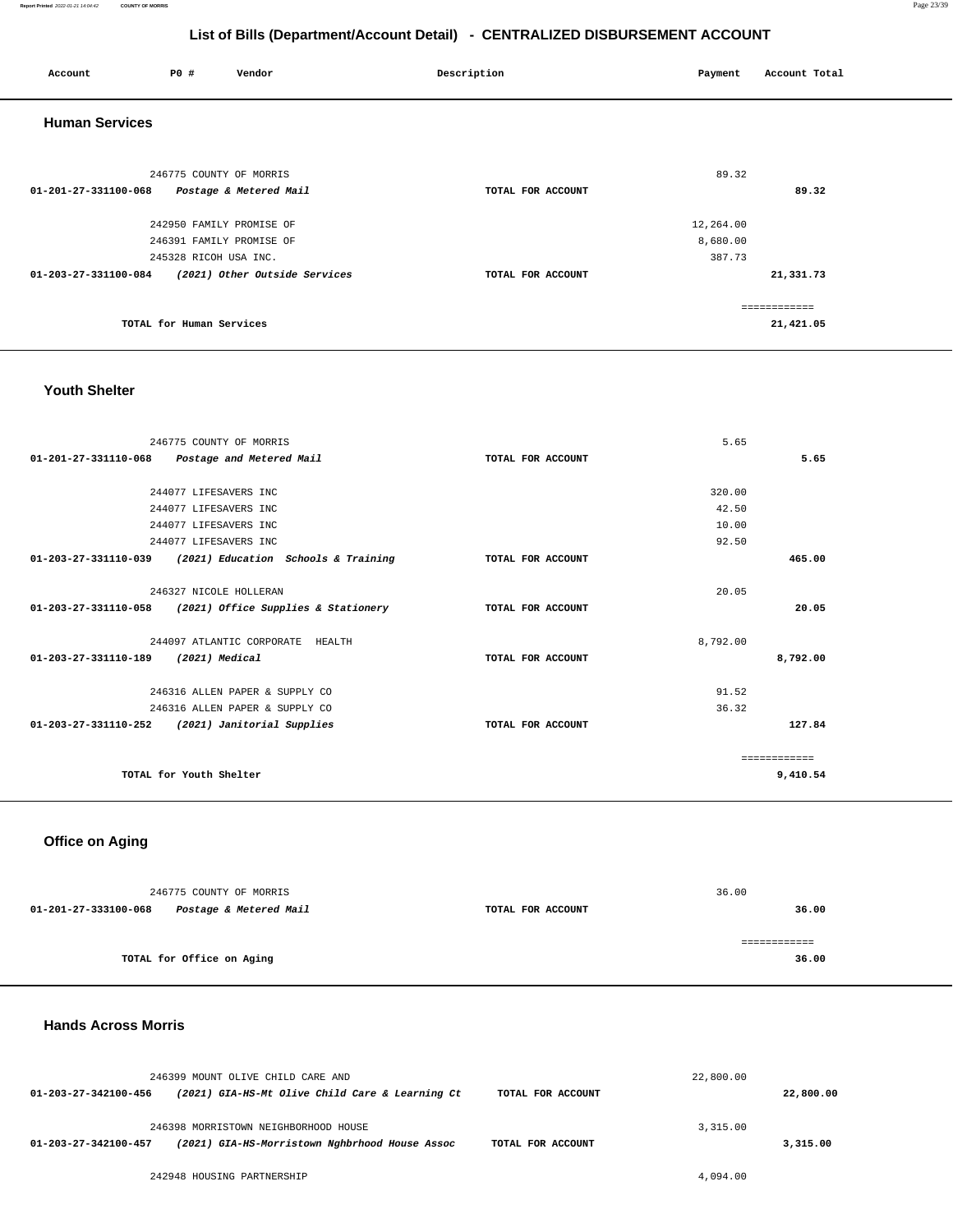#### **Report Printed** 2022-01-21 14:04:42 **COUNTY OF MORRIS** Page 23/39

# **List of Bills (Department/Account Detail) - CENTRALIZED DISBURSEMENT ACCOUNT**

| Account               | P0 #                     | Vendor                        | Description       | Payment   | Account Total |
|-----------------------|--------------------------|-------------------------------|-------------------|-----------|---------------|
| <b>Human Services</b> |                          |                               |                   |           |               |
|                       | 246775 COUNTY OF MORRIS  |                               |                   | 89.32     |               |
| 01-201-27-331100-068  |                          | Postage & Metered Mail        | TOTAL FOR ACCOUNT |           | 89.32         |
|                       | 242950 FAMILY PROMISE OF |                               |                   | 12,264.00 |               |
|                       | 246391 FAMILY PROMISE OF |                               |                   | 8,680.00  |               |
|                       | 245328 RICOH USA INC.    |                               |                   | 387.73    |               |
| 01-203-27-331100-084  |                          | (2021) Other Outside Services | TOTAL FOR ACCOUNT |           | 21,331.73     |
|                       |                          |                               |                   |           | ------------  |
|                       | TOTAL for Human Services |                               |                   |           | 21,421.05     |

#### **Youth Shelter**

| 246775 COUNTY OF MORRIS                                      |                   | 5.65     |              |
|--------------------------------------------------------------|-------------------|----------|--------------|
| $01-201-27-331110-068$ Postage and Metered Mail              | TOTAL FOR ACCOUNT |          | 5.65         |
|                                                              |                   |          |              |
| 244077 LIFESAVERS INC                                        |                   | 320.00   |              |
| 244077 LIFESAVERS INC                                        |                   | 42.50    |              |
| 244077 LIFESAVERS INC                                        |                   | 10.00    |              |
| 244077 LIFESAVERS INC                                        |                   | 92.50    |              |
| 01-203-27-331110-039 (2021) Education Schools & Training     | TOTAL FOR ACCOUNT |          | 465.00       |
|                                                              |                   |          |              |
| 246327 NICOLE HOLLERAN                                       |                   | 20.05    |              |
| (2021) Office Supplies & Stationery<br>01-203-27-331110-058  | TOTAL FOR ACCOUNT |          | 20.05        |
|                                                              |                   |          |              |
| 244097 ATLANTIC CORPORATE HEALTH                             |                   | 8,792.00 |              |
| 01-203-27-331110-189<br>(2021) Medical                       | TOTAL FOR ACCOUNT |          | 8,792.00     |
|                                                              |                   |          |              |
| 246316 ALLEN PAPER & SUPPLY CO                               |                   | 91.52    |              |
| 246316 ALLEN PAPER & SUPPLY CO                               |                   | 36.32    |              |
| $01 - 203 - 27 - 331110 - 252$<br>(2021) Janitorial Supplies | TOTAL FOR ACCOUNT |          | 127.84       |
|                                                              |                   |          |              |
|                                                              |                   |          | ============ |
| TOTAL for Youth Shelter                                      |                   |          | 9,410.54     |
|                                                              |                   |          |              |

### **Office on Aging**

| 246775 COUNTY OF MORRIS                        |                   | 36.00 |
|------------------------------------------------|-------------------|-------|
| 01-201-27-333100-068<br>Postage & Metered Mail | TOTAL FOR ACCOUNT | 36.00 |
|                                                |                   |       |
|                                                |                   |       |
| TOTAL for Office on Aging                      |                   | 36.00 |
|                                                |                   |       |

### **Hands Across Morris**

|                      | 246399 MOUNT OLIVE CHILD CARE AND               |                   | 22,800.00 |           |
|----------------------|-------------------------------------------------|-------------------|-----------|-----------|
| 01-203-27-342100-456 | (2021) GIA-HS-Mt Olive Child Care & Learning Ct | TOTAL FOR ACCOUNT |           | 22,800.00 |
|                      | 246398 MORRISTOWN NEIGHBORHOOD HOUSE            |                   | 3,315,00  |           |
| 01-203-27-342100-457 | (2021) GIA-HS-Morristown Nghbrhood House Assoc  | TOTAL FOR ACCOUNT |           | 3,315.00  |
|                      | 242948 HOUSING PARTNERSHIP                      |                   | 4,094,00  |           |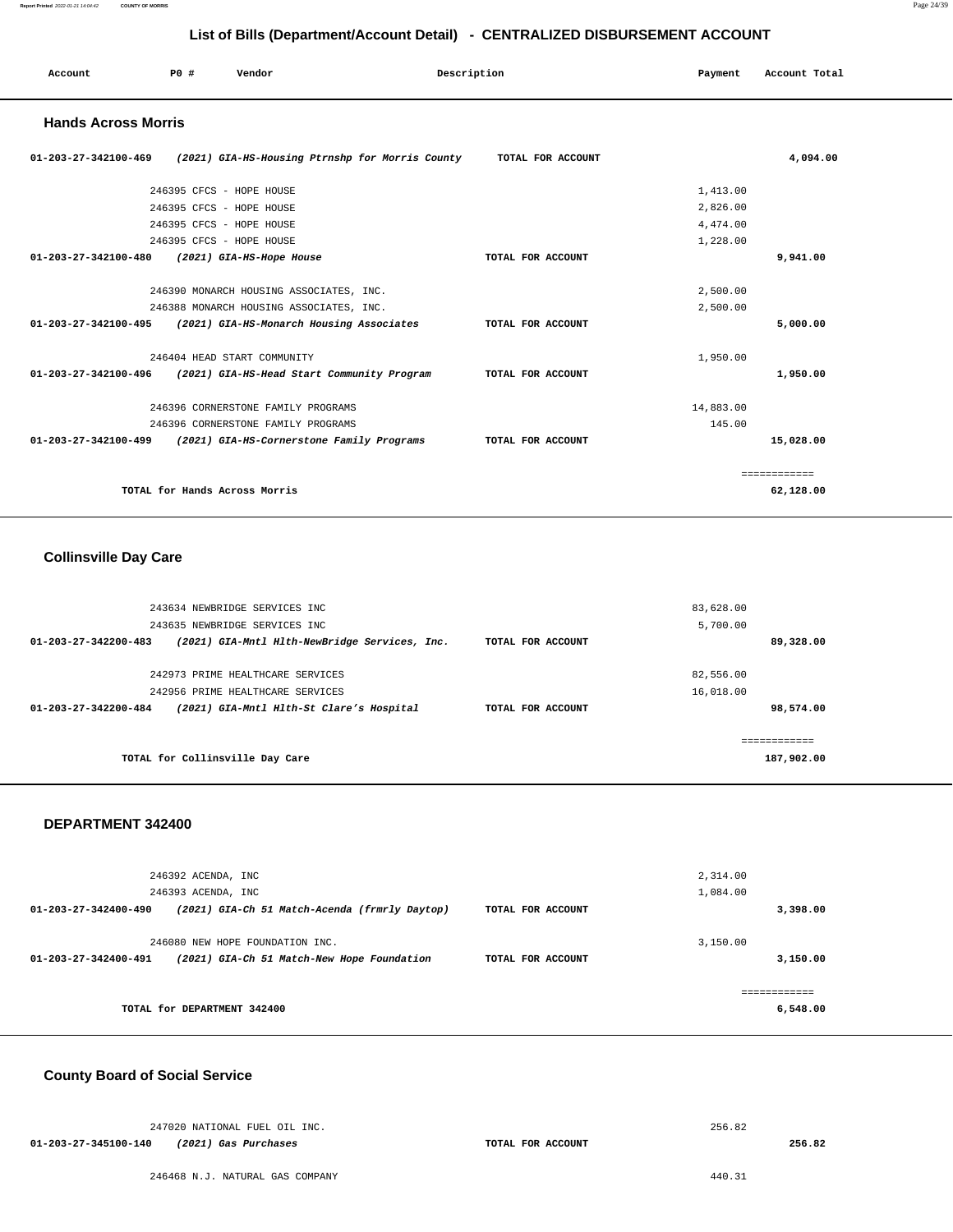| List of Dills (Department/Account Detail) - CENTRALIZED DIODOROLMENT ACCOUNT |                               |                                            |                                                 |                   |           |               |  |
|------------------------------------------------------------------------------|-------------------------------|--------------------------------------------|-------------------------------------------------|-------------------|-----------|---------------|--|
| Account                                                                      | PO#                           | Vendor                                     | Description                                     |                   | Payment   | Account Total |  |
| <b>Hands Across Morris</b>                                                   |                               |                                            |                                                 |                   |           |               |  |
| 01-203-27-342100-469                                                         |                               |                                            | (2021) GIA-HS-Housing Ptrnshp for Morris County | TOTAL FOR ACCOUNT |           | 4,094.00      |  |
|                                                                              | 246395 CFCS - HOPE HOUSE      |                                            |                                                 |                   | 1,413.00  |               |  |
|                                                                              | 246395 CFCS - HOPE HOUSE      |                                            |                                                 |                   | 2,826.00  |               |  |
|                                                                              | 246395 CFCS - HOPE HOUSE      |                                            |                                                 |                   | 4,474.00  |               |  |
|                                                                              | 246395 CFCS - HOPE HOUSE      |                                            |                                                 |                   | 1,228.00  |               |  |
| 01-203-27-342100-480                                                         | (2021) GIA-HS-Hope House      |                                            |                                                 | TOTAL FOR ACCOUNT |           | 9,941.00      |  |
|                                                                              |                               | 246390 MONARCH HOUSING ASSOCIATES, INC.    |                                                 |                   | 2,500.00  |               |  |
|                                                                              |                               | 246388 MONARCH HOUSING ASSOCIATES, INC.    |                                                 |                   | 2,500.00  |               |  |
| 01-203-27-342100-495 (2021) GIA-HS-Monarch Housing Associates                |                               |                                            |                                                 | TOTAL FOR ACCOUNT |           | 5,000.00      |  |
|                                                                              | 246404 HEAD START COMMUNITY   |                                            |                                                 |                   | 1,950.00  |               |  |
| 01-203-27-342100-496                                                         |                               | (2021) GIA-HS-Head Start Community Program |                                                 | TOTAL FOR ACCOUNT |           | 1,950.00      |  |
|                                                                              |                               | 246396 CORNERSTONE FAMILY PROGRAMS         |                                                 |                   | 14,883.00 |               |  |
|                                                                              |                               | 246396 CORNERSTONE FAMILY PROGRAMS         |                                                 |                   |           | 145.00        |  |
| 01-203-27-342100-499 (2021) GIA-HS-Cornerstone Family Programs               |                               |                                            |                                                 | TOTAL FOR ACCOUNT |           | 15,028.00     |  |
|                                                                              |                               |                                            |                                                 |                   |           | ============  |  |
|                                                                              | TOTAL for Hands Across Morris |                                            |                                                 |                   |           | 62,128.00     |  |

### **Collinsville Day Care**

|                      | 243634 NEWBRIDGE SERVICES INC                 |                   | 83,628.00   |
|----------------------|-----------------------------------------------|-------------------|-------------|
|                      | 243635 NEWBRIDGE SERVICES INC                 |                   | 5,700.00    |
| 01-203-27-342200-483 | (2021) GIA-Mntl Hlth-NewBridge Services, Inc. | TOTAL FOR ACCOUNT | 89,328,00   |
|                      |                                               |                   |             |
|                      | 242973 PRIME HEALTHCARE SERVICES              |                   | 82,556.00   |
|                      | 242956 PRIME HEALTHCARE SERVICES              |                   | 16,018.00   |
| 01-203-27-342200-484 | (2021) GIA-Mntl Hlth-St Clare's Hospital      | TOTAL FOR ACCOUNT | 98,574.00   |
|                      |                                               |                   | =========== |
|                      |                                               |                   |             |
|                      | TOTAL for Collinsville Day Care               |                   | 187,902.00  |
|                      |                                               |                   |             |

#### **DEPARTMENT 342400**

| 246392 ACENDA, INC<br>246393 ACENDA, INC                                                                                             | 2,314.00<br>1,084.00 |
|--------------------------------------------------------------------------------------------------------------------------------------|----------------------|
| (2021) GIA-Ch 51 Match-Acenda (frmrly Daytop)<br>01-203-27-342400-490<br>TOTAL FOR ACCOUNT                                           | 3,398.00             |
| 246080 NEW HOPE FOUNDATION INC.<br>$01 - 203 - 27 - 342400 - 491$<br>(2021) GIA-Ch 51 Match-New Hope Foundation<br>TOTAL FOR ACCOUNT | 3.150.00<br>3,150.00 |
| TOTAL for DEPARTMENT 342400                                                                                                          | 6,548.00             |

### **County Board of Social Service**

|                      | 247020 NATIONAL FUEL OIL INC. |                   | 256.82 |        |
|----------------------|-------------------------------|-------------------|--------|--------|
| 01-203-27-345100-140 | (2021) Gas Purchases          | TOTAL FOR ACCOUNT |        | 256.82 |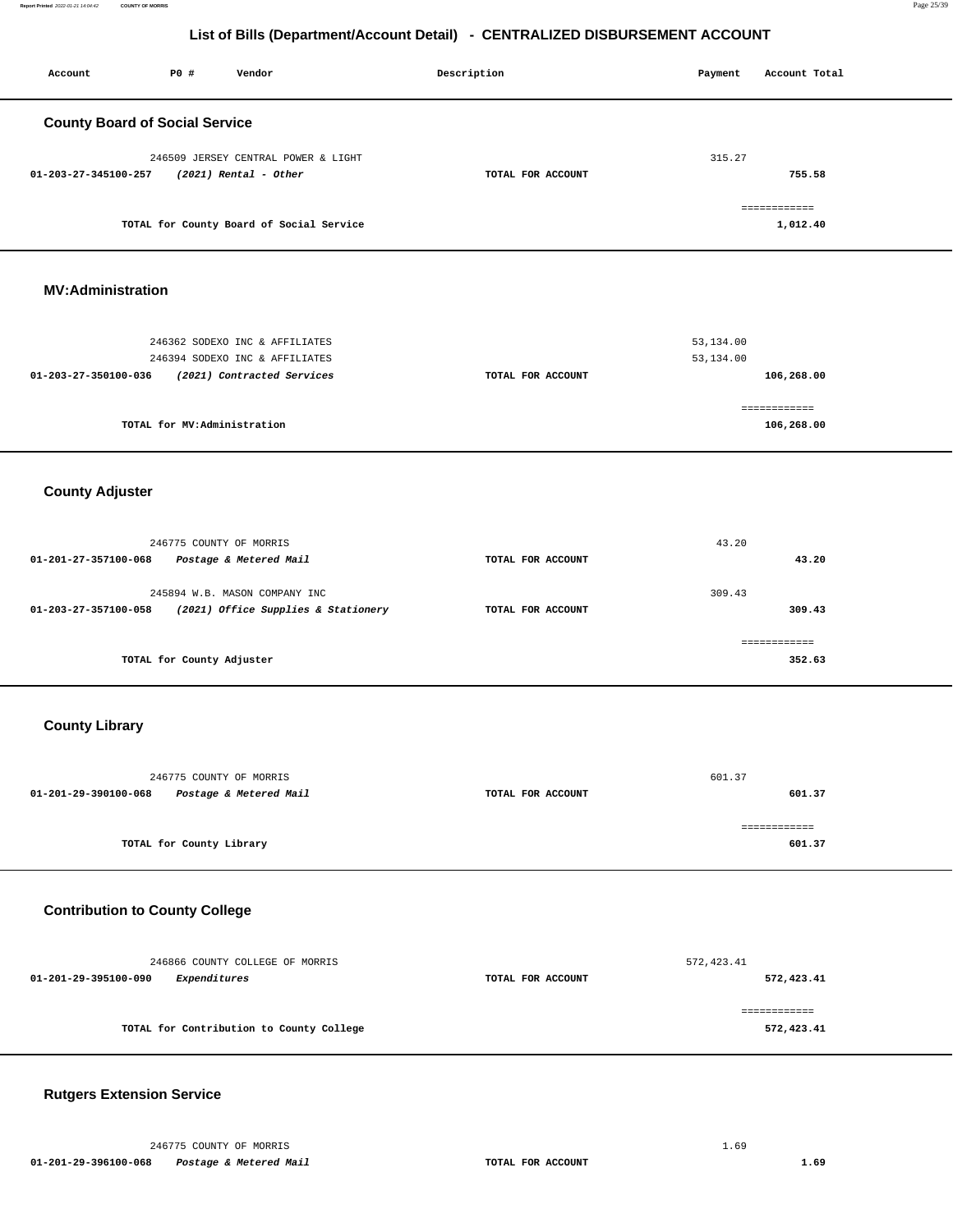| Account                               | P0 #                        | Vendor                                                                                         | Description       | Payment                | Account Total              |  |
|---------------------------------------|-----------------------------|------------------------------------------------------------------------------------------------|-------------------|------------------------|----------------------------|--|
| <b>County Board of Social Service</b> |                             |                                                                                                |                   |                        |                            |  |
| 01-203-27-345100-257                  |                             | 246509 JERSEY CENTRAL POWER & LIGHT<br>$(2021)$ Rental - Other                                 | TOTAL FOR ACCOUNT | 315.27                 | 755.58                     |  |
|                                       |                             | TOTAL for County Board of Social Service                                                       |                   |                        | ============<br>1,012.40   |  |
| <b>MV:Administration</b>              |                             |                                                                                                |                   |                        |                            |  |
| 01-203-27-350100-036                  |                             | 246362 SODEXO INC & AFFILIATES<br>246394 SODEXO INC & AFFILIATES<br>(2021) Contracted Services | TOTAL FOR ACCOUNT | 53,134.00<br>53,134.00 | 106,268.00                 |  |
|                                       | TOTAL for MV:Administration |                                                                                                |                   |                        | ============<br>106,268.00 |  |
| <b>County Adjuster</b>                |                             |                                                                                                |                   |                        |                            |  |
| 01-201-27-357100-068                  | 246775 COUNTY OF MORRIS     | Postage & Metered Mail                                                                         | TOTAL FOR ACCOUNT | 43.20                  | 43.20                      |  |
| 01-203-27-357100-058                  |                             | 245894 W.B. MASON COMPANY INC<br>(2021) Office Supplies & Stationery                           | TOTAL FOR ACCOUNT | 309.43                 | 309.43                     |  |
|                                       | TOTAL for County Adjuster   |                                                                                                |                   |                        | ============<br>352.63     |  |
| <b>County Library</b>                 |                             |                                                                                                |                   |                        |                            |  |
| 01-201-29-390100-068                  | 246775 COUNTY OF MORRIS     | Postage & Metered Mail                                                                         | TOTAL FOR ACCOUNT | 601.37                 | 601.37                     |  |
|                                       | TOTAL for County Library    |                                                                                                |                   |                        | ============<br>601.37     |  |
| <b>Contribution to County College</b> |                             |                                                                                                |                   |                        |                            |  |
| 01-201-29-395100-090                  | Expenditures                | 246866 COUNTY COLLEGE OF MORRIS                                                                | TOTAL FOR ACCOUNT | 572, 423.41            | 572,423.41                 |  |
|                                       |                             | TOTAL for Contribution to County College                                                       |                   |                        | ============<br>572,423.41 |  |
|                                       |                             |                                                                                                |                   |                        |                            |  |

#### **Rutgers Extension Service**

 246775 COUNTY OF MORRIS 1.69  **01-201-29-396100-068 Postage & Metered Mail TOTAL FOR ACCOUNT 1.69**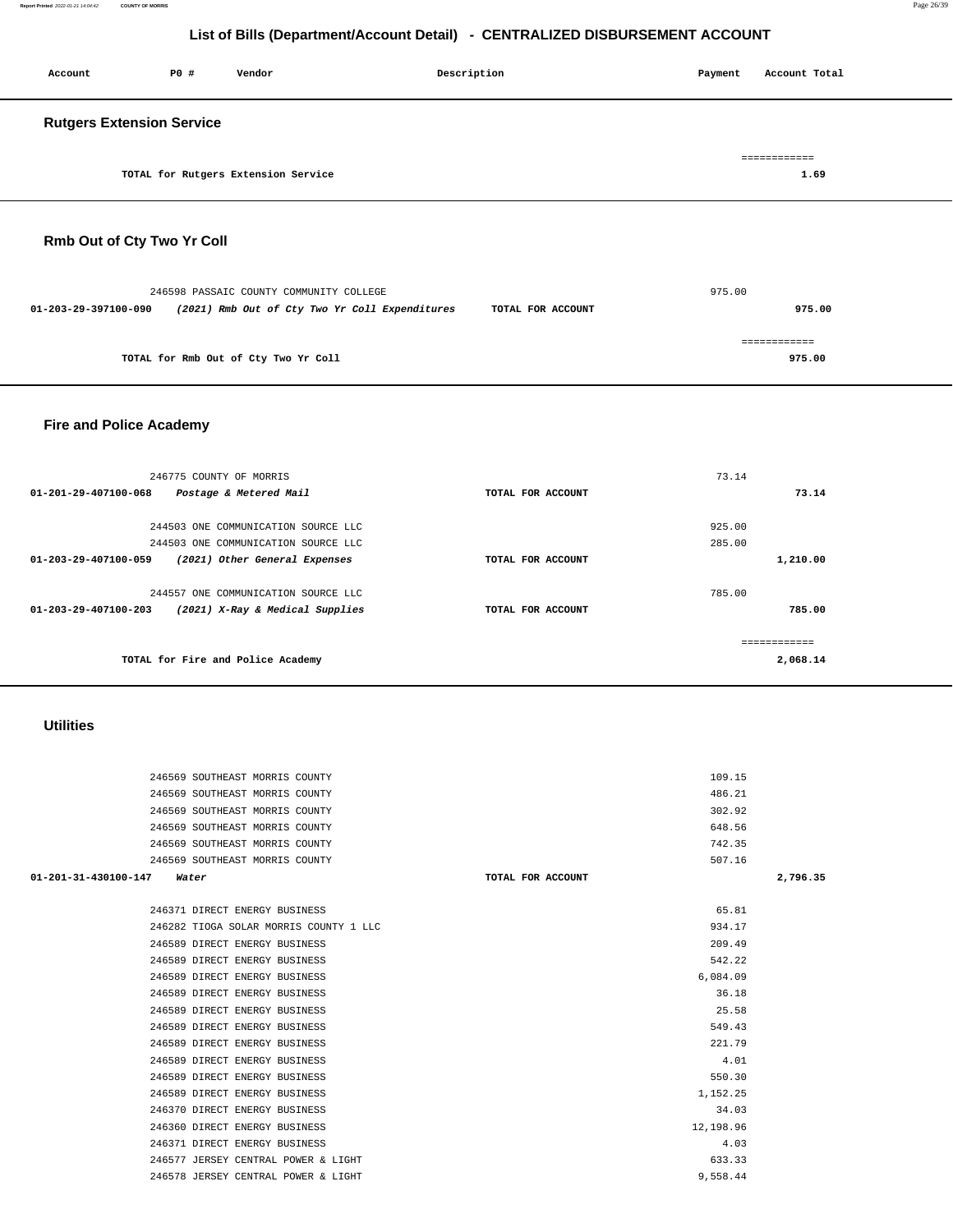#### **Report Printed** 2022-01-21 14:04:42 **COUNTY OF MORRIS** Page 26/39

### **List of Bills (Department/Account Detail) - CENTRALIZED DISBURSEMENT ACCOUNT**

| Account                          | P0 # | Vendor                              | Description | Payment | Account Total        |
|----------------------------------|------|-------------------------------------|-------------|---------|----------------------|
| <b>Rutgers Extension Service</b> |      |                                     |             |         |                      |
|                                  |      | TOTAL for Rutgers Extension Service |             |         | ============<br>1.69 |

## **Rmb Out of Cty Two Yr Coll**

| 246598 PASSAIC COUNTY COMMUNITY COLLEGE                                |                   | 975.00 |
|------------------------------------------------------------------------|-------------------|--------|
| 01-203-29-397100-090<br>(2021) Rmb Out of Cty Two Yr Coll Expenditures | TOTAL FOR ACCOUNT | 975.00 |
|                                                                        |                   |        |
| TOTAL for Rmb Out of Cty Two Yr Coll                                   |                   | 975.00 |
|                                                                        |                   |        |

## **Fire and Police Academy**

| 246775 COUNTY OF MORRIS                                           |                   | 73.14        |
|-------------------------------------------------------------------|-------------------|--------------|
| 01-201-29-407100-068<br>Postage & Metered Mail                    | TOTAL FOR ACCOUNT | 73.14        |
|                                                                   |                   |              |
| 244503 ONE COMMUNICATION SOURCE LLC                               |                   | 925.00       |
| 244503 ONE COMMUNICATION SOURCE LLC                               |                   | 285.00       |
| 01-203-29-407100-059<br>(2021) Other General Expenses             | TOTAL FOR ACCOUNT | 1,210.00     |
|                                                                   |                   |              |
| 244557 ONE COMMUNICATION SOURCE LLC                               |                   | 785.00       |
| $01 - 203 - 29 - 407100 - 203$<br>(2021) X-Ray & Medical Supplies | TOTAL FOR ACCOUNT | 785.00       |
|                                                                   |                   |              |
|                                                                   |                   | ------------ |
| TOTAL for Fire and Police Academy                                 |                   | 2,068.14     |

### **Utilities**

|                      | 246569 SOUTHEAST MORRIS COUNTY         | 109.15            |          |
|----------------------|----------------------------------------|-------------------|----------|
|                      | 246569 SOUTHEAST MORRIS COUNTY         | 486.21            |          |
|                      | 246569 SOUTHEAST MORRIS COUNTY         | 302.92            |          |
|                      | 246569 SOUTHEAST MORRIS COUNTY         | 648.56            |          |
|                      | 246569 SOUTHEAST MORRIS COUNTY         | 742.35            |          |
|                      | 246569 SOUTHEAST MORRIS COUNTY         | 507.16            |          |
| 01-201-31-430100-147 | Water                                  | TOTAL FOR ACCOUNT | 2,796.35 |
|                      |                                        |                   |          |
|                      | 246371 DIRECT ENERGY BUSINESS          | 65.81             |          |
|                      | 246282 TIOGA SOLAR MORRIS COUNTY 1 LLC | 934.17            |          |
|                      | 246589 DIRECT ENERGY BUSINESS          | 209.49            |          |
|                      | 246589 DIRECT ENERGY BUSINESS          | 542.22            |          |
|                      | 246589 DIRECT ENERGY BUSINESS          | 6,084.09          |          |
|                      | 246589 DIRECT ENERGY BUSINESS          | 36.18             |          |
|                      | 246589 DIRECT ENERGY BUSINESS          | 25.58             |          |
|                      | 246589 DIRECT ENERGY BUSINESS          | 549.43            |          |
|                      | 246589 DIRECT ENERGY BUSINESS          | 221.79            |          |
|                      | 246589 DIRECT ENERGY BUSINESS          | 4.01              |          |
|                      | 246589 DIRECT ENERGY BUSINESS          | 550.30            |          |
|                      | 246589 DIRECT ENERGY BUSINESS          | 1,152.25          |          |
|                      | 246370 DIRECT ENERGY BUSINESS          | 34.03             |          |
|                      | 246360 DIRECT ENERGY BUSINESS          | 12,198.96         |          |
|                      | 246371 DIRECT ENERGY BUSINESS          | 4.03              |          |
|                      | 246577 JERSEY CENTRAL POWER & LIGHT    | 633.33            |          |
|                      | 246578 JERSEY CENTRAL POWER & LIGHT    | 9,558.44          |          |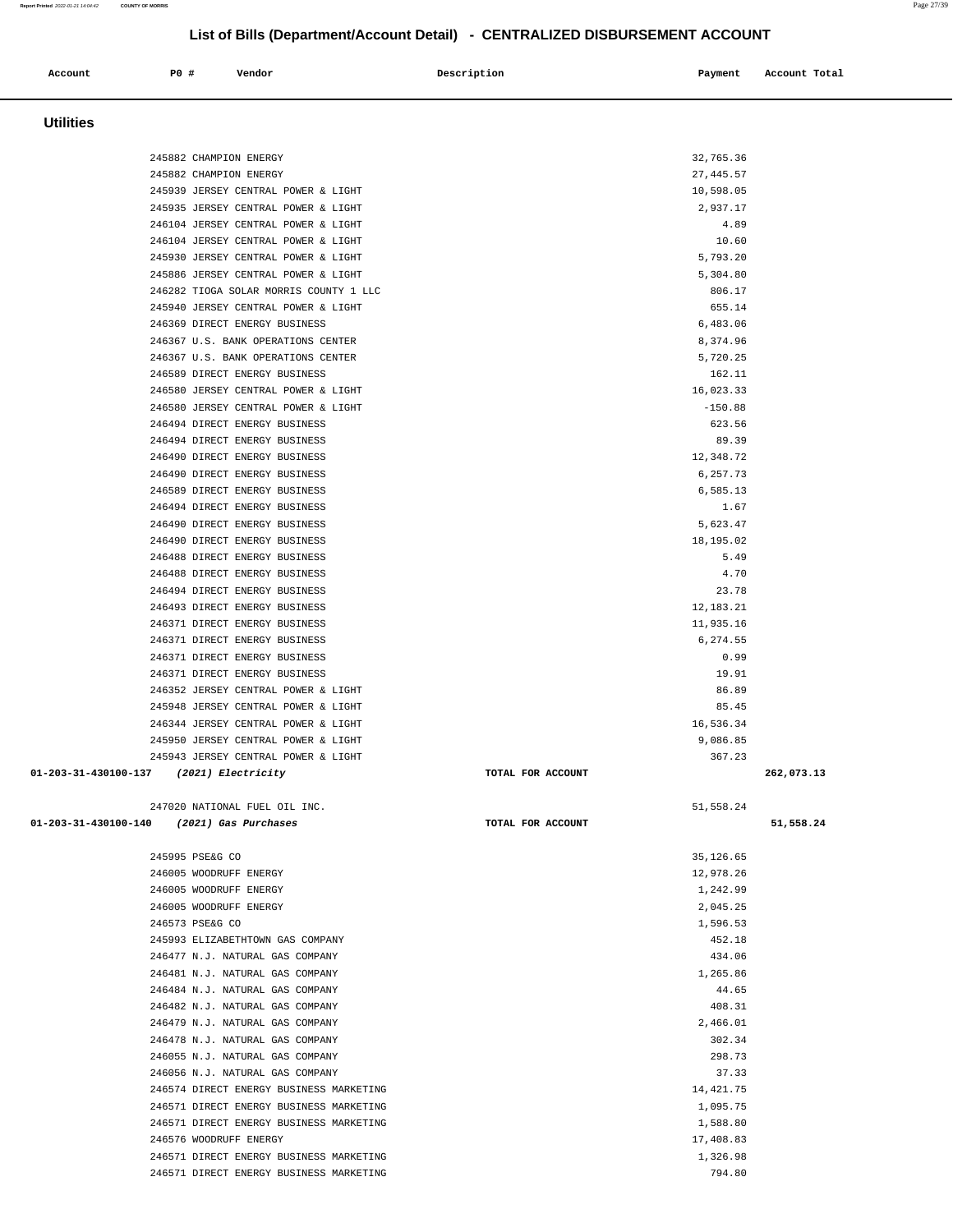| Account                                   | P0 #            | Vendor                                                                     | Description       | Payment               | Account Total |
|-------------------------------------------|-----------------|----------------------------------------------------------------------------|-------------------|-----------------------|---------------|
| <b>Utilities</b>                          |                 |                                                                            |                   |                       |               |
|                                           |                 |                                                                            |                   |                       |               |
|                                           |                 | 245882 CHAMPION ENERGY                                                     |                   | 32,765.36             |               |
|                                           |                 | 245882 CHAMPION ENERGY                                                     |                   | 27, 445.57            |               |
|                                           |                 | 245939 JERSEY CENTRAL POWER & LIGHT                                        |                   | 10,598.05             |               |
|                                           |                 | 245935 JERSEY CENTRAL POWER & LIGHT<br>246104 JERSEY CENTRAL POWER & LIGHT |                   | 2,937.17<br>4.89      |               |
|                                           |                 | 246104 JERSEY CENTRAL POWER & LIGHT                                        |                   | 10.60                 |               |
|                                           |                 | 245930 JERSEY CENTRAL POWER & LIGHT                                        |                   | 5,793.20              |               |
|                                           |                 | 245886 JERSEY CENTRAL POWER & LIGHT                                        |                   | 5,304.80              |               |
|                                           |                 | 246282 TIOGA SOLAR MORRIS COUNTY 1 LLC                                     |                   | 806.17                |               |
|                                           |                 | 245940 JERSEY CENTRAL POWER & LIGHT                                        |                   | 655.14                |               |
|                                           |                 | 246369 DIRECT ENERGY BUSINESS                                              |                   | 6,483.06              |               |
|                                           |                 | 246367 U.S. BANK OPERATIONS CENTER                                         |                   | 8,374.96              |               |
|                                           |                 | 246367 U.S. BANK OPERATIONS CENTER                                         |                   | 5,720.25              |               |
|                                           |                 | 246589 DIRECT ENERGY BUSINESS                                              |                   | 162.11<br>16,023.33   |               |
|                                           |                 | 246580 JERSEY CENTRAL POWER & LIGHT<br>246580 JERSEY CENTRAL POWER & LIGHT |                   | $-150.88$             |               |
|                                           |                 | 246494 DIRECT ENERGY BUSINESS                                              |                   | 623.56                |               |
|                                           |                 | 246494 DIRECT ENERGY BUSINESS                                              |                   | 89.39                 |               |
|                                           |                 | 246490 DIRECT ENERGY BUSINESS                                              |                   | 12,348.72             |               |
|                                           |                 | 246490 DIRECT ENERGY BUSINESS                                              |                   | 6,257.73              |               |
|                                           |                 | 246589 DIRECT ENERGY BUSINESS                                              |                   | 6,585.13              |               |
|                                           |                 | 246494 DIRECT ENERGY BUSINESS                                              |                   | 1.67                  |               |
|                                           |                 | 246490 DIRECT ENERGY BUSINESS                                              |                   | 5,623.47              |               |
|                                           |                 | 246490 DIRECT ENERGY BUSINESS                                              |                   | 18,195.02             |               |
|                                           |                 | 246488 DIRECT ENERGY BUSINESS                                              |                   | 5.49                  |               |
|                                           |                 | 246488 DIRECT ENERGY BUSINESS<br>246494 DIRECT ENERGY BUSINESS             |                   | 4.70<br>23.78         |               |
|                                           |                 | 246493 DIRECT ENERGY BUSINESS                                              |                   | 12,183.21             |               |
|                                           |                 | 246371 DIRECT ENERGY BUSINESS                                              |                   | 11,935.16             |               |
|                                           |                 | 246371 DIRECT ENERGY BUSINESS                                              |                   | 6,274.55              |               |
|                                           |                 | 246371 DIRECT ENERGY BUSINESS                                              |                   | 0.99                  |               |
|                                           |                 | 246371 DIRECT ENERGY BUSINESS                                              |                   | 19.91                 |               |
|                                           |                 | 246352 JERSEY CENTRAL POWER & LIGHT                                        |                   | 86.89                 |               |
|                                           |                 | 245948 JERSEY CENTRAL POWER & LIGHT                                        |                   | 85.45                 |               |
|                                           |                 | 246344 JERSEY CENTRAL POWER & LIGHT                                        |                   | 16,536.34             |               |
|                                           |                 | 245950 JERSEY CENTRAL POWER & LIGHT                                        |                   | 9,086.85<br>367.23    |               |
| 01-203-31-430100-137 (2021) Electricity   |                 | 245943 JERSEY CENTRAL POWER & LIGHT                                        | TOTAL FOR ACCOUNT |                       | 262,073.13    |
|                                           |                 | 247020 NATIONAL FUEL OIL INC.                                              |                   | 51,558.24             |               |
| 01-203-31-430100-140 (2021) Gas Purchases |                 |                                                                            | TOTAL FOR ACCOUNT |                       | 51,558.24     |
|                                           |                 |                                                                            |                   |                       |               |
|                                           | 245995 PSE&G CO |                                                                            |                   | 35, 126.65            |               |
|                                           |                 | 246005 WOODRUFF ENERGY                                                     |                   | 12,978.26             |               |
|                                           |                 | 246005 WOODRUFF ENERGY                                                     |                   | 1,242.99              |               |
|                                           |                 | 246005 WOODRUFF ENERGY                                                     |                   | 2,045.25              |               |
|                                           | 246573 PSE&G CO |                                                                            |                   | 1,596.53              |               |
|                                           |                 | 245993 ELIZABETHTOWN GAS COMPANY<br>246477 N.J. NATURAL GAS COMPANY        |                   | 452.18<br>434.06      |               |
|                                           |                 | 246481 N.J. NATURAL GAS COMPANY                                            |                   | 1,265.86              |               |
|                                           |                 | 246484 N.J. NATURAL GAS COMPANY                                            |                   | 44.65                 |               |
|                                           |                 | 246482 N.J. NATURAL GAS COMPANY                                            |                   | 408.31                |               |
|                                           |                 | 246479 N.J. NATURAL GAS COMPANY                                            |                   | 2,466.01              |               |
|                                           |                 | 246478 N.J. NATURAL GAS COMPANY                                            |                   | 302.34                |               |
|                                           |                 | 246055 N.J. NATURAL GAS COMPANY                                            |                   | 298.73                |               |
|                                           |                 | 246056 N.J. NATURAL GAS COMPANY                                            |                   | 37.33                 |               |
|                                           |                 | 246574 DIRECT ENERGY BUSINESS MARKETING                                    |                   | 14, 421.75            |               |
|                                           |                 | 246571 DIRECT ENERGY BUSINESS MARKETING                                    |                   | 1,095.75              |               |
|                                           |                 | 246571 DIRECT ENERGY BUSINESS MARKETING<br>246576 WOODRUFF ENERGY          |                   | 1,588.80<br>17,408.83 |               |
|                                           |                 | 246571 DIRECT ENERGY BUSINESS MARKETING                                    |                   | 1,326.98              |               |
|                                           |                 | 246571 DIRECT ENERGY BUSINESS MARKETING                                    |                   | 794.80                |               |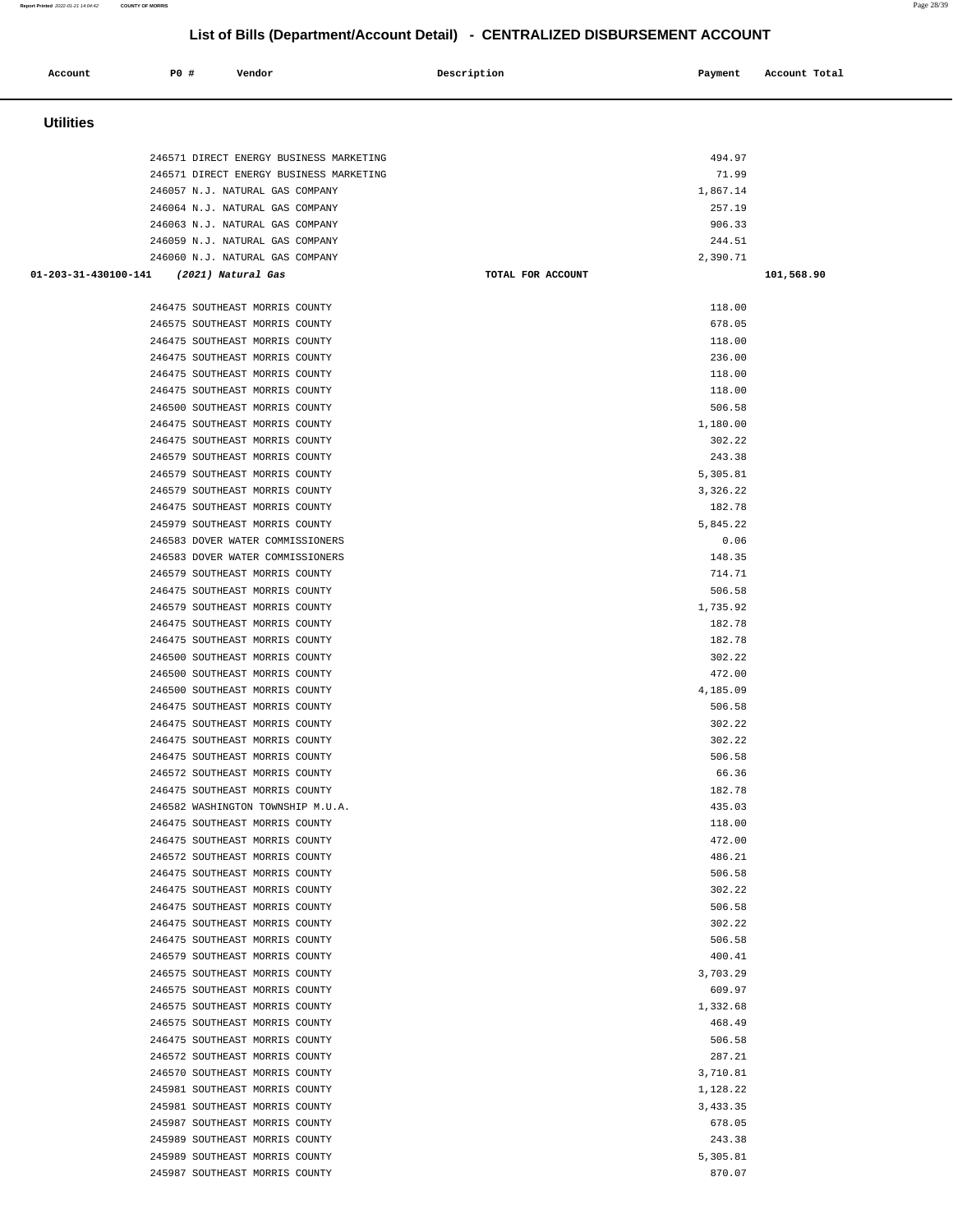| Account                                 | P0 # | Vendor                                                             | Description       | Payment            | Account Total |
|-----------------------------------------|------|--------------------------------------------------------------------|-------------------|--------------------|---------------|
| <b>Utilities</b>                        |      |                                                                    |                   |                    |               |
|                                         |      |                                                                    |                   |                    |               |
|                                         |      | 246571 DIRECT ENERGY BUSINESS MARKETING                            |                   | 494.97             |               |
|                                         |      | 246571 DIRECT ENERGY BUSINESS MARKETING                            |                   | 71.99              |               |
|                                         |      | 246057 N.J. NATURAL GAS COMPANY                                    |                   | 1,867.14           |               |
|                                         |      | 246064 N.J. NATURAL GAS COMPANY<br>246063 N.J. NATURAL GAS COMPANY |                   | 257.19<br>906.33   |               |
|                                         |      | 246059 N.J. NATURAL GAS COMPANY                                    |                   | 244.51             |               |
|                                         |      | 246060 N.J. NATURAL GAS COMPANY                                    |                   | 2,390.71           |               |
| 01-203-31-430100-141 (2021) Natural Gas |      |                                                                    | TOTAL FOR ACCOUNT |                    | 101,568.90    |
|                                         |      |                                                                    |                   |                    |               |
|                                         |      | 246475 SOUTHEAST MORRIS COUNTY                                     |                   | 118.00             |               |
|                                         |      | 246575 SOUTHEAST MORRIS COUNTY                                     |                   | 678.05             |               |
|                                         |      | 246475 SOUTHEAST MORRIS COUNTY<br>246475 SOUTHEAST MORRIS COUNTY   |                   | 118.00<br>236.00   |               |
|                                         |      | 246475 SOUTHEAST MORRIS COUNTY                                     |                   | 118.00             |               |
|                                         |      | 246475 SOUTHEAST MORRIS COUNTY                                     |                   | 118.00             |               |
|                                         |      | 246500 SOUTHEAST MORRIS COUNTY                                     |                   | 506.58             |               |
|                                         |      | 246475 SOUTHEAST MORRIS COUNTY                                     |                   | 1,180.00           |               |
|                                         |      | 246475 SOUTHEAST MORRIS COUNTY                                     |                   | 302.22             |               |
|                                         |      | 246579 SOUTHEAST MORRIS COUNTY                                     |                   | 243.38             |               |
|                                         |      | 246579 SOUTHEAST MORRIS COUNTY                                     |                   | 5,305.81           |               |
|                                         |      | 246579 SOUTHEAST MORRIS COUNTY<br>246475 SOUTHEAST MORRIS COUNTY   |                   | 3,326.22<br>182.78 |               |
|                                         |      | 245979 SOUTHEAST MORRIS COUNTY                                     |                   | 5,845.22           |               |
|                                         |      | 246583 DOVER WATER COMMISSIONERS                                   |                   | 0.06               |               |
|                                         |      | 246583 DOVER WATER COMMISSIONERS                                   |                   | 148.35             |               |
|                                         |      | 246579 SOUTHEAST MORRIS COUNTY                                     |                   | 714.71             |               |
|                                         |      | 246475 SOUTHEAST MORRIS COUNTY                                     |                   | 506.58             |               |
|                                         |      | 246579 SOUTHEAST MORRIS COUNTY                                     |                   | 1,735.92           |               |
|                                         |      | 246475 SOUTHEAST MORRIS COUNTY                                     |                   | 182.78             |               |
|                                         |      | 246475 SOUTHEAST MORRIS COUNTY<br>246500 SOUTHEAST MORRIS COUNTY   |                   | 182.78<br>302.22   |               |
|                                         |      | 246500 SOUTHEAST MORRIS COUNTY                                     |                   | 472.00             |               |
|                                         |      | 246500 SOUTHEAST MORRIS COUNTY                                     |                   | 4,185.09           |               |
|                                         |      | 246475 SOUTHEAST MORRIS COUNTY                                     |                   | 506.58             |               |
|                                         |      | 246475 SOUTHEAST MORRIS COUNTY                                     |                   | 302.22             |               |
|                                         |      | 246475 SOUTHEAST MORRIS COUNTY                                     |                   | 302.22             |               |
|                                         |      | 246475 SOUTHEAST MORRIS COUNTY                                     |                   | 506.58             |               |
|                                         |      | 246572 SOUTHEAST MORRIS COUNTY<br>246475 SOUTHEAST MORRIS COUNTY   |                   | 66.36<br>182.78    |               |
|                                         |      | 246582 WASHINGTON TOWNSHIP M.U.A.                                  |                   | 435.03             |               |
|                                         |      | 246475 SOUTHEAST MORRIS COUNTY                                     |                   | 118.00             |               |
|                                         |      | 246475 SOUTHEAST MORRIS COUNTY                                     |                   | 472.00             |               |
|                                         |      | 246572 SOUTHEAST MORRIS COUNTY                                     |                   | 486.21             |               |
|                                         |      | 246475 SOUTHEAST MORRIS COUNTY                                     |                   | 506.58             |               |
|                                         |      | 246475 SOUTHEAST MORRIS COUNTY                                     |                   | 302.22             |               |
|                                         |      | 246475 SOUTHEAST MORRIS COUNTY<br>246475 SOUTHEAST MORRIS COUNTY   |                   | 506.58<br>302.22   |               |
|                                         |      | 246475 SOUTHEAST MORRIS COUNTY                                     |                   | 506.58             |               |
|                                         |      | 246579 SOUTHEAST MORRIS COUNTY                                     |                   | 400.41             |               |
|                                         |      | 246575 SOUTHEAST MORRIS COUNTY                                     |                   | 3,703.29           |               |
|                                         |      | 246575 SOUTHEAST MORRIS COUNTY                                     |                   | 609.97             |               |
|                                         |      | 246575 SOUTHEAST MORRIS COUNTY                                     |                   | 1,332.68           |               |
|                                         |      | 246575 SOUTHEAST MORRIS COUNTY                                     |                   | 468.49             |               |
|                                         |      | 246475 SOUTHEAST MORRIS COUNTY                                     |                   | 506.58             |               |
|                                         |      | 246572 SOUTHEAST MORRIS COUNTY<br>246570 SOUTHEAST MORRIS COUNTY   |                   | 287.21<br>3,710.81 |               |
|                                         |      | 245981 SOUTHEAST MORRIS COUNTY                                     |                   | 1,128.22           |               |
|                                         |      | 245981 SOUTHEAST MORRIS COUNTY                                     |                   | 3,433.35           |               |
|                                         |      | 245987 SOUTHEAST MORRIS COUNTY                                     |                   | 678.05             |               |
|                                         |      | 245989 SOUTHEAST MORRIS COUNTY                                     |                   | 243.38             |               |
|                                         |      | 245989 SOUTHEAST MORRIS COUNTY                                     |                   | 5,305.81           |               |
|                                         |      | 245987 SOUTHEAST MORRIS COUNTY                                     |                   | 870.07             |               |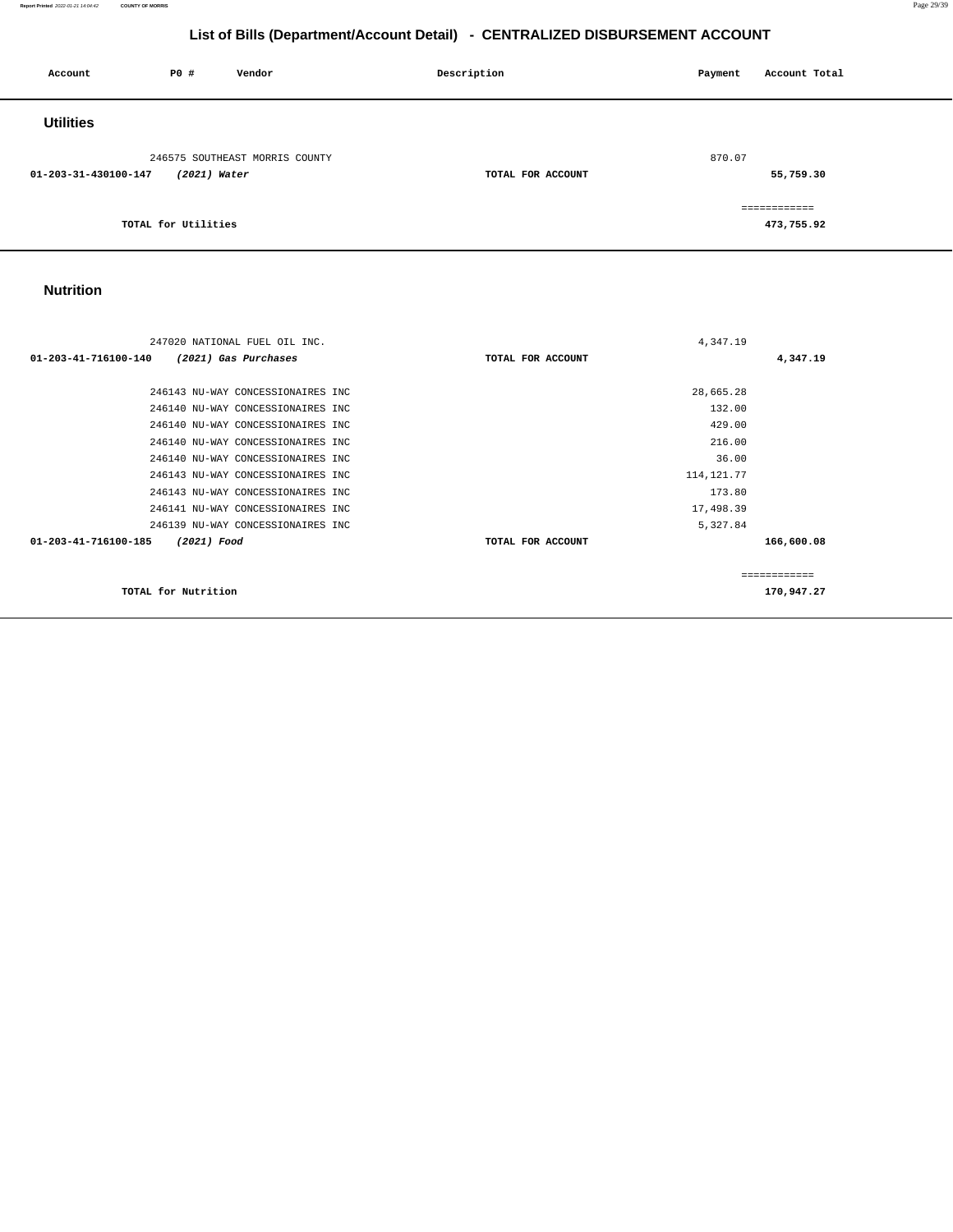**Report Printed** 2022-01-21 14:04:42 **COUNTY OF MORRIS** Page 29/39

### **List of Bills (Department/Account Detail) - CENTRALIZED DISBURSEMENT ACCOUNT**

| Account              | PO#                 | Vendor                         | Description       | Payment | Account Total |
|----------------------|---------------------|--------------------------------|-------------------|---------|---------------|
| <b>Utilities</b>     |                     |                                |                   |         |               |
|                      |                     | 246575 SOUTHEAST MORRIS COUNTY |                   | 870.07  |               |
| 01-203-31-430100-147 | (2021) Water        |                                | TOTAL FOR ACCOUNT |         | 55,759.30     |
|                      |                     |                                |                   |         | ============  |
|                      | TOTAL for Utilities |                                |                   |         | 473,755.92    |

### **Nutrition**

| 247020 NATIONAL FUEL OIL INC.                |                   | 4,347.19      |
|----------------------------------------------|-------------------|---------------|
| 01-203-41-716100-140<br>(2021) Gas Purchases | TOTAL FOR ACCOUNT | 4,347.19      |
|                                              |                   |               |
| 246143 NU-WAY CONCESSIONAIRES INC            |                   | 28,665.28     |
| 246140 NU-WAY CONCESSIONAIRES INC            |                   | 132.00        |
| 246140 NU-WAY CONCESSIONAIRES INC            |                   | 429.00        |
| 246140 NU-WAY CONCESSIONAIRES INC            |                   | 216.00        |
| 246140 NU-WAY CONCESSIONAIRES INC            |                   | 36.00         |
| 246143 NU-WAY CONCESSIONAIRES INC            |                   | 114, 121. 77  |
| 246143 NU-WAY CONCESSIONAIRES INC            |                   | 173.80        |
| 246141 NU-WAY CONCESSIONAIRES INC            |                   | 17,498.39     |
| 246139 NU-WAY CONCESSIONAIRES INC            |                   | 5,327.84      |
| 01-203-41-716100-185<br>(2021) Food          | TOTAL FOR ACCOUNT | 166,600.08    |
|                                              |                   |               |
|                                              |                   | ------------- |
| TOTAL for Nutrition                          |                   | 170,947.27    |
|                                              |                   |               |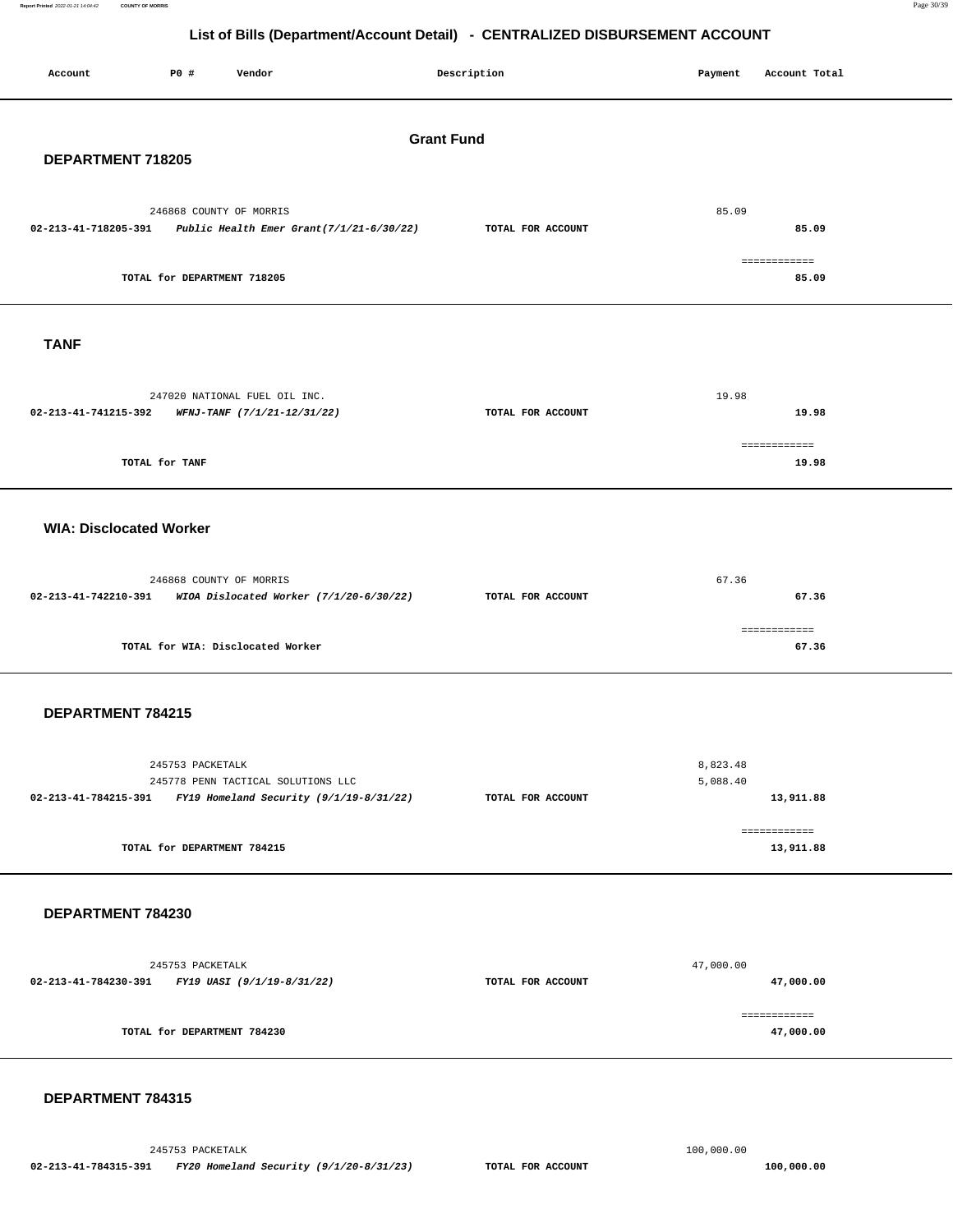| Account<br>P0 #                                 | Vendor                                                                                                                 | Description       | Payment              | Account Total             |
|-------------------------------------------------|------------------------------------------------------------------------------------------------------------------------|-------------------|----------------------|---------------------------|
| DEPARTMENT 718205                               |                                                                                                                        | <b>Grant Fund</b> |                      |                           |
| 02-213-41-718205-391                            | 246868 COUNTY OF MORRIS<br>Public Health Emer Grant(7/1/21-6/30/22)                                                    | TOTAL FOR ACCOUNT | 85.09                | 85.09                     |
|                                                 | TOTAL for DEPARTMENT 718205                                                                                            |                   |                      | ============<br>85.09     |
| <b>TANF</b>                                     |                                                                                                                        |                   |                      |                           |
| 02-213-41-741215-392                            | 247020 NATIONAL FUEL OIL INC.<br>WFNJ-TANF (7/1/21-12/31/22)                                                           | TOTAL FOR ACCOUNT | 19.98                | 19.98                     |
| TOTAL for TANF                                  |                                                                                                                        |                   |                      | ============<br>19.98     |
| <b>WIA: Disclocated Worker</b>                  |                                                                                                                        |                   |                      |                           |
| 02-213-41-742210-391                            | 246868 COUNTY OF MORRIS<br>WIOA Dislocated Worker (7/1/20-6/30/22)                                                     | TOTAL FOR ACCOUNT | 67.36                | 67.36                     |
|                                                 | TOTAL for WIA: Disclocated Worker                                                                                      |                   |                      | ============<br>67.36     |
| DEPARTMENT 784215                               |                                                                                                                        |                   |                      |                           |
|                                                 | 245753 PACKETALK<br>245778 PENN TACTICAL SOLUTIONS LLC<br>02-213-41-784215-391 FY19 Homeland Security (9/1/19-8/31/22) | TOTAL FOR ACCOUNT | 8,823.48<br>5,088.40 | 13,911.88                 |
|                                                 | TOTAL for DEPARTMENT 784215                                                                                            |                   |                      | ============<br>13,911.88 |
| DEPARTMENT 784230                               |                                                                                                                        |                   |                      |                           |
| 02-213-41-784230-391 FY19 UASI (9/1/19-8/31/22) | 245753 PACKETALK                                                                                                       | TOTAL FOR ACCOUNT | 47,000.00            | 47,000.00                 |
|                                                 | TOTAL for DEPARTMENT 784230                                                                                            |                   |                      | ------------<br>47,000.00 |
| DEPARTMENT 784315                               |                                                                                                                        |                   |                      |                           |

245753 PACKETALK [100,000.00](https://100,000.00)  **02-213-41-784315-391 FY20 Homeland Security (9/1/20-8/31/23) TOTAL FOR ACCOUNT [100,000.00](https://100,000.00)**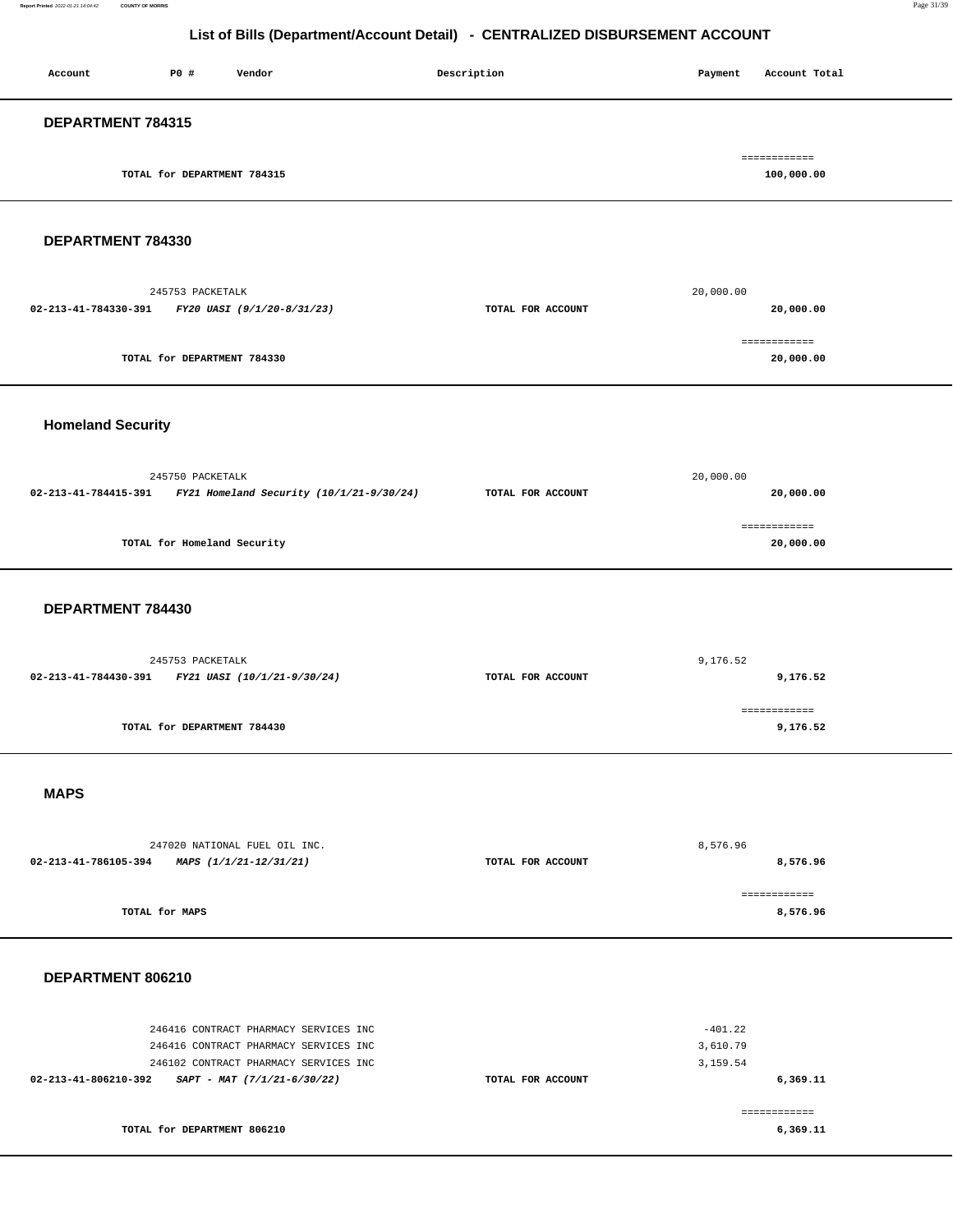| Account           | P0 #                        | Vendor | Description | Account Total<br>Payment   |
|-------------------|-----------------------------|--------|-------------|----------------------------|
| DEPARTMENT 784315 |                             |        |             |                            |
|                   | TOTAL for DEPARTMENT 784315 |        |             | ============<br>100,000.00 |
| DEPARTMENT 784330 |                             |        |             |                            |

|                      | 245753 PACKETALK            | 20,000.00         |              |
|----------------------|-----------------------------|-------------------|--------------|
| 02-213-41-784330-391 | FY20 UASI (9/1/20-8/31/23)  | TOTAL FOR ACCOUNT | 20,000.00    |
|                      |                             |                   | ============ |
|                      | TOTAL for DEPARTMENT 784330 |                   | 20,000.00    |
|                      |                             |                   |              |

 **Homeland Security** 

| 245750 PACKETALK                                                 | 20,000.00                      |  |
|------------------------------------------------------------------|--------------------------------|--|
| FY21 Homeland Security (10/1/21-9/30/24)<br>02-213-41-784415-391 | 20,000.00<br>TOTAL FOR ACCOUNT |  |
| TOTAL for Homeland Security                                      | ============<br>20,000.00      |  |

#### **DEPARTMENT 784430**

|                      | 245753 PACKETALK            |                   | 9,176.52     |
|----------------------|-----------------------------|-------------------|--------------|
| 02-213-41-784430-391 | FY21 UASI (10/1/21-9/30/24) | TOTAL FOR ACCOUNT | 9,176.52     |
|                      |                             |                   |              |
|                      |                             |                   | ------------ |
|                      | TOTAL for DEPARTMENT 784430 |                   | 9,176.52     |
|                      |                             |                   |              |

#### **MAPS**

| 247020 NATIONAL FUEL OIL INC.                  |                   | 8,576.96 |
|------------------------------------------------|-------------------|----------|
| 02-213-41-786105-394<br>MAPS (1/1/21-12/31/21) | TOTAL FOR ACCOUNT | 8,576.96 |
|                                                |                   |          |
|                                                |                   |          |
| TOTAL for MAPS                                 |                   | 8,576.96 |

#### **DEPARTMENT 806210**

|                             | 246416 CONTRACT PHARMACY SERVICES INC | $-401.22$         |          |
|-----------------------------|---------------------------------------|-------------------|----------|
|                             | 246416 CONTRACT PHARMACY SERVICES INC | 3,610.79          |          |
|                             | 246102 CONTRACT PHARMACY SERVICES INC | 3,159.54          |          |
| 02-213-41-806210-392        | $SAPT - MAT (7/1/21-6/30/22)$         | TOTAL FOR ACCOUNT | 6,369.11 |
|                             |                                       |                   |          |
| TOTAL for DEPARTMENT 806210 |                                       |                   | 6,369.11 |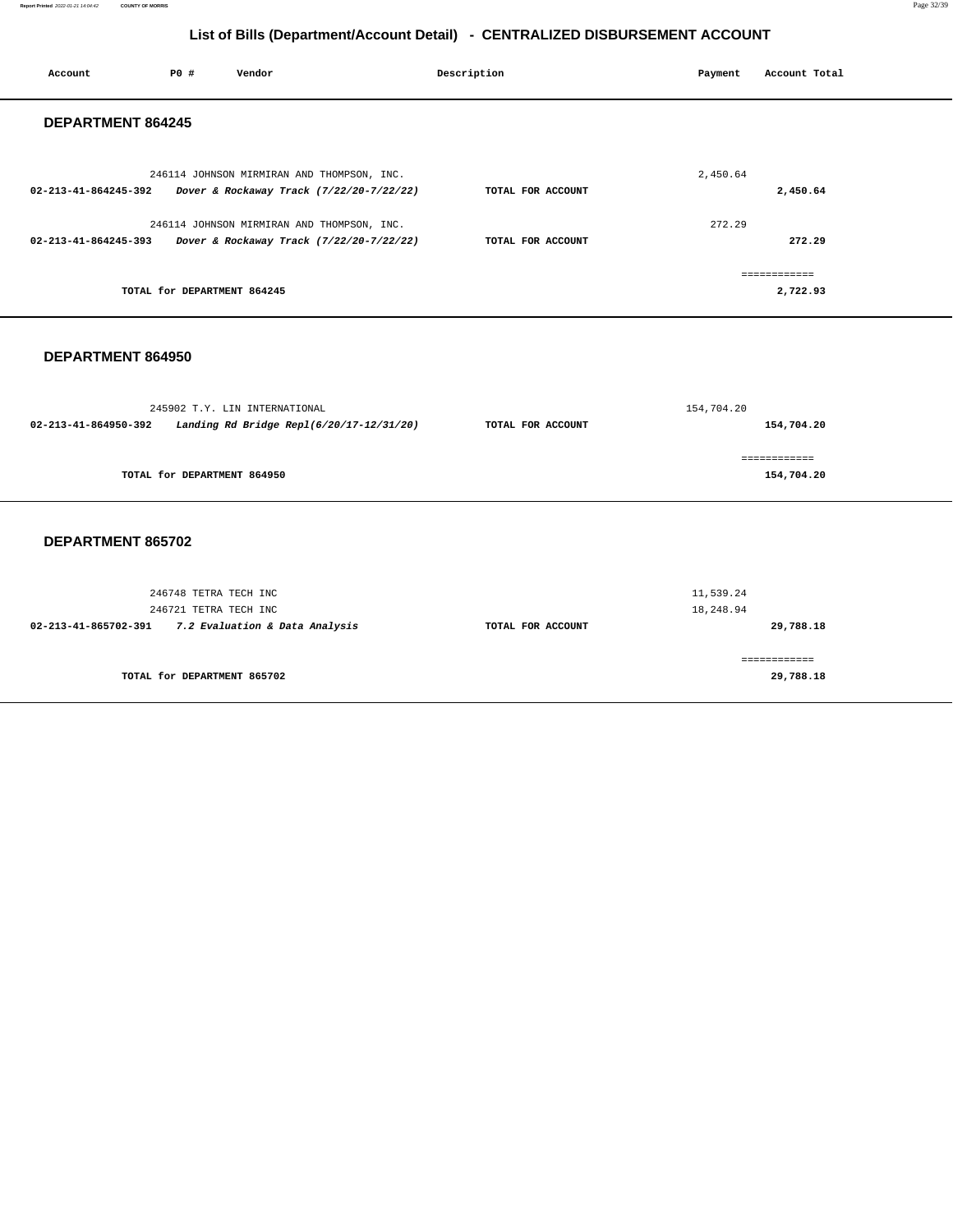**Report Printed** 2022-01-21 14:04:42 **COUNTY OF MORRIS** Page 32/39

## **List of Bills (Department/Account Detail) - CENTRALIZED DISBURSEMENT ACCOUNT**

| Account                        | P0 #                        | Vendor                                     |                                          | Description       | Payment    | Account Total            |
|--------------------------------|-----------------------------|--------------------------------------------|------------------------------------------|-------------------|------------|--------------------------|
| DEPARTMENT 864245              |                             |                                            |                                          |                   |            |                          |
|                                |                             | 246114 JOHNSON MIRMIRAN AND THOMPSON, INC. |                                          |                   | 2,450.64   |                          |
| 02-213-41-864245-392           |                             |                                            | Dover & Rockaway Track (7/22/20-7/22/22) | TOTAL FOR ACCOUNT |            | 2,450.64                 |
|                                |                             | 246114 JOHNSON MIRMIRAN AND THOMPSON, INC. |                                          |                   | 272.29     |                          |
| 02-213-41-864245-393           |                             |                                            | Dover & Rockaway Track (7/22/20-7/22/22) | TOTAL FOR ACCOUNT |            | 272.29                   |
|                                |                             |                                            |                                          |                   |            |                          |
|                                | TOTAL for DEPARTMENT 864245 |                                            |                                          |                   |            | ============<br>2,722.93 |
|                                |                             |                                            |                                          |                   |            |                          |
|                                |                             |                                            |                                          |                   |            |                          |
| DEPARTMENT 864950              |                             |                                            |                                          |                   |            |                          |
|                                |                             |                                            |                                          |                   |            |                          |
|                                |                             |                                            |                                          |                   |            |                          |
|                                |                             | 245902 T.Y. LIN INTERNATIONAL              |                                          |                   | 154,704.20 |                          |
| $02 - 213 - 41 - 864950 - 392$ |                             |                                            | Landing Rd Bridge Repl(6/20/17-12/31/20) | TOTAL FOR ACCOUNT |            | 154,704.20               |
|                                |                             |                                            |                                          |                   |            | ============             |
|                                | TOTAL for DEPARTMENT 864950 |                                            |                                          |                   |            | 154,704.20               |
|                                |                             |                                            |                                          |                   |            |                          |
| DEPARTMENT 865702              |                             |                                            |                                          |                   |            |                          |

| 246748 TETRA TECH INC                                  |                   | 11,539.24 |
|--------------------------------------------------------|-------------------|-----------|
| 246721 TETRA TECH INC                                  |                   | 18,248.94 |
| 7.2 Evaluation & Data Analysis<br>02-213-41-865702-391 | TOTAL FOR ACCOUNT | 29,788.18 |
|                                                        |                   |           |
|                                                        |                   |           |
| TOTAL for DEPARTMENT 865702                            |                   | 29,788.18 |
|                                                        |                   |           |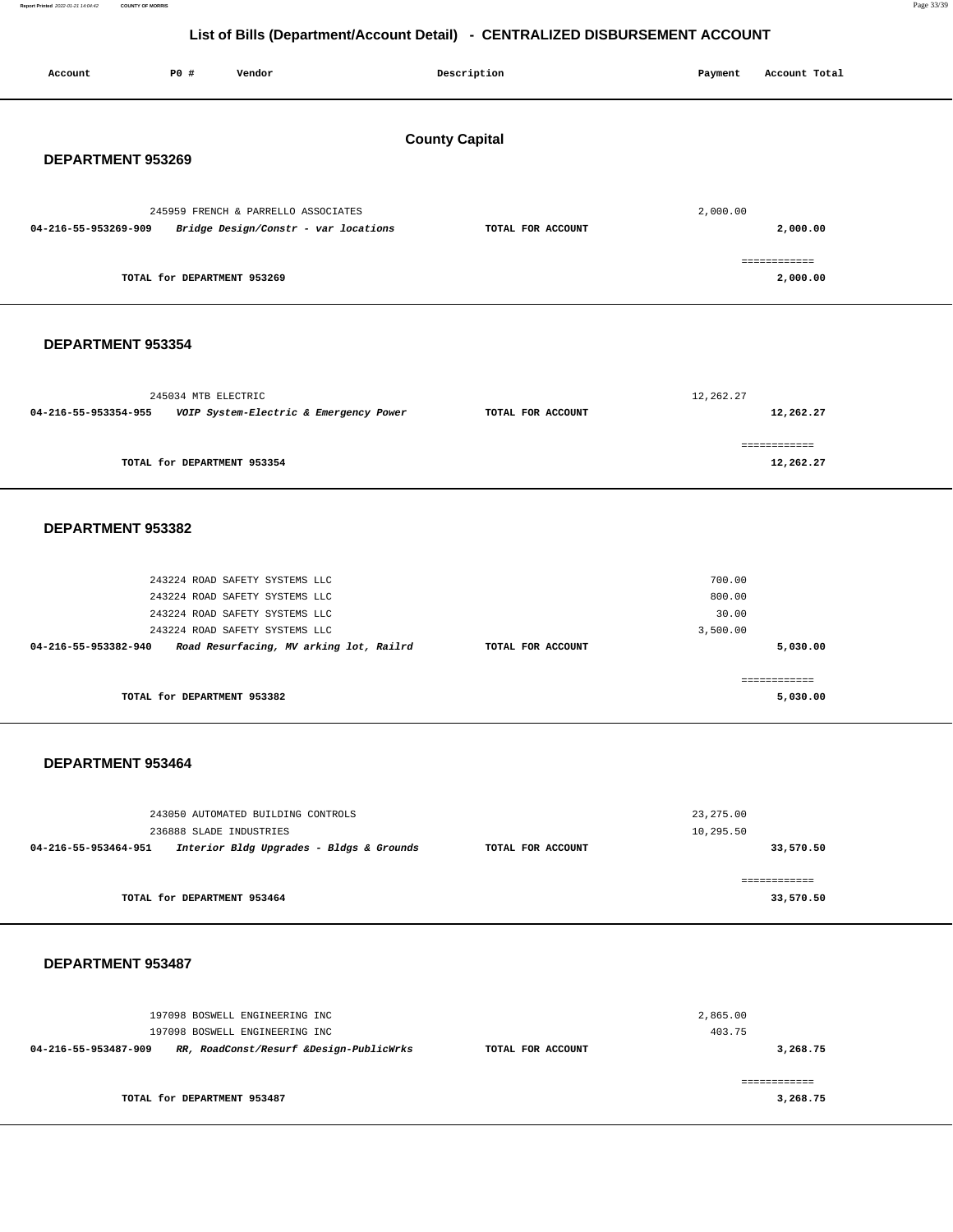Report Printed 2022-01-21 14:04:42 **Report Printed** 2022-01-21 14:04:42 **COUNTY OF MORRIS** Page 33/39

============ **3,268.75** 

### **List of Bills (Department/Account Detail) - CENTRALIZED DISBURSEMENT ACCOUNT**

| Account                                    | P0 #                        | Vendor                                                                                                                               |                                          | Description       | Payment                               | Account Total             |  |
|--------------------------------------------|-----------------------------|--------------------------------------------------------------------------------------------------------------------------------------|------------------------------------------|-------------------|---------------------------------------|---------------------------|--|
| <b>County Capital</b><br>DEPARTMENT 953269 |                             |                                                                                                                                      |                                          |                   |                                       |                           |  |
| 04-216-55-953269-909                       |                             | 245959 FRENCH & PARRELLO ASSOCIATES<br>Bridge Design/Constr - var locations                                                          |                                          | TOTAL FOR ACCOUNT | 2,000.00                              | 2,000.00                  |  |
|                                            | TOTAL for DEPARTMENT 953269 |                                                                                                                                      |                                          |                   |                                       | ------------<br>2,000.00  |  |
| DEPARTMENT 953354                          |                             |                                                                                                                                      |                                          |                   |                                       |                           |  |
| 04-216-55-953354-955                       | 245034 MTB ELECTRIC         | VOIP System-Electric & Emergency Power                                                                                               |                                          | TOTAL FOR ACCOUNT | 12, 262.27                            | 12,262.27                 |  |
|                                            | TOTAL for DEPARTMENT 953354 |                                                                                                                                      |                                          |                   |                                       | ============<br>12,262.27 |  |
| DEPARTMENT 953382                          |                             |                                                                                                                                      |                                          |                   |                                       |                           |  |
| 04-216-55-953382-940                       |                             | 243224 ROAD SAFETY SYSTEMS LLC<br>243224 ROAD SAFETY SYSTEMS LLC<br>243224 ROAD SAFETY SYSTEMS LLC<br>243224 ROAD SAFETY SYSTEMS LLC | Road Resurfacing, MV arking lot, Railrd  | TOTAL FOR ACCOUNT | 700.00<br>800.00<br>30.00<br>3,500.00 | 5,030.00                  |  |
|                                            | TOTAL for DEPARTMENT 953382 |                                                                                                                                      |                                          |                   |                                       | ------------<br>5,030.00  |  |
| DEPARTMENT 953464                          |                             |                                                                                                                                      |                                          |                   |                                       |                           |  |
| 04-216-55-953464-951                       | 236888 SLADE INDUSTRIES     | 243050 AUTOMATED BUILDING CONTROLS                                                                                                   | Interior Bldg Upgrades - Bldgs & Grounds | TOTAL FOR ACCOUNT | 23, 275.00<br>10,295.50               | 33,570.50                 |  |
|                                            | TOTAL for DEPARTMENT 953464 |                                                                                                                                      |                                          |                   |                                       | ------------<br>33,570.50 |  |
| DEPARTMENT 953487                          |                             |                                                                                                                                      |                                          |                   |                                       |                           |  |
| 04-216-55-953487-909                       |                             | 197098 BOSWELL ENGINEERING INC<br>197098 BOSWELL ENGINEERING INC                                                                     | RR, RoadConst/Resurf &Design-PublicWrks  | TOTAL FOR ACCOUNT | 2,865.00<br>403.75                    | 3,268.75                  |  |

**TOTAL for DEPARTMENT 953487**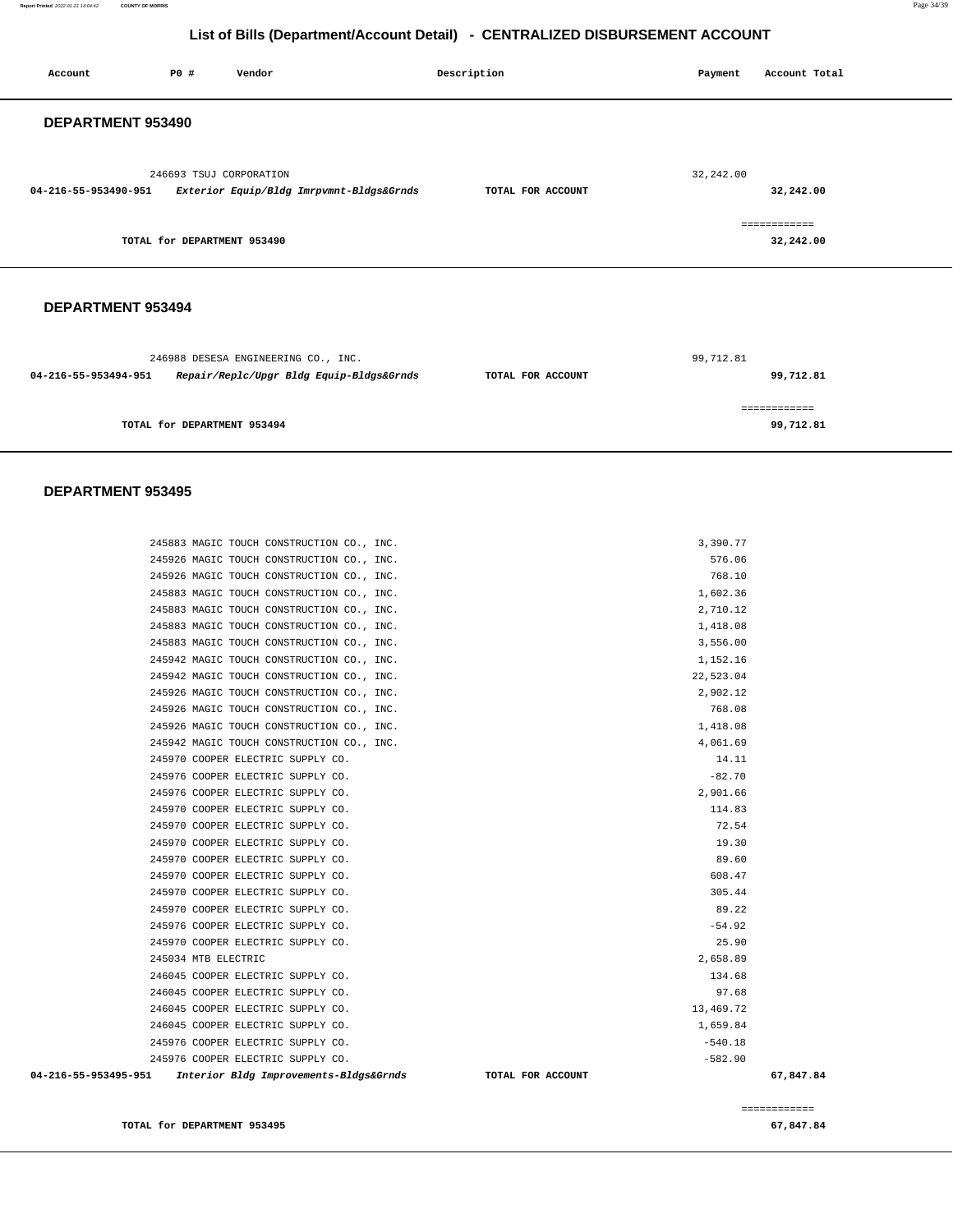**Report Printed** 2022-01-21 14:04:42 **COUNTY OF MORRIS** Page 34/39

### **List of Bills (Department/Account Detail) - CENTRALIZED DISBURSEMENT ACCOUNT**

|                                                                                                                                            | Account Total |
|--------------------------------------------------------------------------------------------------------------------------------------------|---------------|
| DEPARTMENT 953490                                                                                                                          |               |
| 32,242.00<br>246693 TSUJ CORPORATION<br>Exterior Equip/Bldg Imrpvmnt-Bldgs&Grnds<br>32,242.00<br>04-216-55-953490-951<br>TOTAL FOR ACCOUNT |               |
| ============<br>32,242.00<br>TOTAL for DEPARTMENT 953490                                                                                   |               |

### **DEPARTMENT 953494**

| 246988 DESESA ENGINEERING CO., INC.                              |                   | 99,712.81    |
|------------------------------------------------------------------|-------------------|--------------|
| Repair/Replc/Upgr Bldg Equip-Bldgs&Grnds<br>04-216-55-953494-951 | TOTAL FOR ACCOUNT | 99,712.81    |
|                                                                  |                   | ============ |
| TOTAL for DEPARTMENT 953494                                      |                   | 99,712.81    |

#### **DEPARTMENT 953495**

|                      | 245883 MAGIC TOUCH CONSTRUCTION CO., INC. |                   | 3,390.77  |           |
|----------------------|-------------------------------------------|-------------------|-----------|-----------|
|                      | 245926 MAGIC TOUCH CONSTRUCTION CO., INC. |                   | 576.06    |           |
|                      | 245926 MAGIC TOUCH CONSTRUCTION CO., INC. |                   | 768.10    |           |
|                      | 245883 MAGIC TOUCH CONSTRUCTION CO., INC. |                   | 1,602.36  |           |
|                      | 245883 MAGIC TOUCH CONSTRUCTION CO., INC. |                   | 2,710.12  |           |
|                      | 245883 MAGIC TOUCH CONSTRUCTION CO., INC. |                   | 1,418.08  |           |
|                      | 245883 MAGIC TOUCH CONSTRUCTION CO., INC. |                   | 3,556.00  |           |
|                      | 245942 MAGIC TOUCH CONSTRUCTION CO., INC. |                   | 1,152.16  |           |
|                      | 245942 MAGIC TOUCH CONSTRUCTION CO., INC. |                   | 22,523.04 |           |
|                      | 245926 MAGIC TOUCH CONSTRUCTION CO., INC. |                   | 2,902.12  |           |
|                      | 245926 MAGIC TOUCH CONSTRUCTION CO., INC. |                   | 768.08    |           |
|                      | 245926 MAGIC TOUCH CONSTRUCTION CO., INC. |                   | 1,418.08  |           |
|                      | 245942 MAGIC TOUCH CONSTRUCTION CO., INC. |                   | 4,061.69  |           |
|                      | 245970 COOPER ELECTRIC SUPPLY CO.         |                   | 14.11     |           |
|                      | 245976 COOPER ELECTRIC SUPPLY CO.         |                   | $-82.70$  |           |
|                      | 245976 COOPER ELECTRIC SUPPLY CO.         |                   | 2,901.66  |           |
|                      | 245970 COOPER ELECTRIC SUPPLY CO.         |                   | 114.83    |           |
|                      | 245970 COOPER ELECTRIC SUPPLY CO.         |                   | 72.54     |           |
|                      | 245970 COOPER ELECTRIC SUPPLY CO.         |                   | 19.30     |           |
|                      | 245970 COOPER ELECTRIC SUPPLY CO.         |                   | 89.60     |           |
|                      | 245970 COOPER ELECTRIC SUPPLY CO.         |                   | 608.47    |           |
|                      | 245970 COOPER ELECTRIC SUPPLY CO.         |                   | 305.44    |           |
|                      | 245970 COOPER ELECTRIC SUPPLY CO.         |                   | 89.22     |           |
|                      | 245976 COOPER ELECTRIC SUPPLY CO.         |                   | $-54.92$  |           |
|                      | 245970 COOPER ELECTRIC SUPPLY CO.         |                   | 25.90     |           |
|                      | 245034 MTB ELECTRIC                       |                   | 2,658.89  |           |
|                      | 246045 COOPER ELECTRIC SUPPLY CO.         |                   | 134.68    |           |
|                      | 246045 COOPER ELECTRIC SUPPLY CO.         |                   | 97.68     |           |
|                      | 246045 COOPER ELECTRIC SUPPLY CO.         |                   | 13,469.72 |           |
|                      | 246045 COOPER ELECTRIC SUPPLY CO.         |                   | 1,659.84  |           |
|                      | 245976 COOPER ELECTRIC SUPPLY CO.         |                   | $-540.18$ |           |
|                      | 245976 COOPER ELECTRIC SUPPLY CO.         |                   | $-582.90$ |           |
| 04-216-55-953495-951 | Interior Bldg Improvements-Bldgs&Grnds    | TOTAL FOR ACCOUNT |           | 67,847.84 |
|                      |                                           |                   |           |           |

**TOTAL for DEPARTMENT 953495 [67,847.84](https://67,847.84)** 

============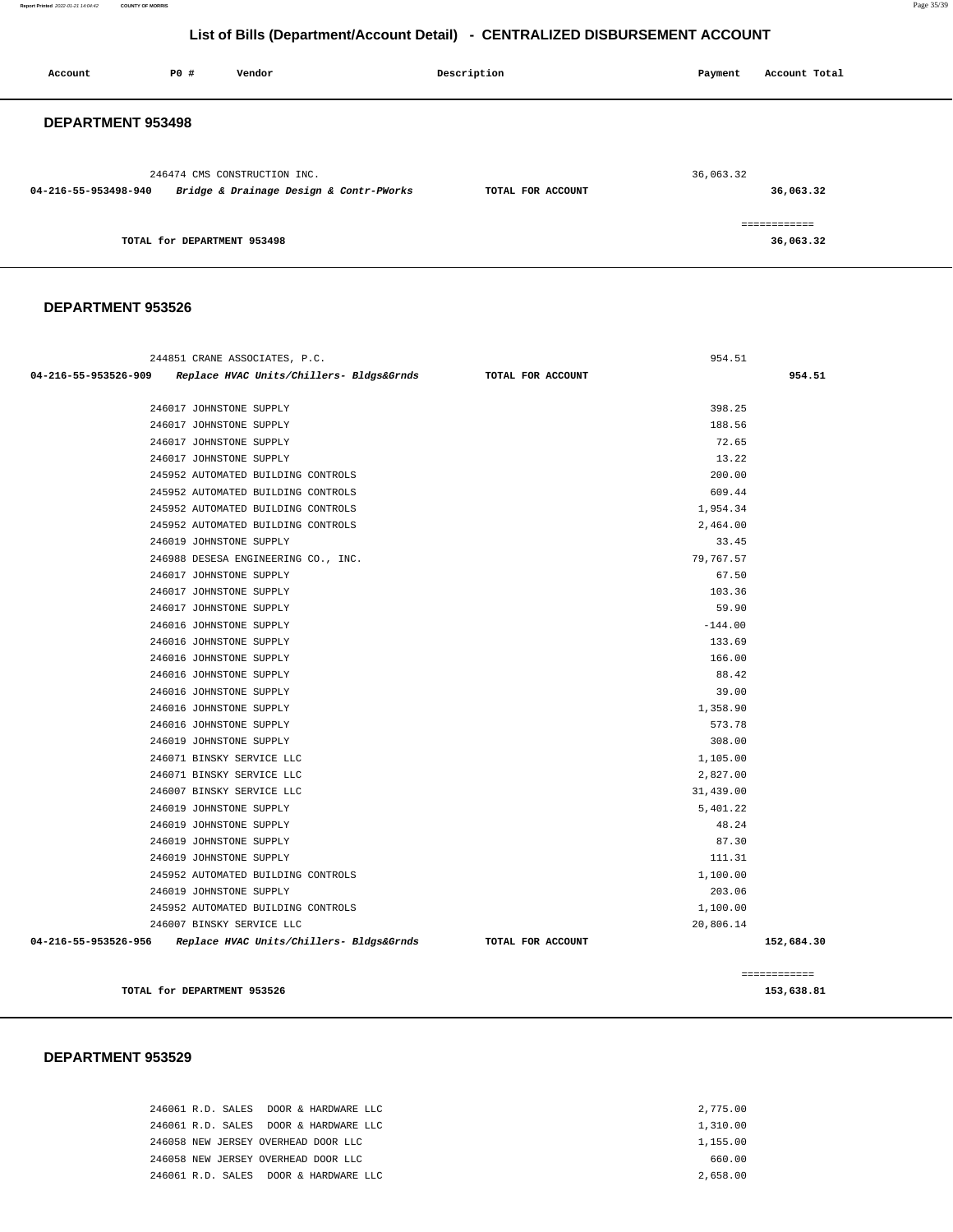**Report Printed** 2022-01-21 14:04:42 **COUNTY OF MORRIS** Page 35/39

### **List of Bills (Department/Account Detail) - CENTRALIZED DISBURSEMENT ACCOUNT**

| Account                  | P0#                         | Vendor                                                                  | Description       | Payment   | Account Total             |
|--------------------------|-----------------------------|-------------------------------------------------------------------------|-------------------|-----------|---------------------------|
| <b>DEPARTMENT 953498</b> |                             |                                                                         |                   |           |                           |
| 04-216-55-953498-940     |                             | 246474 CMS CONSTRUCTION INC.<br>Bridge & Drainage Design & Contr-PWorks | TOTAL FOR ACCOUNT | 36,063.32 | 36,063.32                 |
|                          | TOTAL for DEPARTMENT 953498 |                                                                         |                   |           | ============<br>36,063.32 |

### **DEPARTMENT 953526**

|                      | 244851 CRANE ASSOCIATES, P.C.            |                   | 954.51    |              |
|----------------------|------------------------------------------|-------------------|-----------|--------------|
| 04-216-55-953526-909 | Replace HVAC Units/Chillers- Bldgs&Grnds | TOTAL FOR ACCOUNT |           | 954.51       |
|                      | 246017 JOHNSTONE SUPPLY                  |                   | 398.25    |              |
|                      | 246017 JOHNSTONE SUPPLY                  |                   | 188.56    |              |
|                      | 246017 JOHNSTONE SUPPLY                  |                   | 72.65     |              |
|                      | 246017 JOHNSTONE SUPPLY                  |                   | 13.22     |              |
|                      | 245952 AUTOMATED BUILDING CONTROLS       |                   | 200.00    |              |
|                      | 245952 AUTOMATED BUILDING CONTROLS       |                   | 609.44    |              |
|                      | 245952 AUTOMATED BUILDING CONTROLS       |                   | 1,954.34  |              |
|                      | 245952 AUTOMATED BUILDING CONTROLS       |                   | 2,464.00  |              |
|                      | 246019 JOHNSTONE SUPPLY                  |                   | 33.45     |              |
|                      | 246988 DESESA ENGINEERING CO., INC.      |                   | 79,767.57 |              |
|                      | 246017 JOHNSTONE SUPPLY                  |                   | 67.50     |              |
|                      | 246017 JOHNSTONE SUPPLY                  |                   | 103.36    |              |
|                      | 246017 JOHNSTONE SUPPLY                  |                   | 59.90     |              |
|                      | 246016 JOHNSTONE SUPPLY                  |                   | $-144.00$ |              |
|                      | 246016 JOHNSTONE SUPPLY                  |                   | 133.69    |              |
|                      | 246016 JOHNSTONE SUPPLY                  |                   | 166.00    |              |
|                      | 246016 JOHNSTONE SUPPLY                  |                   | 88.42     |              |
|                      | 246016 JOHNSTONE SUPPLY                  |                   | 39.00     |              |
|                      | 246016 JOHNSTONE SUPPLY                  |                   | 1,358.90  |              |
|                      | 246016 JOHNSTONE SUPPLY                  |                   | 573.78    |              |
|                      | 246019 JOHNSTONE SUPPLY                  |                   | 308.00    |              |
|                      | 246071 BINSKY SERVICE LLC                |                   | 1,105.00  |              |
|                      | 246071 BINSKY SERVICE LLC                |                   | 2,827.00  |              |
|                      | 246007 BINSKY SERVICE LLC                |                   | 31,439.00 |              |
|                      | 246019 JOHNSTONE SUPPLY                  |                   | 5,401.22  |              |
|                      | 246019 JOHNSTONE SUPPLY                  |                   | 48.24     |              |
|                      | 246019 JOHNSTONE SUPPLY                  |                   | 87.30     |              |
|                      | 246019 JOHNSTONE SUPPLY                  |                   | 111.31    |              |
|                      | 245952 AUTOMATED BUILDING CONTROLS       |                   | 1,100.00  |              |
|                      | 246019 JOHNSTONE SUPPLY                  |                   | 203.06    |              |
|                      | 245952 AUTOMATED BUILDING CONTROLS       |                   | 1,100.00  |              |
|                      | 246007 BINSKY SERVICE LLC                |                   | 20,806.14 |              |
| 04-216-55-953526-956 | Replace HVAC Units/Chillers- Bldgs&Grnds | TOTAL FOR ACCOUNT |           | 152,684.30   |
|                      |                                          |                   |           | ============ |
|                      | TOTAL for DEPARTMENT 953526              |                   |           | 153,638.81   |

#### **DEPARTMENT 953529**

| 246061 R.D. SALES DOOR & HARDWARE LLC | 2,775,00 |
|---------------------------------------|----------|
| 246061 R.D. SALES DOOR & HARDWARE LLC | 1,310.00 |
| 246058 NEW JERSEY OVERHEAD DOOR LLC   | 1,155.00 |
| 246058 NEW JERSEY OVERHEAD DOOR LLC   | 660.00   |
| 246061 R.D. SALES DOOR & HARDWARE LLC | 2,658.00 |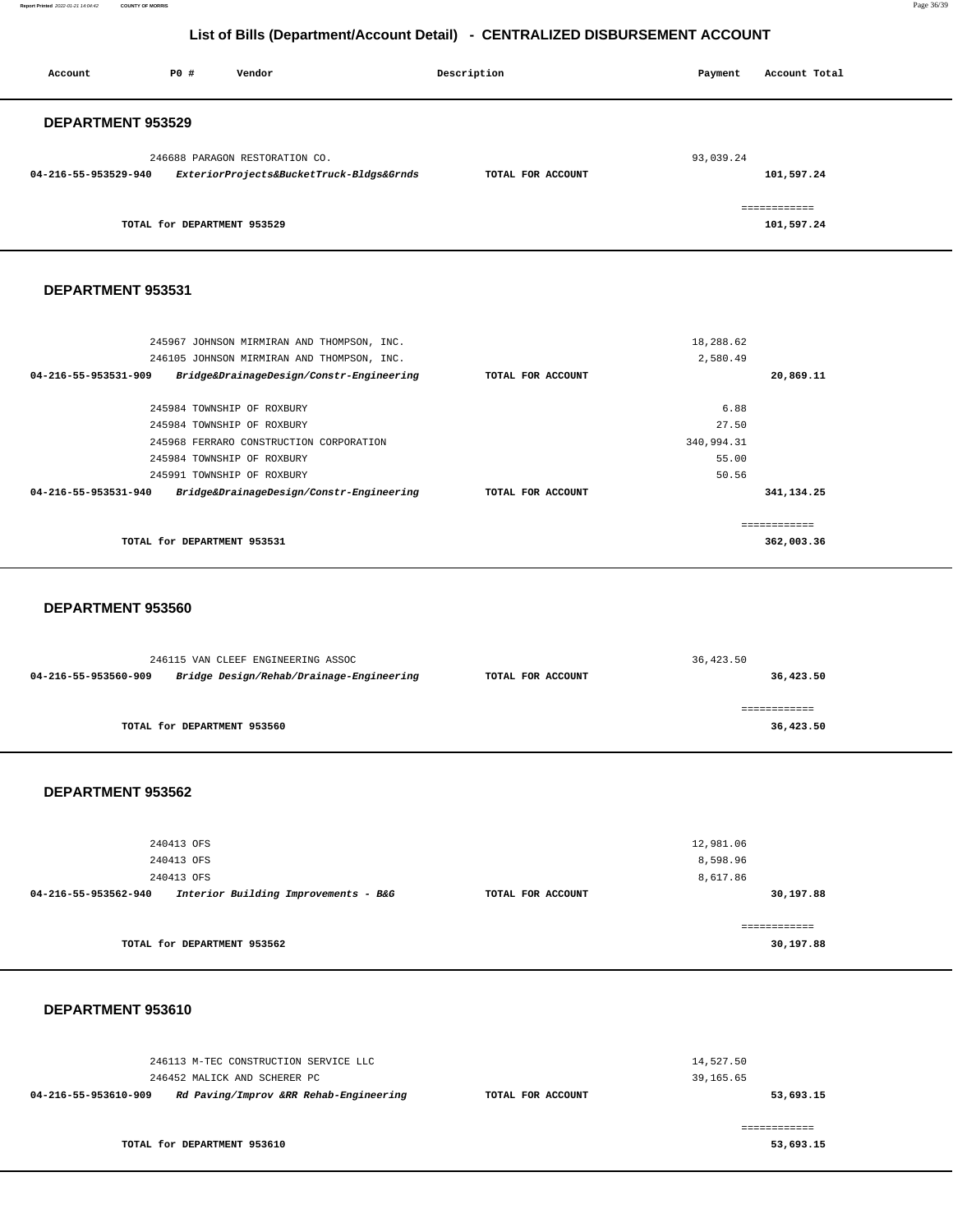**Report Printed** 2022-01-21 14:04:42 **COUNTY OF MORRIS** Page 36/39

### **List of Bills (Department/Account Detail) - CENTRALIZED DISBURSEMENT ACCOUNT**

| Account                  | PO#                         | Vendor                                   | Description       | Payment   | Account Total |
|--------------------------|-----------------------------|------------------------------------------|-------------------|-----------|---------------|
| <b>DEPARTMENT 953529</b> |                             |                                          |                   |           |               |
|                          |                             | 246688 PARAGON RESTORATION CO.           |                   | 93,039.24 |               |
| 04-216-55-953529-940     |                             | ExteriorProjects&BucketTruck-Bldgs&Grnds | TOTAL FOR ACCOUNT |           | 101,597.24    |
|                          |                             |                                          |                   |           | ============  |
|                          | TOTAL for DEPARTMENT 953529 |                                          |                   |           | 101,597.24    |

#### **DEPARTMENT 953531**

| 245967 JOHNSON MIRMIRAN AND THOMPSON, INC.                       |                   | 18,288.62  |            |
|------------------------------------------------------------------|-------------------|------------|------------|
| 246105 JOHNSON MIRMIRAN AND THOMPSON, INC.                       |                   | 2,580.49   |            |
| 04-216-55-953531-909<br>Bridge&DrainageDesign/Constr-Engineering | TOTAL FOR ACCOUNT |            | 20,869.11  |
|                                                                  |                   |            |            |
| 245984 TOWNSHIP OF ROXBURY                                       |                   | 6.88       |            |
| 245984 TOWNSHIP OF ROXBURY                                       |                   | 27.50      |            |
| 245968 FERRARO CONSTRUCTION CORPORATION                          |                   | 340,994.31 |            |
| 245984 TOWNSHIP OF ROXBURY                                       |                   | 55.00      |            |
| 245991 TOWNSHIP OF ROXBURY                                       |                   | 50.56      |            |
| 04-216-55-953531-940<br>Bridge&DrainageDesign/Constr-Engineering | TOTAL FOR ACCOUNT |            | 341,134.25 |
|                                                                  |                   |            |            |
|                                                                  |                   |            |            |
| TOTAL for DEPARTMENT 953531                                      |                   |            | 362,003.36 |

#### **DEPARTMENT 953560**

|                      | 246115 VAN CLEEF ENGINEERING ASSOC       |                   | 36,423.50     |
|----------------------|------------------------------------------|-------------------|---------------|
| 04-216-55-953560-909 | Bridge Design/Rehab/Drainage-Engineering | TOTAL FOR ACCOUNT | 36,423.50     |
|                      |                                          |                   |               |
|                      |                                          |                   | ------------- |
|                      | TOTAL for DEPARTMENT 953560              |                   | 36,423.50     |

#### **DEPARTMENT 953562**

| 240413 OFS                                                   | 12,981.06                      |
|--------------------------------------------------------------|--------------------------------|
| 240413 OFS                                                   | 8,598.96                       |
| 240413 OFS                                                   | 8,617.86                       |
| Interior Building Improvements - B&G<br>04-216-55-953562-940 | 30,197.88<br>TOTAL FOR ACCOUNT |
|                                                              |                                |
|                                                              |                                |
| TOTAL for DEPARTMENT 953562                                  | 30,197.88                      |

#### **DEPARTMENT 953610**

| 246113 M-TEC CONSTRUCTION SERVICE LLC<br>246452 MALICK AND SCHERER PC | 14,527.50<br>39,165.65         |
|-----------------------------------------------------------------------|--------------------------------|
| Rd Paving/Improv &RR Rehab-Engineering<br>04-216-55-953610-909        | 53,693.15<br>TOTAL FOR ACCOUNT |
| TOTAL for DEPARTMENT 953610                                           | 53,693.15                      |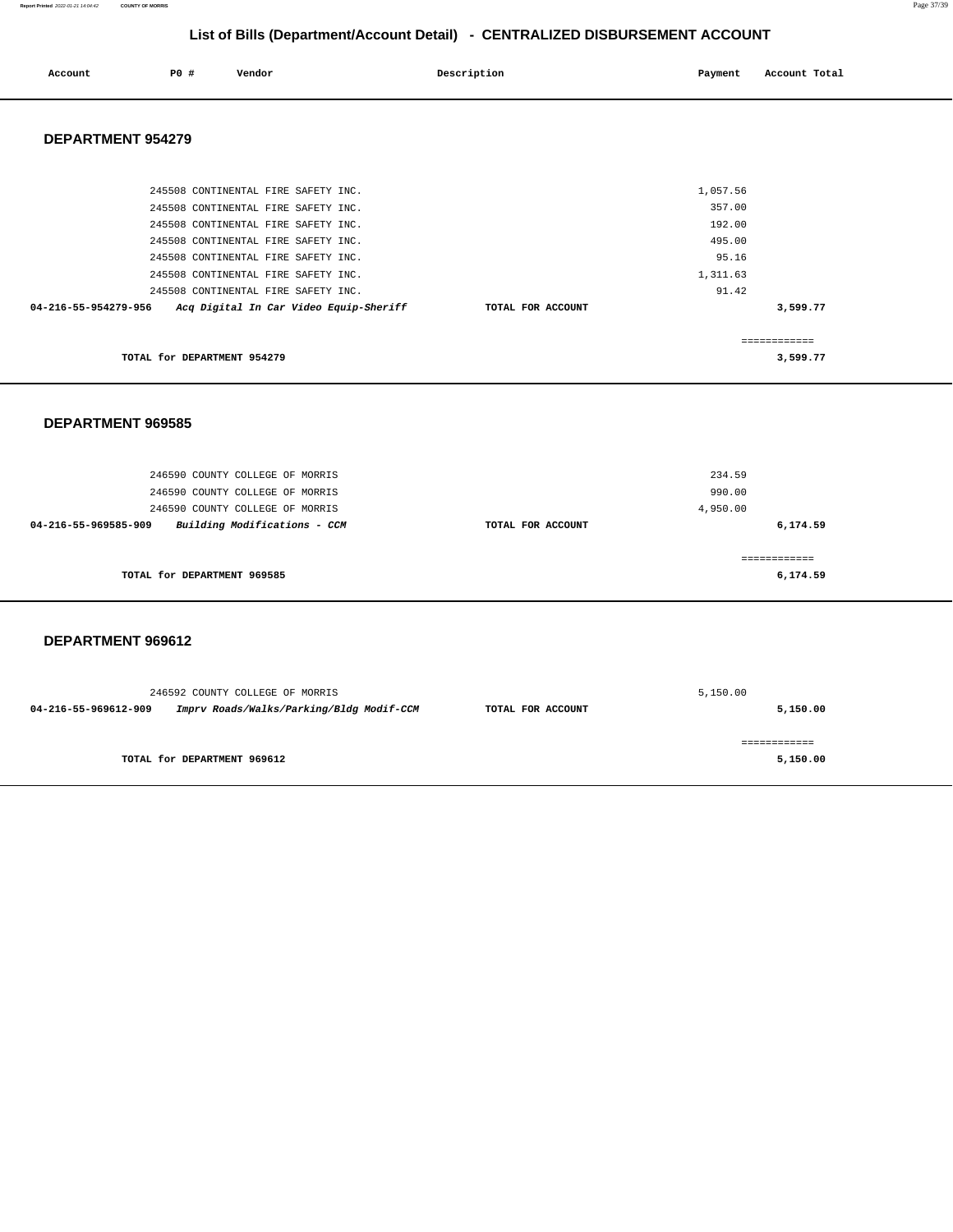**Report Printed** 2022-01-21 14:04:42 **COUNTY OF MORRIS** Page 37/39

### **List of Bills (Department/Account Detail) - CENTRALIZED DISBURSEMENT ACCOUNT**

| Account<br>. | <b>PO #</b> | Vendor | Description | Payment | Account Total |
|--------------|-------------|--------|-------------|---------|---------------|
|              |             |        |             |         |               |

### **DEPARTMENT 954279**

| 245508 CONTINENTAL FIRE SAFETY INC.                            |                   | 1,057.56 |
|----------------------------------------------------------------|-------------------|----------|
| 245508 CONTINENTAL FIRE SAFETY INC.                            |                   | 357.00   |
| 245508 CONTINENTAL FIRE SAFETY INC.                            |                   | 192.00   |
| 245508 CONTINENTAL FIRE SAFETY INC.                            |                   | 495.00   |
| 245508 CONTINENTAL FIRE SAFETY INC.                            |                   | 95.16    |
| 245508 CONTINENTAL FIRE SAFETY INC.                            |                   | 1,311.63 |
| 245508 CONTINENTAL FIRE SAFETY INC.                            |                   | 91.42    |
| Acq Digital In Car Video Equip-Sheriff<br>04-216-55-954279-956 | TOTAL FOR ACCOUNT | 3,599.77 |
|                                                                |                   |          |
|                                                                |                   |          |
| TOTAL for DEPARTMENT 954279                                    |                   | 3,599.77 |

#### **DEPARTMENT 969585**

| 246590 COUNTY COLLEGE OF MORRIS<br>246590 COUNTY COLLEGE OF MORRIS |                   | 234.59<br>990.00 |
|--------------------------------------------------------------------|-------------------|------------------|
| 246590 COUNTY COLLEGE OF MORRIS                                    |                   | 4,950.00         |
| Building Modifications - CCM<br>04-216-55-969585-909               | TOTAL FOR ACCOUNT | 6,174.59         |
|                                                                    |                   |                  |
| TOTAL for DEPARTMENT 969585                                        |                   | 6,174.59         |

#### **DEPARTMENT 969612**

| 246592 COUNTY COLLEGE OF MORRIS                                  |                   | 5,150.00 |
|------------------------------------------------------------------|-------------------|----------|
| Imprv Roads/Walks/Parking/Bldg Modif-CCM<br>04-216-55-969612-909 | TOTAL FOR ACCOUNT | 5,150.00 |
|                                                                  |                   |          |
|                                                                  |                   |          |
| TOTAL for DEPARTMENT 969612                                      |                   | 5,150.00 |
|                                                                  |                   |          |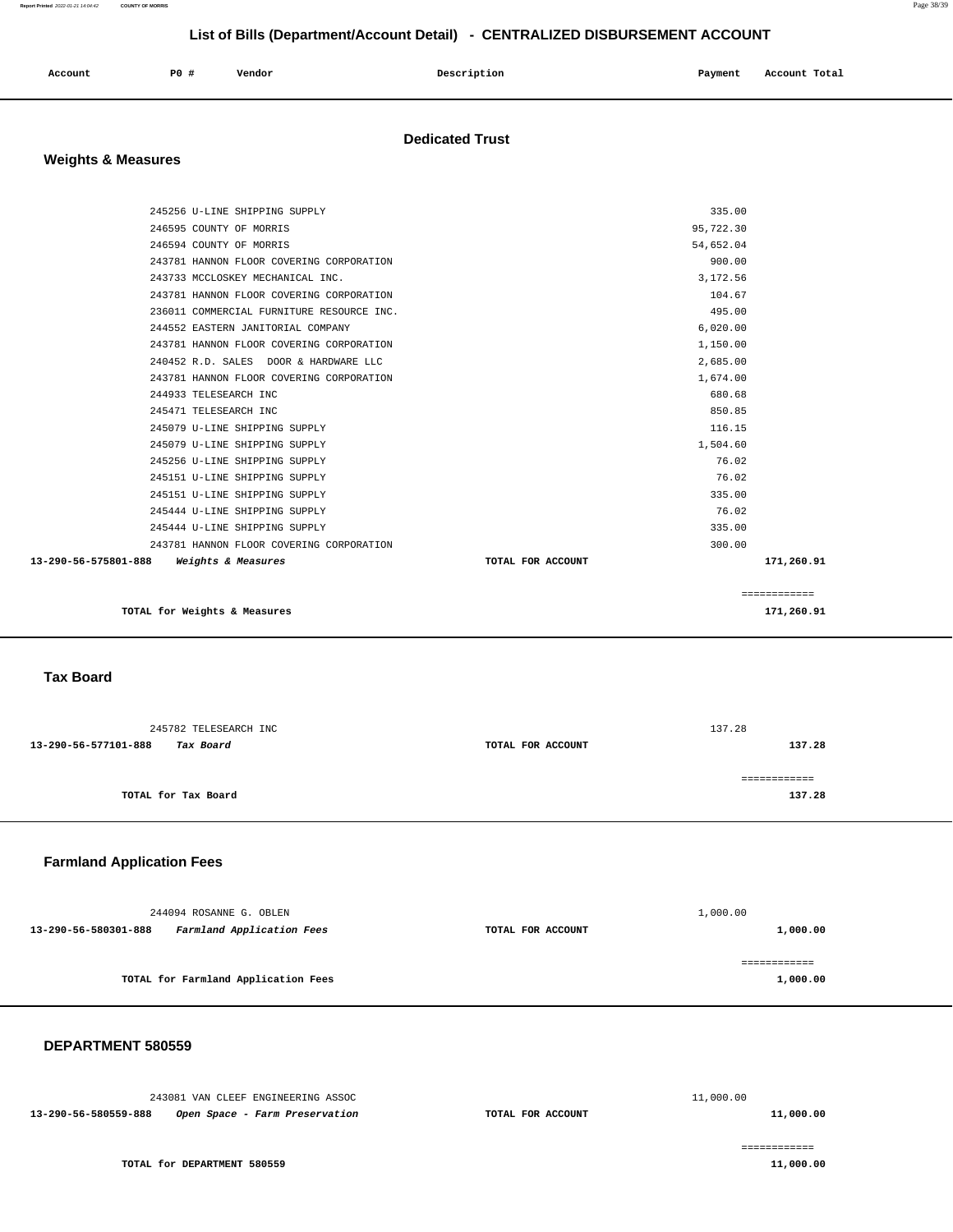| Account | P <sub>0</sub> | Vendor | Description | Payment | Account Total |
|---------|----------------|--------|-------------|---------|---------------|
|         |                |        |             |         |               |

### **Dedicated Trust**

### **Weights & Measures**

| 245256 U-LINE SHIPPING SUPPLY              |                   | 335.00    |              |
|--------------------------------------------|-------------------|-----------|--------------|
| 246595 COUNTY OF MORRIS                    |                   | 95,722.30 |              |
|                                            |                   |           |              |
| 246594 COUNTY OF MORRIS                    |                   | 54,652.04 |              |
| 243781 HANNON FLOOR COVERING CORPORATION   |                   | 900.00    |              |
| 243733 MCCLOSKEY MECHANICAL INC.           |                   | 3,172.56  |              |
| 243781 HANNON FLOOR COVERING CORPORATION   |                   | 104.67    |              |
| 236011 COMMERCIAL FURNITURE RESOURCE INC.  |                   | 495.00    |              |
| 244552 EASTERN JANITORIAL COMPANY          |                   | 6,020.00  |              |
| 243781 HANNON FLOOR COVERING CORPORATION   |                   | 1,150.00  |              |
| 240452 R.D. SALES DOOR & HARDWARE LLC      |                   | 2,685.00  |              |
| 243781 HANNON FLOOR COVERING CORPORATION   |                   | 1,674.00  |              |
| 244933 TELESEARCH INC                      |                   | 680.68    |              |
| 245471 TELESEARCH INC                      |                   | 850.85    |              |
| 245079 U-LINE SHIPPING SUPPLY              |                   | 116.15    |              |
| 245079 U-LINE SHIPPING SUPPLY              |                   | 1,504.60  |              |
| 245256 U-LINE SHIPPING SUPPLY              |                   | 76.02     |              |
| 245151 U-LINE SHIPPING SUPPLY              |                   | 76.02     |              |
| 245151 U-LINE SHIPPING SUPPLY              |                   | 335.00    |              |
| 245444 U-LINE SHIPPING SUPPLY              |                   | 76.02     |              |
| 245444 U-LINE SHIPPING SUPPLY              |                   | 335.00    |              |
| 243781 HANNON FLOOR COVERING CORPORATION   |                   | 300.00    |              |
| 13-290-56-575801-888<br>Weights & Measures | TOTAL FOR ACCOUNT |           | 171,260.91   |
|                                            |                   |           | ============ |
| TOTAL for Weights & Measures               |                   |           | 171,260.91   |
|                                            |                   |           |              |

#### **Tax Board**

| 245782 TELESEARCH INC             |                   | 137.28 |
|-----------------------------------|-------------------|--------|
| 13-290-56-577101-888<br>Tax Board | TOTAL FOR ACCOUNT | 137.28 |
|                                   |                   |        |
|                                   |                   |        |
| TOTAL for Tax Board               |                   | 137.28 |
|                                   |                   |        |

### **Farmland Application Fees**

| 244094 ROSANNE G. OBLEN                           |                   | 1,000.00 |
|---------------------------------------------------|-------------------|----------|
| Farmland Application Fees<br>13-290-56-580301-888 | TOTAL FOR ACCOUNT | 1,000.00 |
|                                                   |                   |          |
| TOTAL for Farmland Application Fees               |                   | 1,000.00 |
|                                                   |                   |          |

#### **DEPARTMENT 580559**

| 243081 VAN CLEEF ENGINEERING ASSOC                     |                   | 11,000.00 |
|--------------------------------------------------------|-------------------|-----------|
| 13-290-56-580559-888<br>Open Space - Farm Preservation | TOTAL FOR ACCOUNT | 11,000.00 |

**11,000.00**